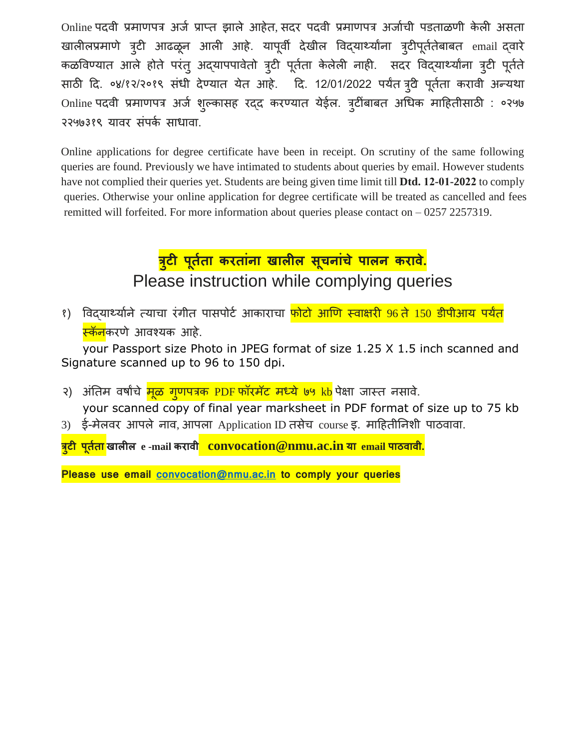Online पदवी प्रमाणपत्र अर्ज प्राप्त झाले आहेत, सदर पदवी प्रमाणपत्र अर्जाची पडताळणी केली असता खालीलप्रमाणे त्र्टी आढळून आली आहे. यापूर्वी देखील विद्**यार्थ्यांना त्र्टीपूर्ततेबाबत email द्**वारे कळविण्यात आले होते परंतु अद्यापपावेतो त्रुटी पूर्तता केलेली नाही. सदर विद्यार्थ्यांना त्रुटी पूर्तते साठी दि. ०४/१२/२०१९ संधी देण्यात येत आहे. दि. 12/01/2022 पर्यंत त्र्वे पूर्तता करावी अन्यथा Online पदवी प्रमाणपत्र अर्ज शुल्कासह रद्द करण्यात येईल. त्रुटींबाबत अधिक माहितीसाठी : ०२५७ २२५७३१९ यावर संपर्क साधावा.

Online applications for degree certificate have been in receipt. On scrutiny of the same following queries are found. Previously we have intimated to students about queries by email. However students have not complied their queries yet. Students are being given time limit till **Dtd. 12-01-2022** to comply queries. Otherwise your online application for degree certificate will be treated as cancelled and fees remitted will forfeited. For more information about queries please contact on – 0257 2257319.

## **त्रटी ु पर्तर्ा ू करर्ाांना खालील सचनाांचे ू पालन करावे.** Please instruction while complying queries

<u>१) विद्यार्थ्या</u>ने त्याचा रंगीत पासपोर्ट आकाराचा <mark>फोटो आणि स्वाक्षरी 96 ते 150 डीपीआय पर्यंत</mark> <mark>स्कॅन</mark>करणे आवश्यक आहे.

your Passport size Photo in JPEG format of size 1.25 X 1.5 inch scanned and Signature scanned up to 96 to 150 dpi.

- २) अंतिम वर्षांचे <mark>मूळ गुणपत्रक PDF फॉरमॅट मध्ये ७५ kb</mark> पेक्षा जास्त नसावे. your scanned copy of final year marksheet in PDF format of size up to 75 kb
- 3) ई-मेलवर आपले नाव, आपला Application ID तसेच course इ. मादहतीतनशी पाठवावा.

**त्रटी ु पर्तर्ा ू खालील e -mail करावी convocation@nmu.ac.in या email पाठवावी.**

**Please use email [convocation@nmu.ac.in](mailto:convocation@nmu.ac.in) to comply your queries**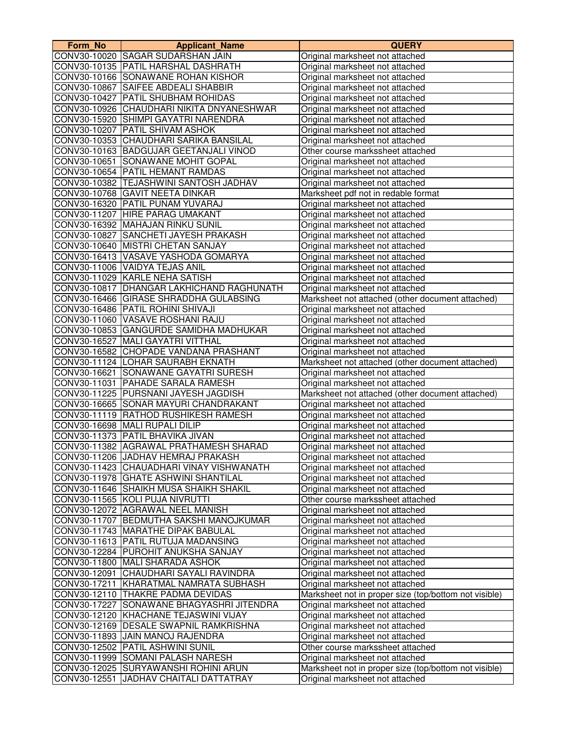| Form No | <b>Applicant_Name</b>                     | <b>QUERY</b>                                                       |
|---------|-------------------------------------------|--------------------------------------------------------------------|
|         | CONV30-10020 SAGAR SUDARSHAN JAIN         | Original marksheet not attached                                    |
|         | CONV30-10135 PATIL HARSHAL DASHRATH       | Original marksheet not attached                                    |
|         | CONV30-10166 SONAWANE ROHAN KISHOR        | Original marksheet not attached                                    |
|         | CONV30-10867 SAIFEE ABDEALI SHABBIR       | Original marksheet not attached                                    |
|         | CONV30-10427 PATIL SHUBHAM ROHIDAS        | Original marksheet not attached                                    |
|         | CONV30-10926 CHAUDHARI NIKITA DNYANESHWAR | Original marksheet not attached                                    |
|         | CONV30-15920 SHIMPI GAYATRI NARENDRA      | Original marksheet not attached                                    |
|         | CONV30-10207 PATIL SHIVAM ASHOK           | Original marksheet not attached                                    |
|         | CONV30-10353 CHAUDHARI SARIKA BANSILAL    | Original marksheet not attached                                    |
|         | CONV30-10163 BADGUJAR GEETANJALI VINOD    | Other course markssheet attached                                   |
|         | CONV30-10651 SONAWANE MOHIT GOPAL         | Original marksheet not attached                                    |
|         | CONV30-10654 PATIL HEMANT RAMDAS          | Original marksheet not attached                                    |
|         | CONV30-10382 TEJASHWINI SANTOSH JADHAV    | Original marksheet not attached                                    |
|         | CONV30-10768 GAVIT NEETA DINKAR           | Marksheet pdf not in redable format                                |
|         | CONV30-16320 PATIL PUNAM YUVARAJ          | Original marksheet not attached                                    |
|         | CONV30-11207 HIRE PARAG UMAKANT           | Original marksheet not attached                                    |
|         | CONV30-16392 MAHAJAN RINKU SUNIL          | Original marksheet not attached                                    |
|         | CONV30-10827 SANCHETI JAYESH PRAKASH      | Original marksheet not attached                                    |
|         | CONV30-10640 MISTRI CHETAN SANJAY         | Original marksheet not attached                                    |
|         | CONV30-16413   VASAVE YASHODA GOMARYA     | Original marksheet not attached                                    |
|         | CONV30-11006 VAIDYA TEJAS ANIL            | Original marksheet not attached                                    |
|         | CONV30-11029 KARLE NEHA SATISH            | Original marksheet not attached                                    |
|         | CONV30-10817 DHANGAR LAKHICHAND RAGHUNATH | Original marksheet not attached                                    |
|         | CONV30-16466 GIRASE SHRADDHA GULABSING    | Marksheet not attached (other document attached)                   |
|         | CONV30-16486 PATIL ROHINI SHIVAJI         | Original marksheet not attached                                    |
|         | CONV30-11060 VASAVE ROSHANI RAJU          | Original marksheet not attached                                    |
|         | CONV30-10853 GANGURDE SAMIDHA MADHUKAR    | Original marksheet not attached                                    |
|         | CONV30-16527 MALI GAYATRI VITTHAL         | Original marksheet not attached                                    |
|         | CONV30-16582 CHOPADE VANDANA PRASHANT     | Original marksheet not attached                                    |
|         | CONV30-11124 LOHAR SAURABH EKNATH         | Marksheet not attached (other document attached)                   |
|         | CONV30-16621 SONAWANE GAYATRI SURESH      | Original marksheet not attached                                    |
|         | CONV30-11031   PAHADE SARALA RAMESH       | Original marksheet not attached                                    |
|         | CONV30-11225 PURSNANI JAYESH JAGDISH      | Marksheet not attached (other document attached)                   |
|         | CONV30-16665 SONAR MAYURI CHANDRAKANT     | Original marksheet not attached                                    |
|         | CONV30-11119 RATHOD RUSHIKESH RAMESH      | Original marksheet not attached                                    |
|         | CONV30-16698 MALI RUPALI DILIP            | Original marksheet not attached                                    |
|         | CONV30-11373 PATIL BHAVIKA JIVAN          | Original marksheet not attached                                    |
|         | CONV30-11382 AGRAWAL PRATHAMESH SHARAD    | Original marksheet not attached                                    |
|         | CONV30-11206 JJADHAV HEMRAJ PRAKASH       | Original marksheet not attached                                    |
|         | CONV30-11423  CHAUADHARI VINAY VISHWANATH | Original marksheet not attached                                    |
|         | CONV30-11978 GHATE ASHWINI SHANTILAL      | Original marksheet not attached                                    |
|         | CONV30-11646 SHAIKH MUSA SHAIKH SHAKIL    | Original marksheet not attached                                    |
|         | CONV30-11565 KOLI PUJA NIVRUTTI           | Other course markssheet attached                                   |
|         | CONV30-12072 AGRAWAL NEEL MANISH          | Original marksheet not attached                                    |
|         | CONV30-11707 BEDMUTHA SAKSHI MANOJKUMAR   | Original marksheet not attached                                    |
|         | CONV30-11743 MARATHE DIPAK BABULAL        | Original marksheet not attached                                    |
|         | CONV30-11613 PATIL RUTUJA MADANSING       | Original marksheet not attached                                    |
|         | CONV30-12284 PUROHIT ANUKSHA SANJAY       |                                                                    |
|         | CONV30-11800 MALI SHARADA ASHOK           | Original marksheet not attached                                    |
|         | CONV30-12091 CHAUDHARI SAYALI RAVINDRA    | Original marksheet not attached<br>Original marksheet not attached |
|         | CONV30-17211 KHARATMAL NAMRATA SUBHASH    |                                                                    |
|         | CONV30-12110 THAKRE PADMA DEVIDAS         | Original marksheet not attached                                    |
|         |                                           | Marksheet not in proper size (top/bottom not visible)              |
|         | CONV30-17227 SONAWANE BHAGYASHRI JITENDRA | Original marksheet not attached                                    |
|         | CONV30-12120 KHACHANE TEJASWINI VIJAY     | Original marksheet not attached                                    |
|         | CONV30-12169   DESALE SWAPNIL RAMKRISHNA  | Original marksheet not attached                                    |
|         | CONV30-11893 JAIN MANOJ RAJENDRA          | Original marksheet not attached                                    |
|         | CONV30-12502 PATIL ASHWINI SUNIL          | Other course markssheet attached                                   |
|         | CONV30-11999 SOMANI PALASH NARESH         | Original marksheet not attached                                    |
|         | CONV30-12025 SURYAWANSHI ROHINI ARUN      | Marksheet not in proper size (top/bottom not visible)              |
|         | CONV30-12551 JJADHAV CHAITALI DATTATRAY   | Original marksheet not attached                                    |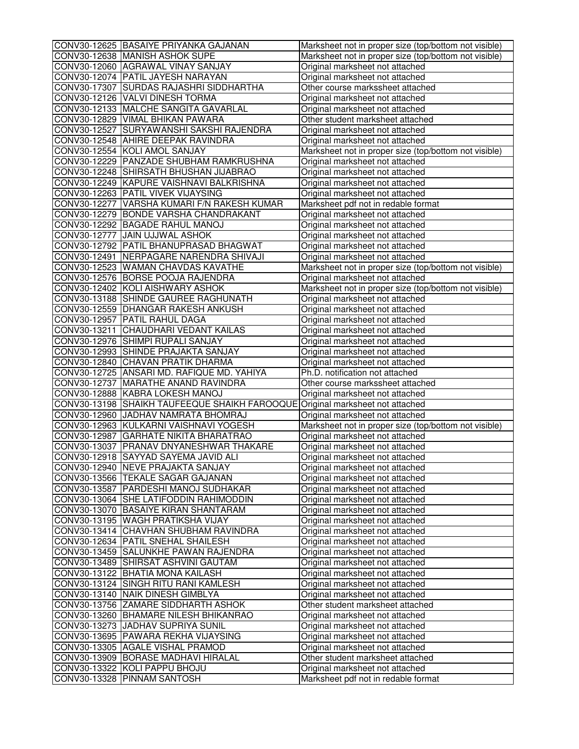| CONV30-12625 BASAIYE PRIYANKA GAJANAN                                         | Marksheet not in proper size (top/bottom not visible)              |
|-------------------------------------------------------------------------------|--------------------------------------------------------------------|
| CONV30-12638 MANISH ASHOK SUPE                                                | Marksheet not in proper size (top/bottom not visible)              |
| CONV30-12060 AGRAWAL VINAY SANJAY                                             | Original marksheet not attached                                    |
| CONV30-12074 PATIL JAYESH NARAYAN                                             | Original marksheet not attached                                    |
| CONV30-17307 SURDAS RAJASHRI SIDDHARTHA                                       | Other course markssheet attached                                   |
| CONV30-12126 VALVI DINESH TORMA                                               | Original marksheet not attached                                    |
| CONV30-12133 MALCHE SANGITA GAVARLAL                                          | Original marksheet not attached                                    |
| CONV30-12829 VIMAL BHIKAN PAWARA                                              | Other student marksheet attached                                   |
| CONV30-12527 SURYAWANSHI SAKSHI RAJENDRA                                      | Original marksheet not attached                                    |
| CONV30-12548 AHIRE DEEPAK RAVINDRA                                            | Original marksheet not attached                                    |
| CONV30-12554 KOLI AMOL SANJAY                                                 | Marksheet not in proper size (top/bottom not visible)              |
| CONV30-12229 PANZADE SHUBHAM RAMKRUSHNA                                       | Original marksheet not attached                                    |
| CONV30-12248 SHIRSATH BHUSHAN JIJABRAO                                        | Original marksheet not attached                                    |
| CONV30-12249 KAPURE VAISHNAVI BALKRISHNA                                      | Original marksheet not attached                                    |
| CONV30-12263 PATIL VIVEK VIJAYSING                                            | Original marksheet not attached                                    |
| CONV30-12277 VARSHA KUMARI F/N RAKESH KUMAR                                   | Marksheet pdf not in redable format                                |
| CONV30-12279 BONDE VARSHA CHANDRAKANT                                         | Original marksheet not attached                                    |
| CONV30-12292 BAGADE RAHUL MANOJ                                               | Original marksheet not attached                                    |
| CONV30-12777 JAIN UJJWAL ASHOK                                                | Original marksheet not attached                                    |
| CONV30-12792 PATIL BHANUPRASAD BHAGWAT                                        | Original marksheet not attached                                    |
| CONV30-12491 NERPAGARE NARENDRA SHIVAJI                                       | Original marksheet not attached                                    |
| CONV30-12523 WAMAN CHAVDAS KAVATHE                                            | Marksheet not in proper size (top/bottom not visible)              |
| CONV30-12576 BORSE POOJA RAJENDRA                                             | Original marksheet not attached                                    |
| CONV30-12402 KOLI AISHWARY ASHOK                                              | Marksheet not in proper size (top/bottom not visible)              |
| CONV30-13188 SHINDE GAUREE RAGHUNATH                                          | Original marksheet not attached                                    |
| CONV30-12559 DHANGAR RAKESH ANKUSH                                            | Original marksheet not attached                                    |
| CONV30-12957 PATIL RAHUL DAGA                                                 | Original marksheet not attached                                    |
| CONV30-13211 CHAUDHARI VEDANT KAILAS                                          | Original marksheet not attached                                    |
| CONV30-12976 SHIMPI RUPALI SANJAY                                             | Original marksheet not attached                                    |
| CONV30-12993 SHINDE PRAJAKTA SANJAY                                           | Original marksheet not attached                                    |
| CONV30-12840 CHAVAN PRATIK DHARMA                                             | Original marksheet not attached                                    |
| CONV30-12725 ANSARI MD. RAFIQUE MD. YAHIYA                                    | Ph.D. notification not attached                                    |
| CONV30-12737 MARATHE ANAND RAVINDRA                                           | Other course markssheet attached                                   |
| CONV30-12888 KABRA LOKESH MANOJ                                               | Original marksheet not attached                                    |
| CONV30-13198 SHAIKH TAUFEEQUE SHAIKH FAROOQUE Original marksheet not attached |                                                                    |
| CONV30-12960 JADHAV NAMRATA BHOMRAJ                                           | Original marksheet not attached                                    |
| CONV30-12963 KULKARNI VAISHNAVI YOGESH                                        | Marksheet not in proper size (top/bottom not visible)              |
| CONV30-12987 GARHATE NIKITA BHARATRAO                                         | Original marksheet not attached                                    |
| CONV30-13037 PRANAV DNYANESHWAR THAKARE                                       | Original marksheet not attached                                    |
| CONV30-12918 SAYYAD SAYEMA JAVID ALI                                          | Original marksheet not attached                                    |
| CONV30-12940  NEVE PRAJAKTA SANJAY                                            | Original marksheet not attached                                    |
| CONV30-13566  TEKALE SAGAR GAJANAN                                            | Original marksheet not attached                                    |
| CONV30-13587   PARDESHI MANOJ SUDHAKAR                                        | Original marksheet not attached                                    |
| CONV30-13064 SHE LATIFODDIN RAHIMODDIN                                        | Original marksheet not attached                                    |
| CONV30-13070 BASAIYE KIRAN SHANTARAM                                          | Original marksheet not attached                                    |
| CONV30-13195 WAGH PRATIKSHA VIJAY                                             | Original marksheet not attached                                    |
| CONV30-13414 CHAVHAN SHUBHAM RAVINDRA                                         | Original marksheet not attached                                    |
| CONV30-12634 PATIL SNEHAL SHAILESH                                            |                                                                    |
| CONV30-13459 SALUNKHE PAWAN RAJENDRA                                          | Original marksheet not attached<br>Original marksheet not attached |
| CONV30-13489 SHIRSAT ASHVINI GAUTAM                                           |                                                                    |
| CONV30-13122 BHATIA MONA KAILASH                                              | Original marksheet not attached<br>Original marksheet not attached |
| CONV30-13124 SINGH RITU RANI KAMLESH                                          | Original marksheet not attached                                    |
| CONV30-13140 NAIK DINESH GIMBLYA                                              | Original marksheet not attached                                    |
| CONV30-13756 ZAMARE SIDDHARTH ASHOK                                           | Other student marksheet attached                                   |
| CONV30-13260 BHAMARE NILESH BHIKANRAO                                         | Original marksheet not attached                                    |
| CONV30-13273 JADHAV SUPRIYA SUNIL                                             |                                                                    |
|                                                                               | Original marksheet not attached                                    |
| CONV30-13695 PAWARA REKHA VIJAYSING<br>CONV30-13305 AGALE VISHAL PRAMOD       | Original marksheet not attached                                    |
|                                                                               | Original marksheet not attached                                    |
| CONV30-13909 BORASE MADHAVI HIRALAL                                           | Other student marksheet attached                                   |
| CONV30-13322 KOLI PAPPU BHOJU                                                 | Original marksheet not attached                                    |
| CONV30-13328 PINNAM SANTOSH                                                   | Marksheet pdf not in redable format                                |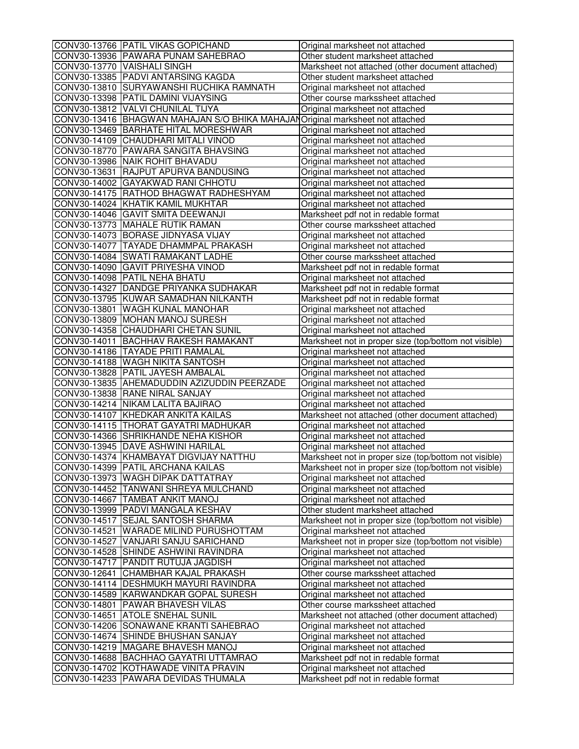| CONV30-13766 PATIL VIKAS GOPICHAND             | Original marksheet not attached                       |
|------------------------------------------------|-------------------------------------------------------|
| CONV30-13936 PAWARA PUNAM SAHEBRAO             | Other student marksheet attached                      |
| CONV30-13770 VAISHALI SINGH                    | Marksheet not attached (other document attached)      |
| CONV30-13385 PADVI ANTARSING KAGDA             | Other student marksheet attached                      |
| CONV30-13810 SURYAWANSHI RUCHIKA RAMNATH       | Original marksheet not attached                       |
| CONV30-13398 PATIL DAMINI VIJAYSING            | Other course markssheet attached                      |
| CONV30-13812 VALVI CHUNILAL TIJYA              | Original marksheet not attached                       |
| CONV30-13416 BHAGWAN MAHAJAN S/O BHIKA MAHAJAN | Original marksheet not attached                       |
| CONV30-13469 BARHATE HITAL MORESHWAR           | Original marksheet not attached                       |
| CONV30-14109 CHAUDHARI MITALI VINOD            | Original marksheet not attached                       |
| CONV30-18770 PAWARA SANGITA BHAVSING           | Original marksheet not attached                       |
| CONV30-13986 NAIK ROHIT BHAVADU                | Original marksheet not attached                       |
| CONV30-13631 RAJPUT APURVA BANDUSING           | Original marksheet not attached                       |
| CONV30-14002 GAYAKWAD RANI CHHOTU              | Original marksheet not attached                       |
| CONV30-14175 RATHOD BHAGWAT RADHESHYAM         | Original marksheet not attached                       |
| CONV30-14024 KHATIK KAMIL MUKHTAR              | Original marksheet not attached                       |
| CONV30-14046 GAVIT SMITA DEEWANJI              | Marksheet pdf not in redable format                   |
| CONV30-13773 MAHALE RUTIK RAMAN                | Other course markssheet attached                      |
| CONV30-14073 BORASE JIDNYASA VIJAY             | Original marksheet not attached                       |
| CONV30-14077 TAYADE DHAMMPAL PRAKASH           | Original marksheet not attached                       |
| CONV30-14084 SWATI RAMAKANT LADHE              | Other course markssheet attached                      |
| CONV30-14090 GAVIT PRIYESHA VINOD              | Marksheet pdf not in redable format                   |
| CONV30-14098 PATIL NEHA BHATU                  | Original marksheet not attached                       |
| CONV30-14327 DANDGE PRIYANKA SUDHAKAR          | Marksheet pdf not in redable format                   |
| CONV30-13795 KUWAR SAMADHAN NILKANTH           | Marksheet pdf not in redable format                   |
| CONV30-13801 WAGH KUNAL MANOHAR                | Original marksheet not attached                       |
| CONV30-13809 MOHAN MANOJ SURESH                | Original marksheet not attached                       |
| CONV30-14358 CHAUDHARI CHETAN SUNIL            | Original marksheet not attached                       |
| CONV30-14011 BACHHAV RAKESH RAMAKANT           | Marksheet not in proper size (top/bottom not visible) |
| CONV30-14186 TAYADE PRITI RAMALAL              | Original marksheet not attached                       |
| CONV30-14188 WAGH NIKITA SANTOSH               | Original marksheet not attached                       |
| CONV30-13828 PATIL JAYESH AMBALAL              | Original marksheet not attached                       |
| CONV30-13835 AHEMADUDDIN AZIZUDDIN PEERZADE    | Original marksheet not attached                       |
| CONV30-13838 RANE NIRAL SANJAY                 | Original marksheet not attached                       |
| CONV30-14214 NIKAM LALITA BAJIRAO              | Original marksheet not attached                       |
| CONV30-14107 KHEDKAR ANKITA KAILAS             | Marksheet not attached (other document attached)      |
| CONV30-14115   THORAT GAYATRI MADHUKAR         | Original marksheet not attached                       |
| CONV30-14366 SHRIKHANDE NEHA KISHOR            | Original marksheet not attached                       |
| CONV30-13945 DAVE ASHWINI HARILAL              | Original marksheet not attached                       |
| CONV30-14374 KHAMBAYAT DIGVIJAY NATTHU         | Marksheet not in proper size (top/bottom not visible) |
| CONV30-14399  PATIL ARCHANA KAILAS             | Marksheet not in proper size (top/bottom not visible) |
| CONV30-13973 WAGH DIPAK DATTATRAY              | Original marksheet not attached                       |
| CONV30-14452 TANWANI SHREYA MULCHAND           | Original marksheet not attached                       |
| CONV30-14667 TAMBAT ANKIT MANOJ                | Original marksheet not attached                       |
| CONV30-13999 PADVI MANGALA KESHAV              | Other student marksheet attached                      |
| CONV30-14517 SEJAL SANTOSH SHARMA              | Marksheet not in proper size (top/bottom not visible) |
| CONV30-14521 WARADE MILIND PURUSHOTTAM         | Original marksheet not attached                       |
| CONV30-14527 VANJARI SANJU SARICHAND           | Marksheet not in proper size (top/bottom not visible) |
| CONV30-14528 SHINDE ASHWINI RAVINDRA           | Original marksheet not attached                       |
| CONV30-14717 PANDIT RUTUJA JAGDISH             | Original marksheet not attached                       |
| CONV30-12641 CHAMBHAR KAJAL PRAKASH            | Other course markssheet attached                      |
| CONV30-14114   DESHMUKH MAYURI RAVINDRA        | Original marksheet not attached                       |
| CONV30-14589 KARWANDKAR GOPAL SURESH           | Original marksheet not attached                       |
| CONV30-14801 PAWAR BHAVESH VILAS               |                                                       |
| CONV30-14651 ATOLE SNEHAL SUNIL                | Other course markssheet attached                      |
|                                                | Marksheet not attached (other document attached)      |
| CONV30-14206 SONAWANE KRANTI SAHEBRAO          | Original marksheet not attached                       |
| CONV30-14674 SHINDE BHUSHAN SANJAY             | Original marksheet not attached                       |
| CONV30-14219 MAGARE BHAVESH MANOJ              | Original marksheet not attached                       |
| CONV30-14688 BACHHAO GAYATRI UTTAMRAO          | Marksheet pdf not in redable format                   |
| CONV30-14702 KOTHAWADE VINITA PRAVIN           | Original marksheet not attached                       |
| CONV30-14233 PAWARA DEVIDAS THUMALA            | Marksheet pdf not in redable format                   |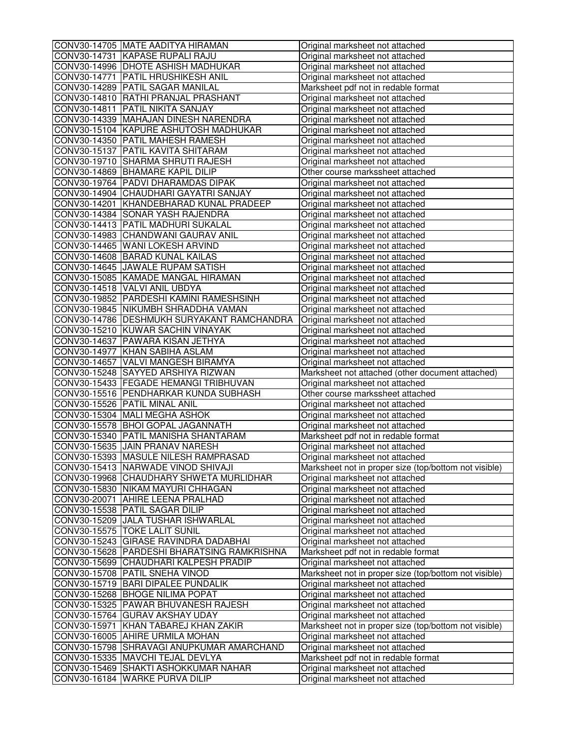| CONV30-14705 MATE AADITYA HIRAMAN           | Original marksheet not attached                       |
|---------------------------------------------|-------------------------------------------------------|
| CONV30-14731 KAPASE RUPALI RAJU             | Original marksheet not attached                       |
| CONV30-14996 DHOTE ASHISH MADHUKAR          | Original marksheet not attached                       |
| CONV30-14771 PATIL HRUSHIKESH ANIL          | Original marksheet not attached                       |
| CONV30-14289 PATIL SAGAR MANILAL            | Marksheet pdf not in redable format                   |
| CONV30-14810 RATHI PRANJAL PRASHANT         | Original marksheet not attached                       |
| CONV30-14811 PATIL NIKITA SANJAY            | Original marksheet not attached                       |
| CONV30-14339 MAHAJAN DINESH NARENDRA        | Original marksheet not attached                       |
| CONV30-15104 KAPURE ASHUTOSH MADHUKAR       | Original marksheet not attached                       |
| CONV30-14350 PATIL MAHESH RAMESH            | Original marksheet not attached                       |
| CONV30-15137 PATIL KAVITA SHITARAM          | Original marksheet not attached                       |
| CONV30-19710 SHARMA SHRUTI RAJESH           | Original marksheet not attached                       |
| CONV30-14869 BHAMARE KAPIL DILIP            | Other course markssheet attached                      |
| CONV30-19764   PADVI DHARAMDAS DIPAK        | Original marksheet not attached                       |
| CONV30-14904 CHAUDHARI GAYATRI SANJAY       | Original marksheet not attached                       |
| CONV30-14201 KHANDEBHARAD KUNAL PRADEEP     | Original marksheet not attached                       |
| CONV30-14384 SONAR YASH RAJENDRA            | Original marksheet not attached                       |
| CONV30-14413 PATIL MADHURI SUKALAL          | Original marksheet not attached                       |
| CONV30-14983 CHANDWANI GAURAV ANIL          | Original marksheet not attached                       |
| CONV30-14465 WANI LOKESH ARVIND             | Original marksheet not attached                       |
| CONV30-14608 BARAD KUNAL KAILAS             | Original marksheet not attached                       |
| CONV30-14645 JAWALE RUPAM SATISH            | Original marksheet not attached                       |
| CONV30-15085 KAMADE MANGAL HIRAMAN          | Original marksheet not attached                       |
| CONV30-14518 VALVI ANIL UBDYA               | Original marksheet not attached                       |
| CONV30-19852 PARDESHI KAMINI RAMESHSINH     | Original marksheet not attached                       |
| CONV30-19845 NIKUMBH SHRADDHA VAMAN         | Original marksheet not attached                       |
| CONV30-14786 DESHMUKH SURYAKANT RAMCHANDRA  | Original marksheet not attached                       |
| CONV30-15210 KUWAR SACHIN VINAYAK           | Original marksheet not attached                       |
| CONV30-14637 PAWARA KISAN JETHYA            | Original marksheet not attached                       |
| CONV30-14977 KHAN SABIHA ASLAM              | Original marksheet not attached                       |
| CONV30-14657 VALVI MANGESH BIRAMYA          | Original marksheet not attached                       |
| CONV30-15248 SAYYED ARSHIYA RIZWAN          | Marksheet not attached (other document attached)      |
| CONV30-15433 FEGADE HEMANGI TRIBHUVAN       | Original marksheet not attached                       |
| CONV30-15516 PENDHARKAR KUNDA SUBHASH       | Other course markssheet attached                      |
| CONV30-15526 PATIL MINAL ANIL               | Original marksheet not attached                       |
| CONV30-15304 MALI MEGHA ASHOK               | Original marksheet not attached                       |
| CONV30-15578 BHOI GOPAL JAGANNATH           | Original marksheet not attached                       |
| CONV30-15340 PATIL MANISHA SHANTARAM        | Marksheet pdf not in redable format                   |
| CONV30-15635 JAIN PRANAV NARESH             | Original marksheet not attached                       |
| CONV30-15393 MASULE NILESH RAMPRASAD        | Original marksheet not attached                       |
| CONV30-15413  NARWADE VINOD SHIVAJI         | Marksheet not in proper size (top/bottom not visible) |
| CONV30-19968 CHAUDHARY SHWETA MURLIDHAR     | Original marksheet not attached                       |
| CONV30-15830 NIKAM MAYURI CHHAGAN           | Original marksheet not attached                       |
| CONV30-20071 AHIRE LEENA PRALHAD            | Original marksheet not attached                       |
| CONV30-15538 PATIL SAGAR DILIP              | Original marksheet not attached                       |
| CONV30-15209 JJALA TUSHAR ISHWARLAL         | Original marksheet not attached                       |
| CONV30-15575 TOKE LALIT SUNIL               | Original marksheet not attached                       |
| CONV30-15243 GIRASE RAVINDRA DADABHAI       | Original marksheet not attached                       |
| CONV30-15628 PARDESHI BHARATSING RAMKRISHNA | Marksheet pdf not in redable format                   |
| CONV30-15699 CHAUDHARI KALPESH PRADIP       | Original marksheet not attached                       |
| CONV30-15708 PATIL SNEHA VINOD              | Marksheet not in proper size (top/bottom not visible) |
| CONV30-15719 BARI DIPALEE PUNDALIK          | Original marksheet not attached                       |
| CONV30-15268 BHOGE NILIMA POPAT             | Original marksheet not attached                       |
| CONV30-15325 PAWAR BHUVANESH RAJESH         | Original marksheet not attached                       |
| CONV30-15764 GURAV AKSHAY UDAY              | Original marksheet not attached                       |
| CONV30-15971 KHAN TABAREJ KHAN ZAKIR        | Marksheet not in proper size (top/bottom not visible) |
| CONV30-16005 AHIRE URMILA MOHAN             | Original marksheet not attached                       |
| CONV30-15798 SHRAVAGI ANUPKUMAR AMARCHAND   | Original marksheet not attached                       |
| CONV30-15335 MAVCHI TEJAL DEVLYA            | Marksheet pdf not in redable format                   |
| CONV30-15469 SHAKTI ASHOKKUMAR NAHAR        |                                                       |
|                                             | Original marksheet not attached                       |
| CONV30-16184 WARKE PURVA DILIP              | Original marksheet not attached                       |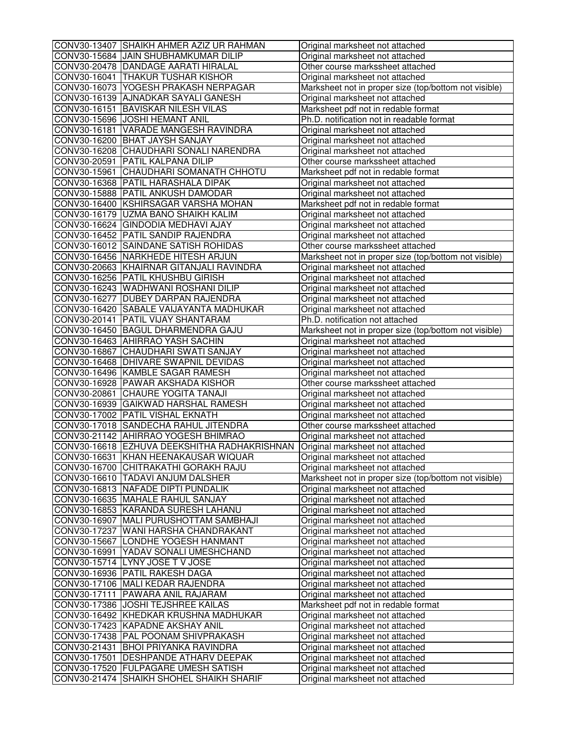| CONV30-13407 SHAIKH AHMER AZIZ UR RAHMAN     | Original marksheet not attached                                    |
|----------------------------------------------|--------------------------------------------------------------------|
| CONV30-15684 JJAIN SHUBHAMKUMAR DILIP        | Original marksheet not attached                                    |
| CONV30-20478 DANDAGE AARATI HIRALAL          | Other course markssheet attached                                   |
| CONV30-16041 THAKUR TUSHAR KISHOR            | Original marksheet not attached                                    |
| CONV30-16073 YOGESH PRAKASH NERPAGAR         | Marksheet not in proper size (top/bottom not visible)              |
| CONV30-16139 AJNADKAR SAYALI GANESH          | Original marksheet not attached                                    |
| CONV30-16151 BAVISKAR NILESH VILAS           | Marksheet pdf not in redable format                                |
| CONV30-15696 JJOSHI HEMANT ANIL              | Ph.D. notification not in readable format                          |
| CONV30-16181 VARADE MANGESH RAVINDRA         | Original marksheet not attached                                    |
| CONV30-16200 BHAT JAYSH SANJAY               | Original marksheet not attached                                    |
| CONV30-16208 CHAUDHARI SONALI NARENDRA       | Original marksheet not attached                                    |
| CONV30-20591 PATIL KALPANA DILIP             | Other course markssheet attached                                   |
| CONV30-15961 CHAUDHARI SOMANATH CHHOTU       | Marksheet pdf not in redable format                                |
| CONV30-16368 PATIL HARASHALA DIPAK           | Original marksheet not attached                                    |
| CONV30-15888 PATIL ANKUSH DAMODAR            | Original marksheet not attached                                    |
| CONV30-16400 KSHIRSAGAR VARSHA MOHAN         | Marksheet pdf not in redable format                                |
| CONV30-16179 UZMA BANO SHAIKH KALIM          | Original marksheet not attached                                    |
| CONV30-16624 GINDODIA MEDHAVI AJAY           | Original marksheet not attached                                    |
| CONV30-16452 PATIL SANDIP RAJENDRA           | Original marksheet not attached                                    |
| CONV30-16012 SAINDANE SATISH ROHIDAS         | Other course markssheet attached                                   |
| CONV30-16456 NARKHEDE HITESH ARJUN           | Marksheet not in proper size (top/bottom not visible)              |
| CONV30-20663 KHAIRNAR GITANJALI RAVINDRA     | Original marksheet not attached                                    |
| CONV30-16256 PATIL KHUSHBU GIRISH            | Original marksheet not attached                                    |
| CONV30-16243 WADHWANI ROSHANI DILIP          | Original marksheet not attached                                    |
| CONV30-16277 DUBEY DARPAN RAJENDRA           | Original marksheet not attached                                    |
| CONV30-16420 SABALE VAIJAYANTA MADHUKAR      | Original marksheet not attached                                    |
| CONV30-20141   PATIL VIJAY SHANTARAM         | Ph.D. notification not attached                                    |
| CONV30-16450 BAGUL DHARMENDRA GAJU           | Marksheet not in proper size (top/bottom not visible)              |
| CONV30-16463 AHIRRAO YASH SACHIN             | Original marksheet not attached                                    |
| CONV30-16867 CHAUDHARI SWATI SANJAY          | Original marksheet not attached                                    |
| CONV30-16468 DHIVARE SWAPNIL DEVIDAS         | Original marksheet not attached                                    |
| CONV30-16496 KAMBLE SAGAR RAMESH             | Original marksheet not attached                                    |
| CONV30-16928 PAWAR AKSHADA KISHOR            | Other course markssheet attached                                   |
| CONV30-20861 CHAURE YOGITA TANAJI            | Original marksheet not attached                                    |
| CONV30-16939 GAIKWAD HARSHAL RAMESH          |                                                                    |
| CONV30-17002 PATIL VISHAL EKNATH             | Original marksheet not attached<br>Original marksheet not attached |
| CONV30-17018 SANDECHA RAHUL JITENDRA         | Other course markssheet attached                                   |
| CONV30-21142 AHIRRAO YOGESH BHIMRAO          |                                                                    |
| CONV30-16618 EZHUVA DEEKSHITHA RADHAKRISHNAN | Original marksheet not attached                                    |
| CONV30-16631 KHAN HEENAKAUSAR WIQUAR         | Original marksheet not attached                                    |
|                                              | Original marksheet not attached                                    |
| CONV30-16700  CHITRAKATHI GORAKH RAJU        | Original marksheet not attached                                    |
| CONV30-16610 TADAVI ANJUM DALSHER            | Marksheet not in proper size (top/bottom not visible)              |
| CONV30-16813 NAFADE DIPTI PUNDALIK           | Original marksheet not attached                                    |
| CONV30-16635 MAHALE RAHUL SANJAY             | Original marksheet not attached                                    |
| CONV30-16853 KARANDA SURESH LAHANU           | Original marksheet not attached                                    |
| CONV30-16907 MALI PURUSHOTTAM SAMBHAJI       | Original marksheet not attached                                    |
| CONV30-17237 WANI HARSHA CHANDRAKANT         | Original marksheet not attached                                    |
| CONV30-15667 LONDHE YOGESH HANMANT           | Original marksheet not attached                                    |
| CONV30-16991 YADAV SONALI UMESHCHAND         | Original marksheet not attached                                    |
| CONV30-15714 LYNY JOSE TV JOSE               | Original marksheet not attached                                    |
| CONV30-16936 PATIL RAKESH DAGA               | Original marksheet not attached                                    |
| CONV30-17106 MALI KEDAR RAJENDRA             | Original marksheet not attached                                    |
| CONV30-17111   PAWARA ANIL RAJARAM           | Original marksheet not attached                                    |
| CONV30-17386 JOSHI TEJSHREE KAILAS           | Marksheet pdf not in redable format                                |
| CONV30-16492 KHEDKAR KRUSHNA MADHUKAR        | Original marksheet not attached                                    |
| CONV30-17423 KAPADNE AKSHAY ANIL             | Original marksheet not attached                                    |
| CONV30-17438   PAL POONAM SHIVPRAKASH        | Original marksheet not attached                                    |
| CONV30-21431 BHOI PRIYANKA RAVINDRA          | Original marksheet not attached                                    |
| CONV30-17501 DESHPANDE ATHARV DEEPAK         | Original marksheet not attached                                    |
| CONV30-17520 FULPAGARE UMESH SATISH          | Original marksheet not attached                                    |
| CONV30-21474 SHAIKH SHOHEL SHAIKH SHARIF     | Original marksheet not attached                                    |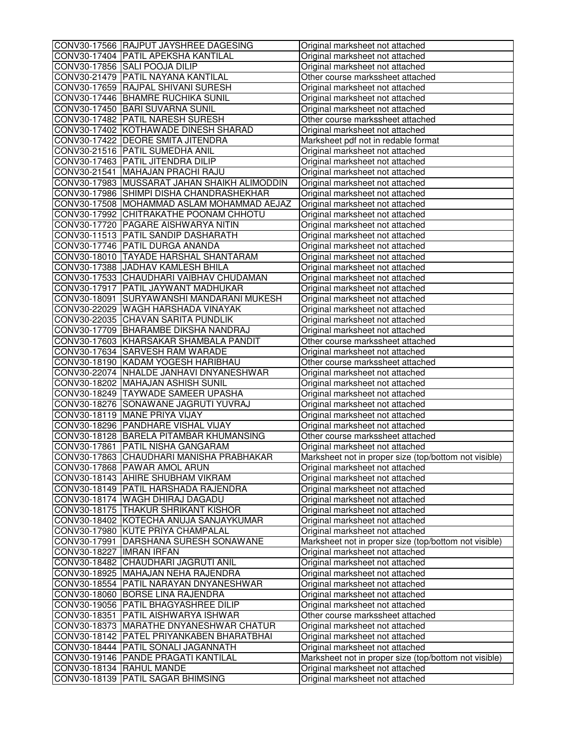|                           | CONV30-17566 RAJPUT JAYSHREE DAGESING        | Original marksheet not attached                       |
|---------------------------|----------------------------------------------|-------------------------------------------------------|
|                           | CONV30-17404 PATIL APEKSHA KANTILAL          | Original marksheet not attached                       |
|                           | CONV30-17856 SALI POOJA DILIP                | Original marksheet not attached                       |
|                           | CONV30-21479 PATIL NAYANA KANTILAL           | Other course markssheet attached                      |
|                           | CONV30-17659 RAJPAL SHIVANI SURESH           | Original marksheet not attached                       |
|                           | CONV30-17446 BHAMRE RUCHIKA SUNIL            | Original marksheet not attached                       |
|                           | CONV30-17450 BARI SUVARNA SUNIL              | Original marksheet not attached                       |
|                           | CONV30-17482 PATIL NARESH SURESH             | Other course markssheet attached                      |
|                           | CONV30-17402 KOTHAWADE DINESH SHARAD         | Original marksheet not attached                       |
|                           | CONV30-17422 DEORE SMITA JITENDRA            | Marksheet pdf not in redable format                   |
|                           | CONV30-21516 PATIL SUMEDHA ANIL              |                                                       |
|                           |                                              | Original marksheet not attached                       |
|                           | CONV30-17463 PATIL JITENDRA DILIP            | Original marksheet not attached                       |
|                           | CONV30-21541 MAHAJAN PRACHI RAJU             | Original marksheet not attached                       |
|                           | CONV30-17983 MUSSARAT JAHAN SHAIKH ALIMODDIN | Original marksheet not attached                       |
|                           | CONV30-17986 SHIMPI DISHA CHANDRASHEKHAR     | Original marksheet not attached                       |
|                           | CONV30-17508 MOHAMMAD ASLAM MOHAMMAD AEJAZ   | Original marksheet not attached                       |
|                           | CONV30-17992 CHITRAKATHE POONAM CHHOTU       | Original marksheet not attached                       |
|                           | CONV30-17720 PAGARE AISHWARYA NITIN          | Original marksheet not attached                       |
|                           | CONV30-11513 PATIL SANDIP DASHARATH          | Original marksheet not attached                       |
|                           | CONV30-17746 PATIL DURGA ANANDA              | Original marksheet not attached                       |
|                           | CONV30-18010 TAYADE HARSHAL SHANTARAM        | Original marksheet not attached                       |
|                           | CONV30-17388 JADHAV KAMLESH BHILA            | Original marksheet not attached                       |
|                           | CONV30-17533 CHAUDHARI VAIBHAV CHUDAMAN      | Original marksheet not attached                       |
|                           | CONV30-17917 PATIL JAYWANT MADHUKAR          | Original marksheet not attached                       |
|                           | CONV30-18091 SURYAWANSHI MANDARANI MUKESH    | Original marksheet not attached                       |
|                           | CONV30-22029 WAGH HARSHADA VINAYAK           | Original marksheet not attached                       |
|                           | CONV30-22035 CHAVAN SARITA PUNDLIK           | Original marksheet not attached                       |
|                           | CONV30-17709 BHARAMBE DIKSHA NANDRAJ         | Original marksheet not attached                       |
|                           | CONV30-17603 KHARSAKAR SHAMBALA PANDIT       | Other course markssheet attached                      |
|                           | CONV30-17634 SARVESH RAM WARADE              | Original marksheet not attached                       |
|                           | CONV30-18190 KADAM YOGESH HARIBHAU           | Other course markssheet attached                      |
|                           | CONV30-22074 NHALDE JANHAVI DNYANESHWAR      | Original marksheet not attached                       |
|                           | CONV30-18202 MAHAJAN ASHISH SUNIL            | Original marksheet not attached                       |
|                           | CONV30-18249  TAYWADE SAMEER UPASHA          |                                                       |
|                           |                                              | Original marksheet not attached                       |
|                           | CONV30-18276 SONAWANE JAGRUTI YUVRAJ         | Original marksheet not attached                       |
|                           | CONV30-18119 MANE PRIYA VIJAY                | Original marksheet not attached                       |
|                           | CONV30-18296 PANDHARE VISHAL VIJAY           | Original marksheet not attached                       |
|                           | CONV30-18128 BARELA PITAMBAR KHUMANSING      | Other course markssheet attached                      |
|                           | CONV30-17861 PATIL NISHA GANGARAM            | Original marksheet not attached                       |
|                           | CONV30-17863 CHAUDHARI MANISHA PRABHAKAR     | Marksheet not in proper size (top/bottom not visible) |
|                           | CONV30-17868  PAWAR AMOL ARUN                | Original marksheet not attached                       |
|                           | CONV30-18143 AHIRE SHUBHAM VIKRAM            | Original marksheet not attached                       |
|                           | CONV30-18149 PATIL HARSHADA RAJENDRA         | Original marksheet not attached                       |
|                           | CONV30-18174 WAGH DHIRAJ DAGADU              | Original marksheet not attached                       |
|                           | CONV30-18175 THAKUR SHRIKANT KISHOR          | Original marksheet not attached                       |
|                           | CONV30-18402 KOTECHA ANUJA SANJAYKUMAR       | Original marksheet not attached                       |
|                           | CONV30-17980 KUTE PRIYA CHAMPALAL            | Original marksheet not attached                       |
|                           | CONV30-17991 DARSHANA SURESH SONAWANE        | Marksheet not in proper size (top/bottom not visible) |
| CONV30-18227  IMRAN IRFAN |                                              | Original marksheet not attached                       |
|                           | CONV30-18482 CHAUDHARI JAGRUTI ANIL          | Original marksheet not attached                       |
|                           | CONV30-18925 MAHAJAN NEHA RAJENDRA           | Original marksheet not attached                       |
|                           | CONV30-18554 PATIL NARAYAN DNYANESHWAR       | Original marksheet not attached                       |
|                           | CONV30-18060 BORSE LINA RAJENDRA             | Original marksheet not attached                       |
|                           | CONV30-19056 PATIL BHAGYASHREE DILIP         | Original marksheet not attached                       |
|                           | CONV30-18351 PATIL AISHWARYA ISHWAR          | Other course markssheet attached                      |
|                           |                                              |                                                       |
|                           | CONV30-18373 MARATHE DNYANESHWAR CHATUR      | Original marksheet not attached                       |
|                           | CONV30-18142   PATEL PRIYANKABEN BHARATBHAI  | Original marksheet not attached                       |
|                           | CONV30-18444   PATIL SONALI JAGANNATH        | Original marksheet not attached                       |
|                           | CONV30-19146   PANDE PRAGATI KANTILAL        | Marksheet not in proper size (top/bottom not visible) |
|                           | CONV30-18134 RAHUL MANDE                     | Original marksheet not attached                       |
|                           | CONV30-18139 PATIL SAGAR BHIMSING            | Original marksheet not attached                       |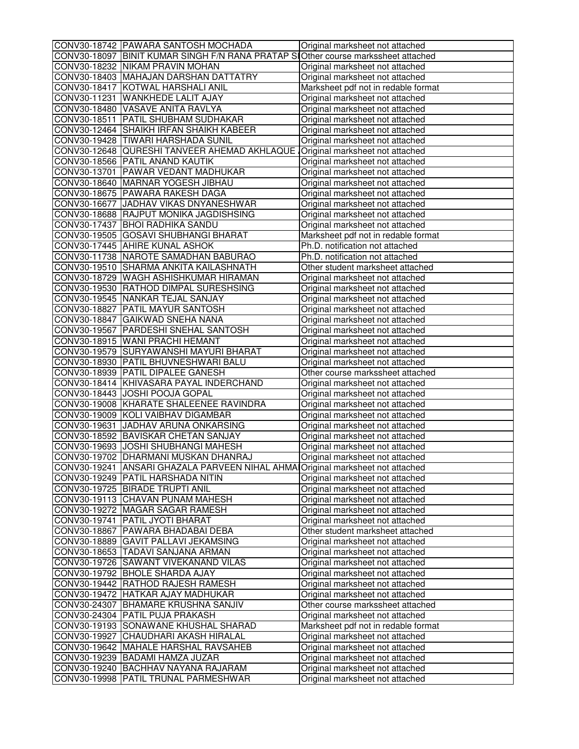| CONV30-18742 PAWARA SANTOSH MOCHADA                                               | Original marksheet not attached                                    |
|-----------------------------------------------------------------------------------|--------------------------------------------------------------------|
| CONV30-18097 BINIT KUMAR SINGH F/N RANA PRATAP SO ther course markssheet attached |                                                                    |
| CONV30-18232 NIKAM PRAVIN MOHAN                                                   | Original marksheet not attached                                    |
| CONV30-18403 MAHAJAN DARSHAN DATTATRY                                             | Original marksheet not attached                                    |
| CONV30-18417 KOTWAL HARSHALI ANIL                                                 | Marksheet pdf not in redable format                                |
| CONV30-11231 WANKHEDE LALIT AJAY                                                  | Original marksheet not attached                                    |
| CONV30-18480 VASAVE ANITA RAVLYA                                                  | Original marksheet not attached                                    |
| CONV30-18511 PATIL SHUBHAM SUDHAKAR                                               | Original marksheet not attached                                    |
| CONV30-12464 SHAIKH IRFAN SHAIKH KABEER                                           | Original marksheet not attached                                    |
| CONV30-19428 TIWARI HARSHADA SUNIL                                                | Original marksheet not attached                                    |
| CONV30-12648 QURESHI TANVEER AHEMAD AKHLAQUE                                      | Original marksheet not attached                                    |
| CONV30-18566 PATIL ANAND KAUTIK                                                   | Original marksheet not attached                                    |
| CONV30-13701 PAWAR VEDANT MADHUKAR                                                | Original marksheet not attached                                    |
| CONV30-18640 MARNAR YOGESH JIBHAU                                                 | Original marksheet not attached                                    |
| CONV30-18675 PAWARA RAKESH DAGA                                                   | Original marksheet not attached                                    |
| CONV30-16677 JADHAV VIKAS DNYANESHWAR                                             | Original marksheet not attached                                    |
| CONV30-18688 RAJPUT MONIKA JAGDISHSING                                            | Original marksheet not attached                                    |
| CONV30-17437 BHOI RADHIKA SANDU                                                   | Original marksheet not attached                                    |
| CONV30-19505 GOSAVI SHUBHANGI BHARAT                                              | Marksheet pdf not in redable format                                |
| CONV30-17445 AHIRE KUNAL ASHOK                                                    | Ph.D. notification not attached                                    |
| CONV30-11738 NAROTE SAMADHAN BABURAO                                              | Ph.D. notification not attached                                    |
| CONV30-19510 SHARMA ANKITA KAILASHNATH                                            | Other student marksheet attached                                   |
| CONV30-18729 WAGH ASHISHKUMAR HIRAMAN                                             | Original marksheet not attached                                    |
| CONV30-19530 RATHOD DIMPAL SURESHSING                                             | Original marksheet not attached                                    |
| CONV30-19545 NANKAR TEJAL SANJAY                                                  | Original marksheet not attached                                    |
| CONV30-18827 PATIL MAYUR SANTOSH                                                  | Original marksheet not attached                                    |
| CONV30-18847 GAIKWAD SNEHA NANA                                                   | Original marksheet not attached                                    |
| CONV30-19567   PARDESHI SNEHAL SANTOSH                                            | Original marksheet not attached                                    |
| CONV30-18915 WANI PRACHI HEMANT                                                   | Original marksheet not attached                                    |
| CONV30-19579 SURYAWANSHI MAYURI BHARAT                                            | Original marksheet not attached                                    |
| CONV30-18930 PATIL BHUVNESHWARI BALU                                              | Original marksheet not attached                                    |
| CONV30-18939 PATIL DIPALEE GANESH                                                 |                                                                    |
| CONV30-18414 KHIVASARA PAYAL INDERCHAND                                           | Other course markssheet attached                                   |
| CONV30-18443 JJOSHI POOJA GOPAL                                                   | Original marksheet not attached<br>Original marksheet not attached |
| CONV30-19008 KHARATE SHALEENEE RAVINDRA                                           | Original marksheet not attached                                    |
| CONV30-19009 KOLI VAIBHAV DIGAMBAR                                                | Original marksheet not attached                                    |
| CONV30-19631 JADHAV ARUNA ONKARSING                                               | Original marksheet not attached                                    |
| CONV30-18592 BAVISKAR CHETAN SANJAY                                               | Original marksheet not attached                                    |
|                                                                                   |                                                                    |
| CONV30-19693 JJOSHI SHUBHANGI MAHESH<br>CONV30-19702 DHARMANI MUSKAN DHANRAJ      | Original marksheet not attached                                    |
|                                                                                   | Original marksheet not attached                                    |
| CONV30-19241  ANSARI GHAZALA PARVEEN NIHAL AHMA Original marksheet not attached   |                                                                    |
| CONV30-19249 PATIL HARSHADA NITIN                                                 | Original marksheet not attached                                    |
| CONV30-19725   BIRADE TRUPTI ANIL                                                 | Original marksheet not attached                                    |
| CONV30-19113 CHAVAN PUNAM MAHESH                                                  | Original marksheet not attached                                    |
| CONV30-19272 MAGAR SAGAR RAMESH                                                   | Original marksheet not attached                                    |
| CONV30-19741 PATIL JYOTI BHARAT                                                   | Original marksheet not attached                                    |
| CONV30-18867 PAWARA BHADABAI DEBA                                                 | Other student marksheet attached                                   |
| CONV30-18889 GAVIT PALLAVI JEKAMSING                                              | Original marksheet not attached                                    |
| CONV30-18653  TADAVI SANJANA ARMAN                                                | Original marksheet not attached                                    |
| CONV30-19726 SAWANT VIVEKANAND VILAS                                              | Original marksheet not attached                                    |
| CONV30-19792 BHOLE SHARDA AJAY                                                    | Original marksheet not attached                                    |
| CONV30-19442 RATHOD RAJESH RAMESH                                                 | Original marksheet not attached                                    |
| CONV30-19472 HATKAR AJAY MADHUKAR                                                 | Original marksheet not attached                                    |
| CONV30-24307 BHAMARE KRUSHNA SANJIV                                               | Other course markssheet attached                                   |
| CONV30-24304   PATIL PUJA PRAKASH                                                 | Original marksheet not attached                                    |
| CONV30-19193 SONAWANE KHUSHAL SHARAD                                              | Marksheet pdf not in redable format                                |
| CONV30-19927 CHAUDHARI AKASH HIRALAL                                              | Original marksheet not attached                                    |
| CONV30-19642 MAHALE HARSHAL RAVSAHEB                                              | Original marksheet not attached                                    |
| CONV30-19239 BADAMI HAMZA JUZAR                                                   | Original marksheet not attached                                    |
| CONV30-19240 BACHHAV NAYANA RAJARAM                                               | Original marksheet not attached                                    |
| CONV30-19998 PATIL TRUNAL PARMESHWAR                                              | Original marksheet not attached                                    |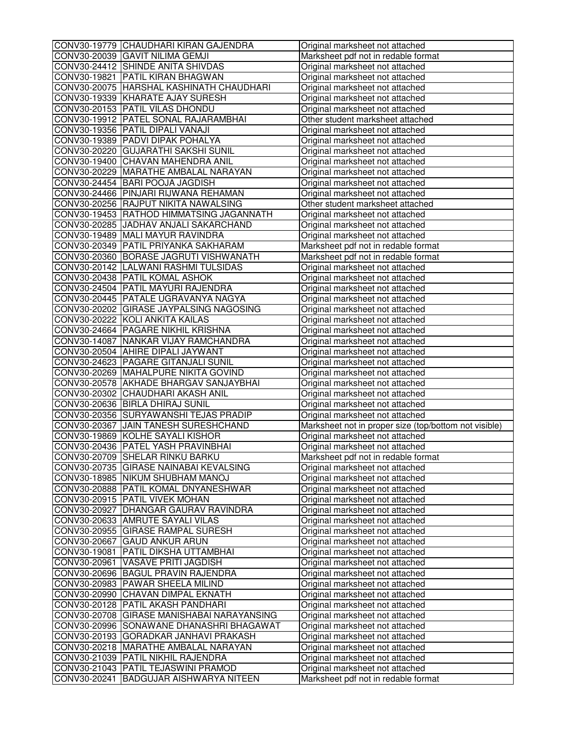| CONV30-19779 CHAUDHARI KIRAN GAJENDRA      | Original marksheet not attached                       |
|--------------------------------------------|-------------------------------------------------------|
| CONV30-20039 GAVIT NILIMA GEMJI            | Marksheet pdf not in redable format                   |
| CONV30-24412 SHINDE ANITA SHIVDAS          | Original marksheet not attached                       |
| CONV30-19821 PATIL KIRAN BHAGWAN           | Original marksheet not attached                       |
| CONV30-20075 HARSHAL KASHINATH CHAUDHARI   | Original marksheet not attached                       |
| CONV30-19339 KHARATE AJAY SURESH           | Original marksheet not attached                       |
| CONV30-20153 PATIL VILAS DHONDU            | Original marksheet not attached                       |
| CONV30-19912 PATEL SONAL RAJARAMBHAI       | Other student marksheet attached                      |
| CONV30-19356 PATIL DIPALI VANAJI           | Original marksheet not attached                       |
| CONV30-19389 PADVI DIPAK POHALYA           |                                                       |
| CONV30-20220 GUJARATHI SAKSHI SUNIL        | Original marksheet not attached                       |
|                                            | Original marksheet not attached                       |
| CONV30-19400 CHAVAN MAHENDRA ANIL          | Original marksheet not attached                       |
| CONV30-20229 MARATHE AMBALAL NARAYAN       | Original marksheet not attached                       |
| CONV30-24454 BARI POOJA JAGDISH            | Original marksheet not attached                       |
| CONV30-24466 PINJARI RIJWANA REHAMAN       | Original marksheet not attached                       |
| CONV30-20256 RAJPUT NIKITA NAWALSING       | Other student marksheet attached                      |
| CONV30-19453 RATHOD HIMMATSING JAGANNATH   | Original marksheet not attached                       |
| CONV30-20285 JJADHAV ANJALI SAKARCHAND     | Original marksheet not attached                       |
| CONV30-19489 MALI MAYUR RAVINDRA           | Original marksheet not attached                       |
| CONV30-20349 PATIL PRIYANKA SAKHARAM       | Marksheet pdf not in redable format                   |
| CONV30-20360 BORASE JAGRUTI VISHWANATH     | Marksheet pdf not in redable format                   |
| CONV30-20142 LALWANI RASHMI TULSIDAS       | Original marksheet not attached                       |
| CONV30-20438 PATIL KOMAL ASHOK             | Original marksheet not attached                       |
| CONV30-24504 PATIL MAYURI RAJENDRA         | Original marksheet not attached                       |
| CONV30-20445 PATALE UGRAVANYA NAGYA        | Original marksheet not attached                       |
| CONV30-20202 GIRASE JAYPALSING NAGOSING    | Original marksheet not attached                       |
| CONV30-20222 KOLI ANKITA KAILAS            | Original marksheet not attached                       |
| CONV30-24664 PAGARE NIKHIL KRISHNA         | Original marksheet not attached                       |
| CONV30-14087 NANKAR VIJAY RAMCHANDRA       | Original marksheet not attached                       |
| CONV30-20504 AHIRE DIPALI JAYWANT          | Original marksheet not attached                       |
| CONV30-24623 PAGARE GITANJALI SUNIL        | Original marksheet not attached                       |
| CONV30-20269 MAHALPURE NIKITA GOVIND       | Original marksheet not attached                       |
| CONV30-20578 AKHADE BHARGAV SANJAYBHAI     | Original marksheet not attached                       |
| CONV30-20302 CHAUDHARI AKASH ANIL          |                                                       |
|                                            | Original marksheet not attached                       |
| CONV30-20636 BIRLA DHIRAJ SUNIL            | Original marksheet not attached                       |
| CONV30-20356 SURYAWANSHI TEJAS PRADIP      | Original marksheet not attached                       |
| CONV30-20367 JJAIN TANESH SURESHCHAND      | Marksheet not in proper size (top/bottom not visible) |
| CONV30-19869 KOLHE SAYALI KISHOR           | Original marksheet not attached                       |
| CONV30-20436 PATEL YASH PRAVINBHAI         | Original marksheet not attached                       |
| CONV30-20709 SHELAR RINKU BARKU            | Marksheet pdf not in redable format                   |
| CONV30-20735 GIRASE NAINABAI KEVALSING     | Original marksheet not attached                       |
| CONV30-18985 NIKUM SHUBHAM MANOJ           | Original marksheet not attached                       |
| CONV30-20888 PATIL KOMAL DNYANESHWAR       | Original marksheet not attached                       |
| CONV30-20915 PATIL VIVEK MOHAN             | Original marksheet not attached                       |
| CONV30-20927 DHANGAR GAURAV RAVINDRA       | Original marksheet not attached                       |
| CONV30-20633 AMRUTE SAYALI VILAS           | Original marksheet not attached                       |
| CONV30-20955 GIRASE RAMPAL SURESH          | Original marksheet not attached                       |
| CONV30-20667 GAUD ANKUR ARUN               | Original marksheet not attached                       |
| CONV30-19081   PATIL DIKSHA UTTAMBHAI      | Original marksheet not attached                       |
| CONV30-20961 VASAVE PRITI JAGDISH          | Original marksheet not attached                       |
| CONV30-20696 BAGUL PRAVIN RAJENDRA         | Original marksheet not attached                       |
| CONV30-20983 PAWAR SHEELA MILIND           | Original marksheet not attached                       |
| CONV30-20990 CHAVAN DIMPAL EKNATH          | Original marksheet not attached                       |
| CONV30-20128 PATIL AKASH PANDHARI          | Original marksheet not attached                       |
| CONV30-20708 GIRASE MANISHABAI NARAYANSING | Original marksheet not attached                       |
| CONV30-20996 SONAWANE DHANASHRI BHAGAWAT   | Original marksheet not attached                       |
| CONV30-20193 GORADKAR JANHAVI PRAKASH      | Original marksheet not attached                       |
| CONV30-20218   MARATHE AMBALAL NARAYAN     |                                                       |
|                                            | Original marksheet not attached                       |
| CONV30-21039 PATIL NIKHIL RAJENDRA         | Original marksheet not attached                       |
| CONV30-21043 PATIL TEJASWINI PRAMOD        | Original marksheet not attached                       |
| CONV30-20241 BADGUJAR AISHWARYA NITEEN     | Marksheet pdf not in redable format                   |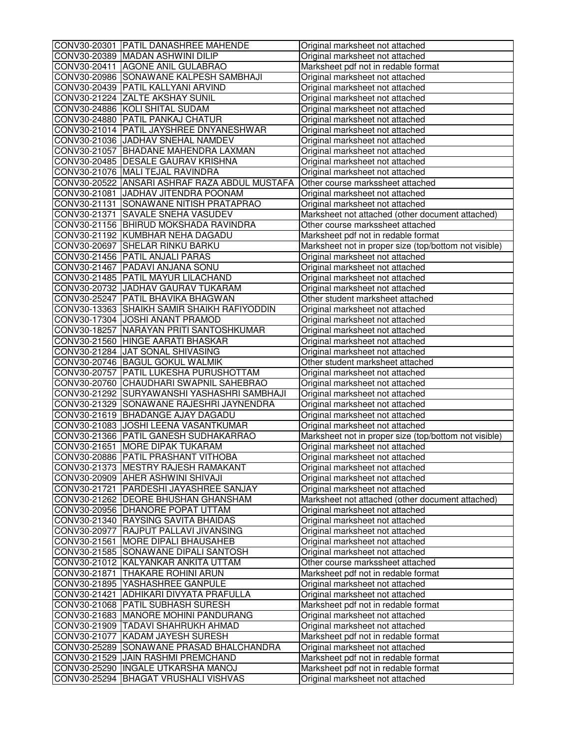| CONV30-20301 PATIL DANASHREE MAHENDE          | Original marksheet not attached                       |
|-----------------------------------------------|-------------------------------------------------------|
| CONV30-20389 MADAN ASHWINI DILIP              | Original marksheet not attached                       |
| CONV30-20411 AGONE ANIL GULABRAO              | Marksheet pdf not in redable format                   |
| CONV30-20986 SONAWANE KALPESH SAMBHAJI        | Original marksheet not attached                       |
| CONV30-20439 PATIL KALLYANI ARVIND            | Original marksheet not attached                       |
| CONV30-21224 ZALTE AKSHAY SUNIL               | Original marksheet not attached                       |
| CONV30-24886 KOLI SHITAL SUDAM                | Original marksheet not attached                       |
| CONV30-24880 PATIL PANKAJ CHATUR              | Original marksheet not attached                       |
| CONV30-21014   PATIL JAYSHREE DNYANESHWAR     | Original marksheet not attached                       |
| CONV30-21036 JADHAV SNEHAL NAMDEV             | Original marksheet not attached                       |
| CONV30-21057 BHADANE MAHENDRA LAXMAN          | Original marksheet not attached                       |
| CONV30-20485   DESALE GAURAV KRISHNA          | Original marksheet not attached                       |
| CONV30-21076 MALI TEJAL RAVINDRA              | Original marksheet not attached                       |
| CONV30-20522 ANSARI ASHRAF RAZA ABDUL MUSTAFA | Other course markssheet attached                      |
| CONV30-21081 JADHAV JITENDRA POONAM           | Original marksheet not attached                       |
| CONV30-21131 SONAWANE NITISH PRATAPRAO        | Original marksheet not attached                       |
| CONV30-21371 SAVALE SNEHA VASUDEV             | Marksheet not attached (other document attached)      |
| CONV30-21156 BHIRUD MOKSHADA RAVINDRA         | Other course markssheet attached                      |
| CONV30-21192 KUMBHAR NEHA DAGADU              | Marksheet pdf not in redable format                   |
| CONV30-20697 SHELAR RINKU BARKU               | Marksheet not in proper size (top/bottom not visible) |
| CONV30-21456 PATIL ANJALI PARAS               | Original marksheet not attached                       |
| CONV30-21467 PADAVI ANJANA SONU               | Original marksheet not attached                       |
| CONV30-21485 PATIL MAYUR LILACHAND            | Original marksheet not attached                       |
| CONV30-20732 JADHAV GAURAV TUKARAM            | Original marksheet not attached                       |
| CONV30-25247 PATIL BHAVIKA BHAGWAN            | Other student marksheet attached                      |
| CONV30-13363 SHAIKH SAMIR SHAIKH RAFIYODDIN   | Original marksheet not attached                       |
| CONV30-17304 JOSHI ANANT PRAMOD               | Original marksheet not attached                       |
| CONV30-18257 NARAYAN PRITI SANTOSHKUMAR       | Original marksheet not attached                       |
| CONV30-21560 HINGE AARATI BHASKAR             | Original marksheet not attached                       |
| CONV30-21284 JJAT SONAL SHIVASING             | Original marksheet not attached                       |
| CONV30-20746 BAGUL GOKUL WALMIK               | Other student marksheet attached                      |
| CONV30-20757 PATIL LUKESHA PURUSHOTTAM        | Original marksheet not attached                       |
| CONV30-20760 CHAUDHARI SWAPNIL SAHEBRAO       | Original marksheet not attached                       |
| CONV30-21292 SURYAWANSHI YASHASHRI SAMBHAJI   | Original marksheet not attached                       |
| CONV30-21329 SONAWANE RAJESHRI JAYNENDRA      | Original marksheet not attached                       |
| CONV30-21619 BHADANGE AJAY DAGADU             | Original marksheet not attached                       |
| CONV30-21083 JJOSHI LEENA VASANTKUMAR         | Original marksheet not attached                       |
| CONV30-21366 PATIL GANESH SUDHAKARRAO         | Marksheet not in proper size (top/bottom not visible) |
| CONV30-21651 MORE DIPAK TUKARAM               | Original marksheet not attached                       |
| CONV30-20886 PATIL PRASHANT VITHOBA           | Original marksheet not attached                       |
| CONV30-21373  MESTRY RAJESH RAMAKANT          | Original marksheet not attached                       |
| CONV30-20909 AHER ASHWINI SHIVAJI             | Original marksheet not attached                       |
| CONV30-21721 PARDESHI JAYASHREE SANJAY        | Original marksheet not attached                       |
| CONV30-21262 DEORE BHUSHAN GHANSHAM           | Marksheet not attached (other document attached)      |
| CONV30-20956 DHANORE POPAT UTTAM              | Original marksheet not attached                       |
| CONV30-21340 RAYSING SAVITA BHAIDAS           | Original marksheet not attached                       |
| CONV30-20977 RAJPUT PALLAVI JIVANSING         | Original marksheet not attached                       |
| CONV30-21561 MORE DIPALI BHAUSAHEB            |                                                       |
|                                               | Original marksheet not attached                       |
| CONV30-21585 SONAWANE DIPALI SANTOSH          | Original marksheet not attached                       |
| CONV30-21012 KALYANKAR ANKITA UTTAM           | Other course markssheet attached                      |
| CONV30-21871 THAKARE ROHINI ARUN              | Marksheet pdf not in redable format                   |
| CONV30-21895 YASHASHREE GANPULE               | Original marksheet not attached                       |
| CONV30-21421 ADHIKARI DIVYATA PRAFULLA        | Original marksheet not attached                       |
| CONV30-21068 PATIL SUBHASH SURESH             | Marksheet pdf not in redable format                   |
| CONV30-21683 MANORE MOHINI PANDURANG          | Original marksheet not attached                       |
| CONV30-21909 TADAVI SHAHRUKH AHMAD            | Original marksheet not attached                       |
| CONV30-21077 KADAM JAYESH SURESH              | Marksheet pdf not in redable format                   |
| CONV30-25289 SONAWANE PRASAD BHALCHANDRA      | Original marksheet not attached                       |
| CONV30-21529 JJAIN RASHMI PREMCHAND           | Marksheet pdf not in redable format                   |
| CONV30-25290  INGALE UTKARSHA MANOJ           | Marksheet pdf not in redable format                   |
| CONV30-25294 BHAGAT VRUSHALI VISHVAS          | Original marksheet not attached                       |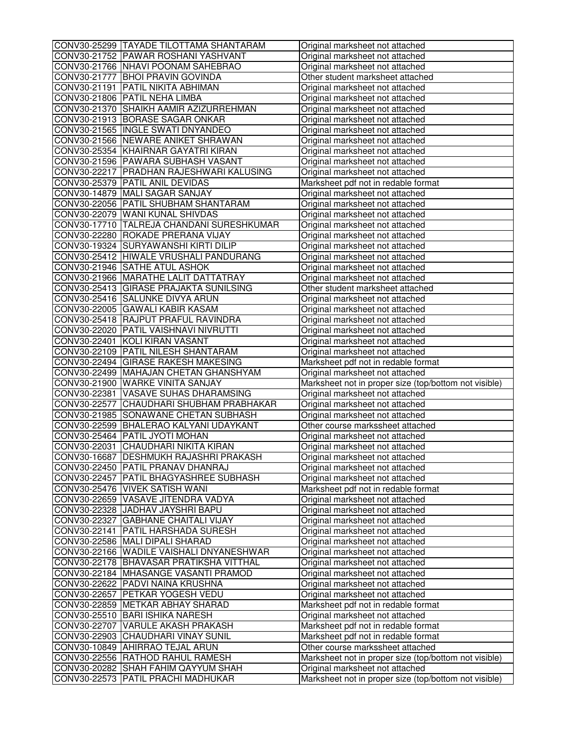| CONV30-25299 TAYADE TILOTTAMA SHANTARAM                                   | Original marksheet not attached                                                          |
|---------------------------------------------------------------------------|------------------------------------------------------------------------------------------|
| CONV30-21752 PAWAR ROSHANI YASHVANT                                       | Original marksheet not attached                                                          |
| CONV30-21766 NHAVI POONAM SAHEBRAO                                        | Original marksheet not attached                                                          |
| CONV30-21777 BHOI PRAVIN GOVINDA                                          | Other student marksheet attached                                                         |
| CONV30-21191 PATIL NIKITA ABHIMAN                                         | Original marksheet not attached                                                          |
| CONV30-21806 PATIL NEHA LIMBA                                             | Original marksheet not attached                                                          |
| CONV30-21370 SHAIKH AAMIR AZIZURREHMAN                                    | Original marksheet not attached                                                          |
| CONV30-21913 BORASE SAGAR ONKAR                                           | Original marksheet not attached                                                          |
| CONV30-21565 INGLE SWATI DNYANDEO                                         | Original marksheet not attached                                                          |
| CONV30-21566 NEWARE ANIKET SHRAWAN                                        | Original marksheet not attached                                                          |
| CONV30-25354 KHAIRNAR GAYATRI KIRAN                                       | Original marksheet not attached                                                          |
| CONV30-21596 PAWARA SUBHASH VASANT                                        | Original marksheet not attached                                                          |
| CONV30-22217 PRADHAN RAJESHWARI KALUSING                                  | Original marksheet not attached                                                          |
| CONV30-25379 PATIL ANIL DEVIDAS                                           | Marksheet pdf not in redable format                                                      |
| CONV30-14879 MALI SAGAR SANJAY                                            | Original marksheet not attached                                                          |
| CONV30-22056 PATIL SHUBHAM SHANTARAM                                      | Original marksheet not attached                                                          |
| CONV30-22079 WANI KUNAL SHIVDAS                                           | Original marksheet not attached                                                          |
| CONV30-17710 TALREJA CHANDANI SURESHKUMAR                                 | Original marksheet not attached                                                          |
| CONV30-22280 ROKADE PRERANA VIJAY                                         | Original marksheet not attached                                                          |
| CONV30-19324 SURYAWANSHI KIRTI DILIP                                      | Original marksheet not attached                                                          |
| CONV30-25412 HIWALE VRUSHALI PANDURANG                                    | Original marksheet not attached                                                          |
| CONV30-21946 SATHE ATUL ASHOK                                             | Original marksheet not attached                                                          |
| CONV30-21966 MARATHE LALIT DATTATRAY                                      | Original marksheet not attached                                                          |
| CONV30-25413 GIRASE PRAJAKTA SUNILSING                                    | Other student marksheet attached                                                         |
| CONV30-25416 SALUNKE DIVYA ARUN                                           | Original marksheet not attached                                                          |
| CONV30-22005 GAWALI KABIR KASAM                                           | Original marksheet not attached                                                          |
| CONV30-25418 RAJPUT PRAFUL RAVINDRA                                       | Original marksheet not attached                                                          |
| CONV30-22020 PATIL VAISHNAVI NIVRUTTI                                     | Original marksheet not attached                                                          |
| CONV30-22401 KOLI KIRAN VASANT                                            | Original marksheet not attached                                                          |
| CONV30-22109 PATIL NILESH SHANTARAM                                       | Original marksheet not attached                                                          |
| CONV30-22494 GIRASE RAKESH MAKESING                                       | Marksheet pdf not in redable format                                                      |
| CONV30-22499 MAHAJAN CHETAN GHANSHYAM                                     | Original marksheet not attached                                                          |
| CONV30-21900 WARKE VINITA SANJAY                                          | Marksheet not in proper size (top/bottom not visible)                                    |
| CONV30-22381 VASAVE SUHAS DHARAMSING                                      | Original marksheet not attached                                                          |
|                                                                           |                                                                                          |
|                                                                           |                                                                                          |
| CONV30-22577 CHAUDHARI SHUBHAM PRABHAKAR                                  | Original marksheet not attached                                                          |
| CONV30-21985 SONAWANE CHETAN SUBHASH                                      | Original marksheet not attached                                                          |
| CONV30-22599 BHALERAO KALYANI UDAYKANT                                    | Other course markssheet attached                                                         |
| CONV30-25464 PATIL JYOTI MOHAN                                            | Original marksheet not attached                                                          |
| CONV30-22031 CHAUDHARI NIKITA KIRAN                                       | Original marksheet not attached                                                          |
| CONV30-16687 DESHMUKH RAJASHRI PRAKASH                                    | Original marksheet not attached                                                          |
| CONV30-22450  PATIL PRANAV DHANRAJ                                        | Original marksheet not attached                                                          |
| CONV30-22457 PATIL BHAGYASHREE SUBHASH                                    | Original marksheet not attached                                                          |
| CONV30-25476 VIVEK SATISH WANI                                            | Marksheet pdf not in redable format                                                      |
| CONV30-22659 VASAVE JITENDRA VADYA                                        | Original marksheet not attached                                                          |
| CONV30-22328 JADHAV JAYSHRI BAPU                                          | Original marksheet not attached                                                          |
| CONV30-22327 GABHANE CHAITALI VIJAY                                       | Original marksheet not attached                                                          |
| CONV30-22141   PATIL HARSHADA SURESH                                      | Original marksheet not attached                                                          |
| CONV30-22586 MALI DIPALI SHARAD                                           | Original marksheet not attached                                                          |
| CONV30-22166 WADILE VAISHALI DNYANESHWAR                                  | Original marksheet not attached                                                          |
| CONV30-22178 BHAVASAR PRATIKSHA VITTHAL                                   | Original marksheet not attached                                                          |
| CONV30-22184 MHASANGE VASANTI PRAMOD                                      | Original marksheet not attached                                                          |
| CONV30-22622 PADVI NAINA KRUSHNA                                          | Original marksheet not attached                                                          |
| CONV30-22657 PETKAR YOGESH VEDU                                           | Original marksheet not attached                                                          |
| CONV30-22859 METKAR ABHAY SHARAD                                          | Marksheet pdf not in redable format                                                      |
| CONV30-25510 BARI ISHIKA NARESH                                           | Original marksheet not attached                                                          |
| CONV30-22707 VARULE AKASH PRAKASH                                         | Marksheet pdf not in redable format                                                      |
| CONV30-22903 CHAUDHARI VINAY SUNIL                                        | Marksheet pdf not in redable format                                                      |
| CONV30-10849 AHIRRAO TEJAL ARUN                                           | Other course markssheet attached                                                         |
| CONV30-22556 RATHOD RAHUL RAMESH                                          | Marksheet not in proper size (top/bottom not visible)                                    |
| CONV30-20282 SHAH FAHIM QAYYUM SHAH<br>CONV30-22573 PATIL PRACHI MADHUKAR | Original marksheet not attached<br>Marksheet not in proper size (top/bottom not visible) |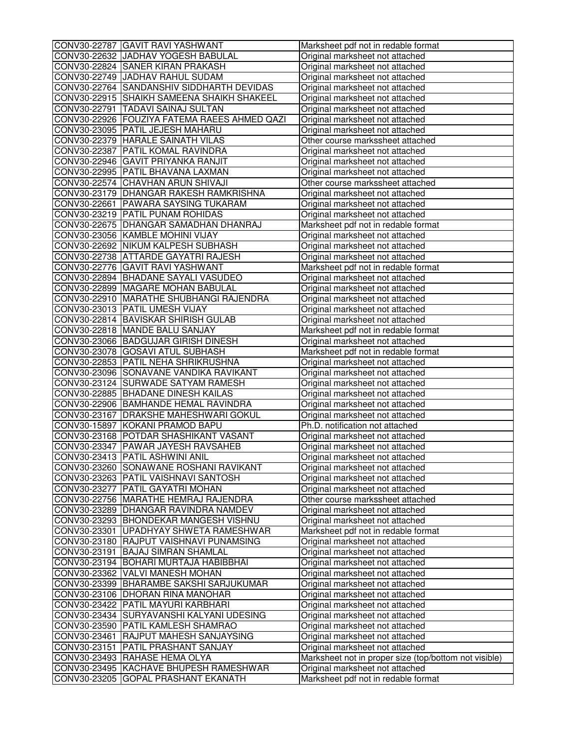| CONV30-22787 GAVIT RAVI YASHWANT             | Marksheet pdf not in redable format                                |
|----------------------------------------------|--------------------------------------------------------------------|
| CONV30-22632 JADHAV YOGESH BABULAL           | Original marksheet not attached                                    |
| CONV30-22824 SANER KIRAN PRAKASH             | Original marksheet not attached                                    |
| CONV30-22749 JADHAV RAHUL SUDAM              | Original marksheet not attached                                    |
| CONV30-22764 SANDANSHIV SIDDHARTH DEVIDAS    | Original marksheet not attached                                    |
| CONV30-22915 SHAIKH SAMEENA SHAIKH SHAKEEL   | Original marksheet not attached                                    |
| CONV30-22791  TADAVI SAINAJ SULTAN           | Original marksheet not attached                                    |
| CONV30-22926 FOUZIYA FATEMA RAEES AHMED QAZI | Original marksheet not attached                                    |
| CONV30-23095 PATIL JEJESH MAHARU             | Original marksheet not attached                                    |
| CONV30-22379 HARALE SAINATH VILAS            | Other course markssheet attached                                   |
| CONV30-22387 PATIL KOMAL RAVINDRA            | Original marksheet not attached                                    |
| CONV30-22946 GAVIT PRIYANKA RANJIT           | Original marksheet not attached                                    |
| CONV30-22995 PATIL BHAVANA LAXMAN            | Original marksheet not attached                                    |
| CONV30-22574 CHAVHAN ARUN SHIVAJI            | Other course markssheet attached                                   |
| CONV30-23179 DHANGAR RAKESH RAMKRISHNA       | Original marksheet not attached                                    |
| CONV30-22661 PAWARA SAYSING TUKARAM          | Original marksheet not attached                                    |
| CONV30-23219 PATIL PUNAM ROHIDAS             | Original marksheet not attached                                    |
| CONV30-22675   DHANGAR SAMADHAN DHANRAJ      | Marksheet pdf not in redable format                                |
| CONV30-23056 KAMBLE MOHINI VIJAY             | Original marksheet not attached                                    |
| CONV30-22692 NIKUM KALPESH SUBHASH           | Original marksheet not attached                                    |
| CONV30-22738 ATTARDE GAYATRI RAJESH          | Original marksheet not attached                                    |
| CONV30-22776 GAVIT RAVI YASHWANT             | Marksheet pdf not in redable format                                |
| CONV30-22894 BHADANE SAYALI VASUDEO          | Original marksheet not attached                                    |
| CONV30-22899 MAGARE MOHAN BABULAL            | Original marksheet not attached                                    |
| CONV30-22910 MARATHE SHUBHANGI RAJENDRA      | Original marksheet not attached                                    |
| CONV30-23013 PATIL UMESH VIJAY               | Original marksheet not attached                                    |
| CONV30-22814 BAVISKAR SHIRISH GULAB          | Original marksheet not attached                                    |
| CONV30-22818 MANDE BALU SANJAY               | Marksheet pdf not in redable format                                |
| CONV30-23066 BADGUJAR GIRISH DINESH          | Original marksheet not attached                                    |
| CONV30-23078 GOSAVI ATUL SUBHASH             | Marksheet pdf not in redable format                                |
| CONV30-22853 PATIL NEHA SHRIKRUSHNA          | Original marksheet not attached                                    |
| CONV30-23096 SONAVANE VANDIKA RAVIKANT       | Original marksheet not attached                                    |
| CONV30-23124 SURWADE SATYAM RAMESH           | Original marksheet not attached                                    |
| CONV30-22885 BHADANE DINESH KAILAS           | Original marksheet not attached                                    |
| CONV30-22906 BAMHANDE HEMAL RAVINDRA         | Original marksheet not attached                                    |
| CONV30-23167 DRAKSHE MAHESHWARI GOKUL        | Original marksheet not attached                                    |
| CONV30-15897 KOKANI PRAMOD BAPU              | Ph.D. notification not attached                                    |
| CONV30-23168 POTDAR SHASHIKANT VASANT        | Original marksheet not attached                                    |
| CONV30-23347 PAWAR JAYESH RAVSAHEB           | Original marksheet not attached                                    |
| CONV30-23413 PATIL ASHWINI ANIL              | Original marksheet not attached                                    |
| CONV30-23260  SONAWANE ROSHANI RAVIKANT      |                                                                    |
| CONV30-23263 PATIL VAISHNAVI SANTOSH         | Original marksheet not attached<br>Original marksheet not attached |
| CONV30-23277 PATIL GAYATRI MOHAN             | Original marksheet not attached                                    |
| CONV30-22756 MARATHE HEMRAJ RAJENDRA         | Other course markssheet attached                                   |
| CONV30-23289 DHANGAR RAVINDRA NAMDEV         |                                                                    |
| CONV30-23293 BHONDEKAR MANGESH VISHNU        | Original marksheet not attached<br>Original marksheet not attached |
|                                              |                                                                    |
| CONV30-23301 UPADHYAY SHWETA RAMESHWAR       | Marksheet pdf not in redable format                                |
| CONV30-23180 RAJPUT VAISHNAVI PUNAMSING      | Original marksheet not attached                                    |
| CONV30-23191 BAJAJ SIMRAN SHAMLAL            | Original marksheet not attached                                    |
| CONV30-23194 BOHARI MURTAJA HABIBBHAI        | Original marksheet not attached                                    |
| CONV30-23362 VALVI MANESH MOHAN              | Original marksheet not attached                                    |
| CONV30-23399 BHARAMBE SAKSHI SARJUKUMAR      | Original marksheet not attached                                    |
| CONV30-23106 DHORAN RINA MANOHAR             | Original marksheet not attached                                    |
| CONV30-23422 PATIL MAYURI KARBHARI           | Original marksheet not attached                                    |
| CONV30-23434 SURYAVANSHI KALYANI UDESING     | Original marksheet not attached                                    |
| CONV30-23590 PATIL KAMLESH SHAMRAO           | Original marksheet not attached                                    |
| CONV30-23461 RAJPUT MAHESH SANJAYSING        | Original marksheet not attached                                    |
| CONV30-23151   PATIL PRASHANT SANJAY         | Original marksheet not attached                                    |
| CONV30-23493 RAHASE HEMA OLYA                | Marksheet not in proper size (top/bottom not visible)              |
| CONV30-23495 KACHAVE BHUPESH RAMESHWAR       | Original marksheet not attached                                    |
| CONV30-23205 GOPAL PRASHANT EKANATH          | Marksheet pdf not in redable format                                |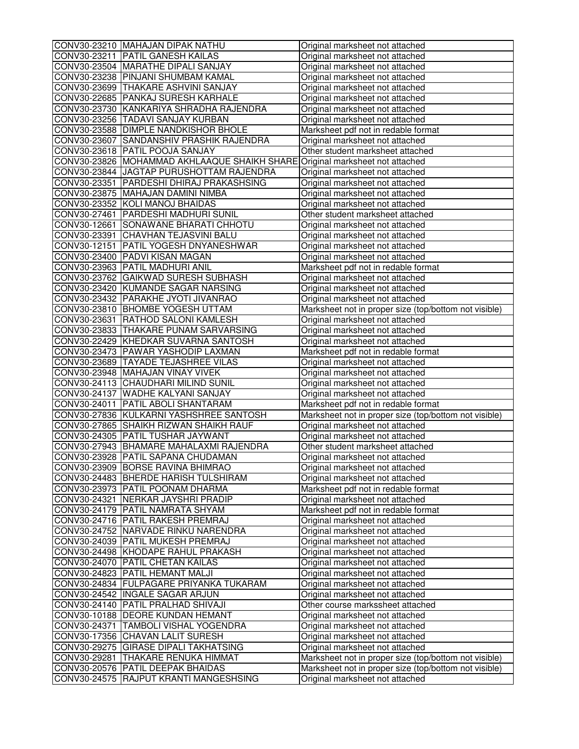| CONV30-23210 MAHAJAN DIPAK NATHU                                             | Original marksheet not attached                                    |
|------------------------------------------------------------------------------|--------------------------------------------------------------------|
| CONV30-23211 PATIL GANESH KAILAS                                             | Original marksheet not attached                                    |
| CONV30-23504 MARATHE DIPALI SANJAY                                           | Original marksheet not attached                                    |
| CONV30-23238 PINJANI SHUMBAM KAMAL                                           | Original marksheet not attached                                    |
| CONV30-23699 THAKARE ASHVINI SANJAY                                          | Original marksheet not attached                                    |
| CONV30-22685   PANKAJ SURESH KARHALE                                         | Original marksheet not attached                                    |
| CONV30-23730 KANKARIYA SHRADHA RAJENDRA                                      | Original marksheet not attached                                    |
| CONV30-23256 TADAVI SANJAY KURBAN                                            | Original marksheet not attached                                    |
| CONV30-23588 DIMPLE NANDKISHOR BHOLE                                         | Marksheet pdf not in redable format                                |
| CONV30-23607 SANDANSHIV PRASHIK RAJENDRA                                     | Original marksheet not attached                                    |
| CONV30-23618 PATIL POOJA SANJAY                                              | Other student marksheet attached                                   |
| CONV30-23826 MOHAMMAD AKHLAAQUE SHAIKH SHARE Original marksheet not attached |                                                                    |
| CONV30-23844 JJAGTAP PURUSHOTTAM RAJENDRA                                    | Original marksheet not attached                                    |
| CONV30-23351   PARDESHI DHIRAJ PRAKASHSING                                   | Original marksheet not attached                                    |
| CONV30-23875 MAHAJAN DAMINI NIMBA                                            | Original marksheet not attached                                    |
| CONV30-23352 KOLI MANOJ BHAIDAS                                              | Original marksheet not attached                                    |
| CONV30-27461 PARDESHI MADHURI SUNIL                                          | Other student marksheet attached                                   |
| CONV30-12661 SONAWANE BHARATI CHHOTU                                         | Original marksheet not attached                                    |
| CONV30-23391 CHAVHAN TEJASVINI BALU                                          | Original marksheet not attached                                    |
| CONV30-12151 PATIL YOGESH DNYANESHWAR                                        | Original marksheet not attached                                    |
| CONV30-23400 PADVI KISAN MAGAN                                               | Original marksheet not attached                                    |
| CONV30-23963 PATIL MADHURI ANIL                                              | Marksheet pdf not in redable format                                |
| CONV30-23762 GAIKWAD SURESH SUBHASH                                          | Original marksheet not attached                                    |
| CONV30-23420 KUMANDE SAGAR NARSING                                           | Original marksheet not attached                                    |
| CONV30-23432 PARAKHE JYOTI JIVANRAO                                          | Original marksheet not attached                                    |
| CONV30-23810 BHOMBE YOGESH UTTAM                                             | Marksheet not in proper size (top/bottom not visible)              |
| CONV30-23631 RATHOD SALONI KAMLESH                                           | Original marksheet not attached                                    |
| CONV30-23833 THAKARE PUNAM SARVARSING                                        | Original marksheet not attached                                    |
| CONV30-22429 KHEDKAR SUVARNA SANTOSH                                         | Original marksheet not attached                                    |
| CONV30-23473 PAWAR YASHODIP LAXMAN                                           | Marksheet pdf not in redable format                                |
| CONV30-23689 TAYADE TEJASHREE VILAS                                          | Original marksheet not attached                                    |
| CONV30-23948 MAHAJAN VINAY VIVEK                                             | Original marksheet not attached                                    |
| CONV30-24113 CHAUDHARI MILIND SUNIL                                          | Original marksheet not attached                                    |
| CONV30-24137 WADHE KALYANI SANJAY                                            | Original marksheet not attached                                    |
| CONV30-24011 PATIL ABOLI SHANTARAM                                           | Marksheet pdf not in redable format                                |
| CONV30-27836 KULKARNI YASHSHREE SANTOSH                                      | Marksheet not in proper size (top/bottom not visible)              |
| CONV30-27865 SHAIKH RIZWAN SHAIKH RAUF                                       | Original marksheet not attached                                    |
| CONV30-24305 PATIL TUSHAR JAYWANT                                            | Original marksheet not attached                                    |
| CONV30-27943 BHAMARE MAHALAXMI RAJENDRA                                      | Other student marksheet attached                                   |
| CONV30-23928 PATIL SAPANA CHUDAMAN                                           | Original marksheet not attached                                    |
| CONV30-23909 BORSE RAVINA BHIMRAO                                            | Original marksheet not attached                                    |
| CONV30-24483 BHERDE HARISH TULSHIRAM                                         | Original marksheet not attached                                    |
| CONV30-23973 PATIL POONAM DHARMA                                             | Marksheet pdf not in redable format                                |
| CONV30-24321 NERKAR JAYSHRI PRADIP                                           | Original marksheet not attached                                    |
| CONV30-24179 PATIL NAMRATA SHYAM                                             | Marksheet pdf not in redable format                                |
| CONV30-24716 PATIL RAKESH PREMRAJ                                            |                                                                    |
| CONV30-24752 NARVADE RINKU NARENDRA                                          | Original marksheet not attached<br>Original marksheet not attached |
|                                                                              |                                                                    |
| CONV30-24039   PATIL MUKESH PREMRAJ                                          | Original marksheet not attached                                    |
| CONV30-24498 KHODAPE RAHUL PRAKASH                                           | Original marksheet not attached                                    |
| CONV30-24070 PATIL CHETAN KAILAS                                             | Original marksheet not attached                                    |
| CONV30-24823 PATIL HEMANT MALJI                                              | Original marksheet not attached                                    |
| CONV30-24834 FULPAGARE PRIYANKA TUKARAM                                      | Original marksheet not attached                                    |
| CONV30-24542  INGALE SAGAR ARJUN                                             | Original marksheet not attached                                    |
| CONV30-24140 PATIL PRALHAD SHIVAJI                                           | Other course markssheet attached                                   |
| CONV30-10188 DEORE KUNDAN HEMANT                                             | Original marksheet not attached                                    |
| CONV30-24371  TAMBOLI VISHAL YOGENDRA                                        | Original marksheet not attached                                    |
| CONV30-17356 CHAVAN LALIT SURESH                                             | Original marksheet not attached                                    |
| CONV30-29275 GIRASE DIPALI TAKHATSING                                        | Original marksheet not attached                                    |
| CONV30-29281 THAKARE RENUKA HIMMAT                                           | Marksheet not in proper size (top/bottom not visible)              |
| CONV30-20576 PATIL DEEPAK BHAIDAS                                            | Marksheet not in proper size (top/bottom not visible)              |
| CONV30-24575 RAJPUT KRANTI MANGESHSING                                       | Original marksheet not attached                                    |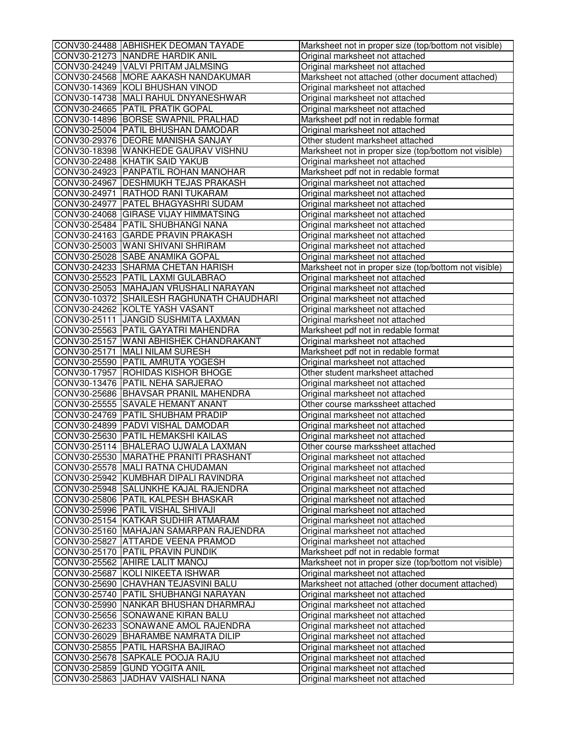| CONV30-24488 ABHISHEK DEOMAN TAYADE                                   | Marksheet not in proper size (top/bottom not visible)              |
|-----------------------------------------------------------------------|--------------------------------------------------------------------|
| CONV30-21273 NANDRE HARDIK ANIL                                       | Original marksheet not attached                                    |
| CONV30-24249 VALVI PRITAM JALMSING                                    | Original marksheet not attached                                    |
| CONV30-24568 MORE AAKASH NANDAKUMAR                                   | Marksheet not attached (other document attached)                   |
| CONV30-14369 KOLI BHUSHAN VINOD                                       | Original marksheet not attached                                    |
| CONV30-14738 MALI RAHUL DNYANESHWAR                                   | Original marksheet not attached                                    |
| CONV30-24665 PATIL PRATIK GOPAL                                       | Original marksheet not attached                                    |
| CONV30-14896 BORSE SWAPNIL PRALHAD                                    | Marksheet pdf not in redable format                                |
| CONV30-25004 PATIL BHUSHAN DAMODAR                                    | Original marksheet not attached                                    |
| CONV30-29376 DEORE MANISHA SANJAY                                     | Other student marksheet attached                                   |
| CONV30-18398 WANKHEDE GAURAV VISHNU                                   | Marksheet not in proper size (top/bottom not visible)              |
| CONV30-22488 KHATIK SAID YAKUB                                        | Original marksheet not attached                                    |
| CONV30-24923 PANPATIL ROHAN MANOHAR                                   | Marksheet pdf not in redable format                                |
| CONV30-24967 DESHMUKH TEJAS PRAKASH                                   | Original marksheet not attached                                    |
| CONV30-24971 RATHOD RANI TUKARAM                                      | Original marksheet not attached                                    |
| CONV30-24977 PATEL BHAGYASHRI SUDAM                                   | Original marksheet not attached                                    |
| CONV30-24068 GIRASE VIJAY HIMMATSING                                  | Original marksheet not attached                                    |
| CONV30-25484 PATIL SHUBHANGI NANA                                     | Original marksheet not attached                                    |
| CONV30-24163 GARDE PRAVIN PRAKASH                                     | Original marksheet not attached                                    |
| CONV30-25003 WANI SHIVANI SHRIRAM                                     | Original marksheet not attached                                    |
| CONV30-25028 SABE ANAMIKA GOPAL                                       | Original marksheet not attached                                    |
| CONV30-24233 SHARMA CHETAN HARISH                                     | Marksheet not in proper size (top/bottom not visible)              |
| CONV30-25523 PATIL LAXMI GULABRAO                                     | Original marksheet not attached                                    |
| CONV30-25053 MAHAJAN VRUSHALI NARAYAN                                 | Original marksheet not attached                                    |
| CONV30-10372 SHAILESH RAGHUNATH CHAUDHARI                             | Original marksheet not attached                                    |
| CONV30-24262 KOLTE YASH VASANT                                        | Original marksheet not attached                                    |
| CONV30-25111 JANGID SUSHMITA LAXMAN                                   | Original marksheet not attached                                    |
| CONV30-25563 PATIL GAYATRI MAHENDRA                                   | Marksheet pdf not in redable format                                |
| CONV30-25157 WANI ABHISHEK CHANDRAKANT                                | Original marksheet not attached                                    |
| CONV30-25171 MALI NILAM SURESH                                        | Marksheet pdf not in redable format                                |
| CONV30-25590 PATIL AMRUTA YOGESH                                      | Original marksheet not attached                                    |
| CONV30-17957 ROHIDAS KISHOR BHOGE                                     | Other student marksheet attached                                   |
| CONV30-13476 PATIL NEHA SARJERAO                                      | Original marksheet not attached                                    |
| CONV30-25686 BHAVSAR PRANIL MAHENDRA                                  | Original marksheet not attached                                    |
| CONV30-25555 SAVALE HEMANT ANANT                                      | Other course markssheet attached                                   |
| CONV30-24769 PATIL SHUBHAM PRADIP                                     | Original marksheet not attached                                    |
| CONV30-24899 PADVI VISHAL DAMODAR                                     | Original marksheet not attached                                    |
| CONV30-25630 PATIL HEMAKSHI KAILAS                                    | Original marksheet not attached                                    |
| CONV30-25114 BHALERAO UJWALA LAXMAN                                   | Other course markssheet attached                                   |
| CONV30-25530 MARATHE PRANITI PRASHANT                                 | Original marksheet not attached                                    |
| CONV30-25578  MALI RATNA CHUDAMAN                                     | Original marksheet not attached                                    |
| CONV30-25942 KUMBHAR DIPALI RAVINDRA                                  | Original marksheet not attached                                    |
| CONV30-25948 SALUNKHE KAJAL RAJENDRA                                  |                                                                    |
| CONV30-25806 PATIL KALPESH BHASKAR                                    | Original marksheet not attached<br>Original marksheet not attached |
| CONV30-25996 PATIL VISHAL SHIVAJI                                     | Original marksheet not attached                                    |
| CONV30-25154 KATKAR SUDHIR ATMARAM                                    |                                                                    |
| CONV30-25160 MAHAJAN SAMARPAN RAJENDRA                                | Original marksheet not attached                                    |
|                                                                       | Original marksheet not attached                                    |
| CONV30-25827 ATTARDE VEENA PRAMOD<br>CONV30-25170 PATIL PRAVIN PUNDIK | Original marksheet not attached                                    |
|                                                                       | Marksheet pdf not in redable format                                |
| CONV30-25562 AHIRE LALIT MANOJ<br>CONV30-25687 KOLI NIKEETA ISHWAR    | Marksheet not in proper size (top/bottom not visible)              |
|                                                                       | Original marksheet not attached                                    |
| CONV30-25690 CHAVHAN TEJASVINI BALU                                   | Marksheet not attached (other document attached)                   |
| CONV30-25740 PATIL SHUBHANGI NARAYAN                                  | Original marksheet not attached                                    |
| CONV30-25990 NANKAR BHUSHAN DHARMRAJ                                  | Original marksheet not attached                                    |
| CONV30-25656 SONAWANE KIRAN BALU                                      | Original marksheet not attached                                    |
| CONV30-26233 SONAWANE AMOL RAJENDRA                                   | Original marksheet not attached                                    |
| CONV30-26029 BHARAMBE NAMRATA DILIP                                   | Original marksheet not attached                                    |
| CONV30-25855 PATIL HARSHA BAJIRAO                                     | Original marksheet not attached                                    |
| CONV30-25678 SAPKALE POOJA RAJU                                       | Original marksheet not attached                                    |
| CONV30-25859 GUND YOGITA ANIL                                         | Original marksheet not attached                                    |
| CONV30-25863 JJADHAV VAISHALI NANA                                    | Original marksheet not attached                                    |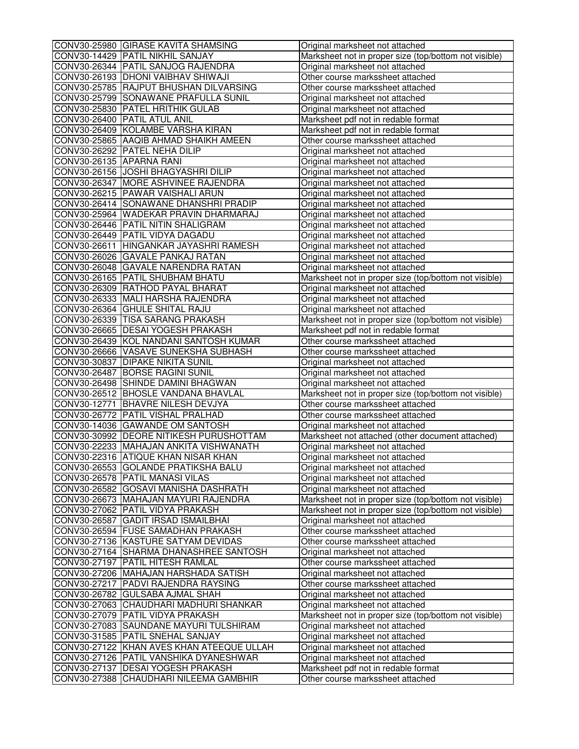|                          | CONV30-25980 GIRASE KAVITA SHAMSING       | Original marksheet not attached                                                                                |
|--------------------------|-------------------------------------------|----------------------------------------------------------------------------------------------------------------|
|                          | CONV30-14429 PATIL NIKHIL SANJAY          | Marksheet not in proper size (top/bottom not visible)                                                          |
|                          | CONV30-26344 PATIL SANJOG RAJENDRA        | Original marksheet not attached                                                                                |
|                          | CONV30-26193   DHONI VAIBHAV SHIWAJI      | Other course markssheet attached                                                                               |
|                          | CONV30-25785 RAJPUT BHUSHAN DILVARSING    | Other course markssheet attached                                                                               |
|                          | CONV30-25799 SONAWANE PRAFULLA SUNIL      | Original marksheet not attached                                                                                |
|                          | CONV30-25830 PATEL HRITHIK GULAB          | Original marksheet not attached                                                                                |
|                          | CONV30-26400 PATIL ATUL ANIL              | Marksheet pdf not in redable format                                                                            |
|                          | CONV30-26409 KOLAMBE VARSHA KIRAN         | Marksheet pdf not in redable format                                                                            |
|                          | CONV30-25865 AAQIB AHMAD SHAIKH AMEEN     | Other course markssheet attached                                                                               |
|                          | CONV30-26292 PATEL NEHA DILIP             | Original marksheet not attached                                                                                |
| CONV30-26135 APARNA RANI |                                           | Original marksheet not attached                                                                                |
|                          | CONV30-26156 JOSHI BHAGYASHRI DILIP       | Original marksheet not attached                                                                                |
|                          | CONV30-26347 MORE ASHVINEE RAJENDRA       | Original marksheet not attached                                                                                |
|                          | CONV30-26215 PAWAR VAISHALI ARUN          | Original marksheet not attached                                                                                |
|                          | CONV30-26414 SONAWANE DHANSHRI PRADIP     | Original marksheet not attached                                                                                |
|                          | CONV30-25964 WADEKAR PRAVIN DHARMARAJ     | Original marksheet not attached                                                                                |
|                          | CONV30-26446 PATIL NITIN SHALIGRAM        | Original marksheet not attached                                                                                |
|                          | CONV30-26449 PATIL VIDYA DAGADU           | Original marksheet not attached                                                                                |
|                          | CONV30-26611 HINGANKAR JAYASHRI RAMESH    | Original marksheet not attached                                                                                |
|                          | CONV30-26026 GAVALE PANKAJ RATAN          | Original marksheet not attached                                                                                |
|                          | CONV30-26048 GAVALE NARENDRA RATAN        | Original marksheet not attached                                                                                |
|                          | CONV30-26165 PATIL SHUBHAM BHATU          | Marksheet not in proper size (top/bottom not visible)                                                          |
|                          | CONV30-26309 RATHOD PAYAL BHARAT          | Original marksheet not attached                                                                                |
|                          | CONV30-26333 MALI HARSHA RAJENDRA         | Original marksheet not attached                                                                                |
|                          | CONV30-26364 GHULE SHITAL RAJU            | Original marksheet not attached                                                                                |
|                          | CONV30-26339 TISA SARANG PRAKASH          | Marksheet not in proper size (top/bottom not visible)                                                          |
|                          | CONV30-26665 DESAI YOGESH PRAKASH         | Marksheet pdf not in redable format                                                                            |
|                          | CONV30-26439 KOL NANDANI SANTOSH KUMAR    | Other course markssheet attached                                                                               |
|                          | CONV30-26666 VASAVE SUNEKSHA SUBHASH      | Other course markssheet attached                                                                               |
|                          | CONV30-30837 DIPAKE NIKITA SUNIL          | Original marksheet not attached                                                                                |
|                          | CONV30-26487 BORSE RAGINI SUNIL           | Original marksheet not attached                                                                                |
|                          | CONV30-26498 SHINDE DAMINI BHAGWAN        | Original marksheet not attached                                                                                |
|                          | CONV30-26512 BHOSLE VANDANA BHAVLAL       | Marksheet not in proper size (top/bottom not visible)                                                          |
|                          | CONV30-12771 BHAVRE NILESH DEVJYA         | Other course markssheet attached                                                                               |
|                          | CONV30-26772 PATIL VISHAL PRALHAD         | Other course markssheet attached                                                                               |
|                          | CONV30-14036 GAWANDE OM SANTOSH           | Original marksheet not attached                                                                                |
|                          | CONV30-30992 DEORE NITIKESH PURUSHOTTAM   | Marksheet not attached (other document attached)                                                               |
|                          | CONV30-22233 MAHAJAN ANKITA VISHWANATH    | Original marksheet not attached                                                                                |
|                          | CONV30-22316 ATIQUE KHAN NISAR KHAN       | Original marksheet not attached                                                                                |
|                          | CONV30-26553  GOLANDE PRATIKSHA BALU      |                                                                                                                |
|                          | CONV30-26578 PATIL MANASI VILAS           | Original marksheet not attached<br>Original marksheet not attached                                             |
|                          | CONV30-26582 GOSAVI MANISHA DASHRATH      | Original marksheet not attached                                                                                |
|                          | CONV30-26673 MAHAJAN MAYURI RAJENDRA      |                                                                                                                |
|                          | CONV30-27062 PATIL VIDYA PRAKASH          | Marksheet not in proper size (top/bottom not visible)<br>Marksheet not in proper size (top/bottom not visible) |
|                          | CONV30-26587 GADIT IRSAD ISMAILBHAI       | Original marksheet not attached                                                                                |
|                          |                                           |                                                                                                                |
|                          | CONV30-26594 FUSE SAMADHAN PRAKASH        | Other course markssheet attached                                                                               |
|                          | CONV30-27136 KASTURE SATYAM DEVIDAS       | Other course markssheet attached                                                                               |
|                          | CONV30-27164 SHARMA DHANASHREE SANTOSH    | Original marksheet not attached                                                                                |
|                          | CONV30-27197   PATIL HITESH RAMLAL        | Other course markssheet attached                                                                               |
|                          | CONV30-27206 MAHAJAN HARSHADA SATISH      | Original marksheet not attached                                                                                |
|                          | CONV30-27217 PADVI RAJENDRA RAYSING       | Other course markssheet attached                                                                               |
|                          | CONV30-26782 GULSABA AJMAL SHAH           | Original marksheet not attached                                                                                |
|                          | CONV30-27063 CHAUDHARI MADHURI SHANKAR    | Original marksheet not attached                                                                                |
|                          | CONV30-27079 PATIL VIDYA PRAKASH          | Marksheet not in proper size (top/bottom not visible)                                                          |
|                          | CONV30-27083 SAUNDANE MAYURI TULSHIRAM    | Original marksheet not attached                                                                                |
|                          | CONV30-31585 PATIL SNEHAL SANJAY          | Original marksheet not attached                                                                                |
|                          | CONV30-27122 KHAN AVES KHAN ATEEQUE ULLAH | Original marksheet not attached                                                                                |
|                          | CONV30-27126 PATIL VANSHIKA DYANESHWAR    | Original marksheet not attached                                                                                |
|                          | CONV30-27137 DESAI YOGESH PRAKASH         | Marksheet pdf not in redable format                                                                            |
|                          | CONV30-27388 CHAUDHARI NILEEMA GAMBHIR    | Other course markssheet attached                                                                               |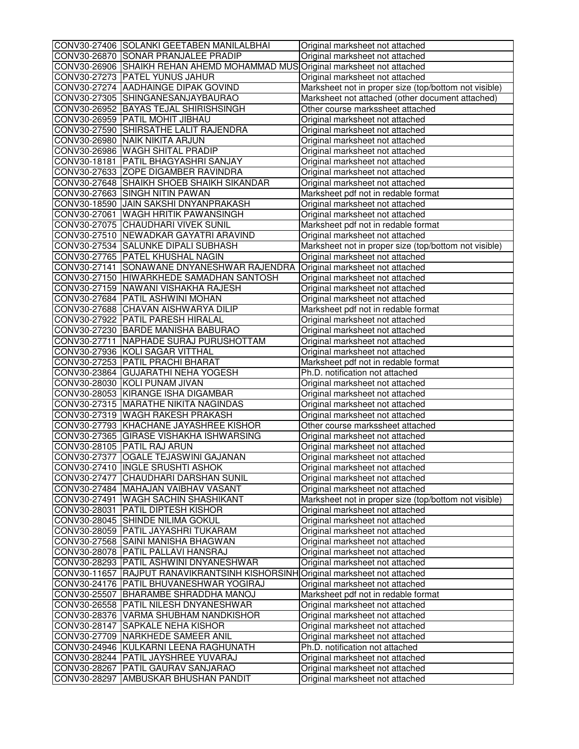| CONV30-27406 SOLANKI GEETABEN MANILALBHAI                                      | Original marksheet not attached                       |
|--------------------------------------------------------------------------------|-------------------------------------------------------|
| CONV30-26870 SONAR PRANJALEE PRADIP                                            | Original marksheet not attached                       |
| CONV30-26906 SHAIKH REHAN AHEMD MOHAMMAD MUS Original marksheet not attached   |                                                       |
| CONV30-27273 PATEL YUNUS JAHUR                                                 | Original marksheet not attached                       |
| CONV30-27274 AADHAINGE DIPAK GOVIND                                            | Marksheet not in proper size (top/bottom not visible) |
| CONV30-27305 SHINGANESANJAYBAURAO                                              | Marksheet not attached (other document attached)      |
| CONV30-26952 BAYAS TEJAL SHIRISHSINGH                                          | Other course markssheet attached                      |
| CONV30-26959 PATIL MOHIT JIBHAU                                                | Original marksheet not attached                       |
| CONV30-27590 SHIRSATHE LALIT RAJENDRA                                          | Original marksheet not attached                       |
| CONV30-26980 NAIK NIKITA ARJUN                                                 | Original marksheet not attached                       |
| CONV30-26986 WAGH SHITAL PRADIP                                                | Original marksheet not attached                       |
| CONV30-18181   PATIL BHAGYASHRI SANJAY                                         | Original marksheet not attached                       |
| CONV30-27633 ZOPE DIGAMBER RAVINDRA                                            | Original marksheet not attached                       |
| CONV30-27648 SHAIKH SHOEB SHAIKH SIKANDAR                                      | Original marksheet not attached                       |
| CONV30-27663 SINGH NITIN PAWAN                                                 | Marksheet pdf not in redable format                   |
| CONV30-18590 JAIN SAKSHI DNYANPRAKASH                                          | Original marksheet not attached                       |
| CONV30-27061 WAGH HRITIK PAWANSINGH                                            | Original marksheet not attached                       |
| CONV30-27075 CHAUDHARI VIVEK SUNIL                                             | Marksheet pdf not in redable format                   |
| CONV30-27510 NEWADKAR GAYATRI ARAVIND                                          | Original marksheet not attached                       |
| CONV30-27534 SALUNKE DIPALI SUBHASH                                            | Marksheet not in proper size (top/bottom not visible) |
| CONV30-27765 PATEL KHUSHAL NAGIN                                               | Original marksheet not attached                       |
| CONV30-27141 SONAWANE DNYANESHWAR RAJENDRA                                     | Original marksheet not attached                       |
| CONV30-27150 HIWARKHEDE SAMADHAN SANTOSH                                       | Original marksheet not attached                       |
| CONV30-27159 NAWANI VISHAKHA RAJESH                                            | Original marksheet not attached                       |
| CONV30-27684 PATIL ASHWINI MOHAN                                               | Original marksheet not attached                       |
| CONV30-27688 CHAVAN AISHWARYA DILIP                                            | Marksheet pdf not in redable format                   |
| CONV30-27922 PATIL PARESH HIRALAL                                              | Original marksheet not attached                       |
| CONV30-27230 BARDE MANISHA BABURAO                                             | Original marksheet not attached                       |
| CONV30-27711 NAPHADE SURAJ PURUSHOTTAM                                         | Original marksheet not attached                       |
| CONV30-27936 KOLI SAGAR VITTHAL                                                | Original marksheet not attached                       |
| CONV30-27253 PATIL PRACHI BHARAT                                               | Marksheet pdf not in redable format                   |
| CONV30-23864 GUJARATHI NEHA YOGESH                                             | Ph.D. notification not attached                       |
| CONV30-28030 KOLI PUNAM JIVAN                                                  | Original marksheet not attached                       |
| CONV30-28053 KIRANGE ISHA DIGAMBAR                                             | Original marksheet not attached                       |
| CONV30-27315 MARATHE NIKITA NAGINDAS                                           | Original marksheet not attached                       |
| CONV30-27319 WAGH RAKESH PRAKASH                                               | Original marksheet not attached                       |
| CONV30-27793 KHACHANE JAYASHREE KISHOR                                         | Other course markssheet attached                      |
| CONV30-27365 GIRASE VISHAKHA ISHWARSING                                        | Original marksheet not attached                       |
| CONV30-28105 PATIL RAJ ARUN                                                    | Original marksheet not attached                       |
| CONV30-27377 OGALE TEJASWINI GAJANAN                                           | Original marksheet not attached                       |
| CONV30-27410  INGLE SRUSHTI ASHOK                                              | Original marksheet not attached                       |
| CONV30-27477 CHAUDHARI DARSHAN SUNIL                                           | Original marksheet not attached                       |
| CONV30-27484 MAHAJAN VAIBHAV VASANT                                            | Original marksheet not attached                       |
| CONV30-27491 WAGH SACHIN SHASHIKANT                                            | Marksheet not in proper size (top/bottom not visible) |
| CONV30-28031 PATIL DIPTESH KISHOR                                              | Original marksheet not attached                       |
| CONV30-28045 SHINDE NILIMA GOKUL                                               | Original marksheet not attached                       |
| CONV30-28059 PATIL JAYASHRI TUKARAM                                            | Original marksheet not attached                       |
| CONV30-27568 SAINI MANISHA BHAGWAN                                             | Original marksheet not attached                       |
| CONV30-28078 PATIL PALLAVI HANSRAJ                                             | Original marksheet not attached                       |
| CONV30-28293 PATIL ASHWINI DNYANESHWAR                                         | Original marksheet not attached                       |
| CONV30-11657 RAJPUT RANAVIKRANTSINH KISHORSINH Original marksheet not attached |                                                       |
| CONV30-24176 PATIL BHUVANESHWAR YOGIRAJ                                        | Original marksheet not attached                       |
| CONV30-25507 BHARAMBE SHRADDHA MANOJ                                           | Marksheet pdf not in redable format                   |
| CONV30-26558 PATIL NILESH DNYANESHWAR                                          | Original marksheet not attached                       |
| CONV30-28376 VARMA SHUBHAM NANDKISHOR                                          | Original marksheet not attached                       |
| CONV30-28147 SAPKALE NEHA KISHOR                                               | Original marksheet not attached                       |
| CONV30-27709 NARKHEDE SAMEER ANIL                                              |                                                       |
| CONV30-24946 KULKARNI LEENA RAGHUNATH                                          | Original marksheet not attached                       |
| CONV30-28244   PATIL JAYSHREE YUVARAJ                                          | Ph.D. notification not attached                       |
| CONV30-28267 PATIL GAURAV SANJARAO                                             | Original marksheet not attached                       |
|                                                                                | Original marksheet not attached                       |
| CONV30-28297 AMBUSKAR BHUSHAN PANDIT                                           | Original marksheet not attached                       |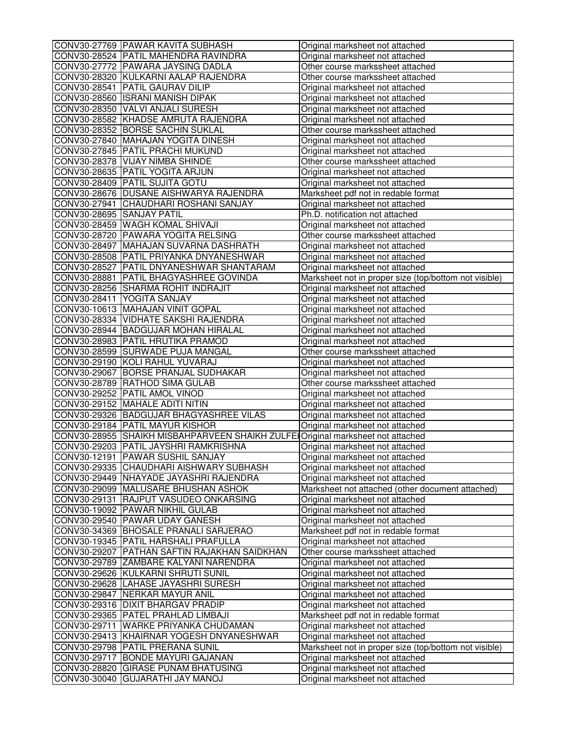|                           | CONV30-27769 PAWAR KAVITA SUBHASH               | Original marksheet not attached                                                     |
|---------------------------|-------------------------------------------------|-------------------------------------------------------------------------------------|
|                           | CONV30-28524 PATIL MAHENDRA RAVINDRA            | Original marksheet not attached                                                     |
|                           | CONV30-27772 PAWARA JAYSING DADLA               | Other course markssheet attached                                                    |
|                           | CONV30-28320 KULKARNI AALAP RAJENDRA            | Other course markssheet attached                                                    |
|                           | CONV30-28541 PATIL GAURAV DILIP                 | Original marksheet not attached                                                     |
|                           | CONV30-28560 ISRANI MANISH DIPAK                | Original marksheet not attached                                                     |
|                           | CONV30-28350 VALVI ANJALI SURESH                | Original marksheet not attached                                                     |
|                           | CONV30-28582 KHADSE AMRUTA RAJENDRA             | Original marksheet not attached                                                     |
|                           | CONV30-28352 BORSE SACHIN SUKLAL                | Other course markssheet attached                                                    |
|                           | CONV30-27840 MAHAJAN YOGITA DINESH              | Original marksheet not attached                                                     |
|                           | CONV30-27845 PATIL PRACHI MUKUND                | Original marksheet not attached                                                     |
|                           | CONV30-28378 VIJAY NIMBA SHINDE                 | Other course markssheet attached                                                    |
|                           | CONV30-28635 PATIL YOGITA ARJUN                 | Original marksheet not attached                                                     |
|                           | CONV30-28409 PATIL SUJITA GOTU                  | Original marksheet not attached                                                     |
|                           | CONV30-28676 DUSANE AISHWARYA RAJENDRA          | Marksheet pdf not in redable format                                                 |
|                           | CONV30-27941 CHAUDHARI ROSHANI SANJAY           | Original marksheet not attached                                                     |
| CONV30-28695 SANJAY PATIL |                                                 | Ph.D. notification not attached                                                     |
|                           | CONV30-28459 WAGH KOMAL SHIVAJI                 | Original marksheet not attached                                                     |
|                           | CONV30-28720 PAWARA YOGITA RELSING              | Other course markssheet attached                                                    |
|                           | CONV30-28497 MAHAJAN SUVARNA DASHRATH           | Original marksheet not attached                                                     |
|                           | CONV30-28508 PATIL PRIYANKA DNYANESHWAR         | Original marksheet not attached                                                     |
|                           | CONV30-28527 PATIL DNYANESHWAR SHANTARAM        | Original marksheet not attached                                                     |
|                           | CONV30-28881   PATIL BHAGYASHREE GOVINDA        | Marksheet not in proper size (top/bottom not visible)                               |
|                           | CONV30-28256 SHARMA ROHIT INDRAJIT              | Original marksheet not attached                                                     |
|                           | CONV30-28411 YOGITA SANJAY                      | Original marksheet not attached                                                     |
|                           | CONV30-10613 MAHAJAN VINIT GOPAL                | Original marksheet not attached                                                     |
|                           | CONV30-28334 VIDHATE SAKSHI RAJENDRA            | Original marksheet not attached                                                     |
|                           | CONV30-28944 BADGUJAR MOHAN HIRALAL             | Original marksheet not attached                                                     |
|                           | CONV30-28983 PATIL HRUTIKA PRAMOD               | Original marksheet not attached                                                     |
|                           | CONV30-28599 SURWADE PUJA MANGAL                | Other course markssheet attached                                                    |
|                           | CONV30-29190 KOLI RAHUL YUVARAJ                 | Original marksheet not attached                                                     |
|                           | CONV30-29067 BORSE PRANJAL SUDHAKAR             | Original marksheet not attached                                                     |
|                           | CONV30-28789 RATHOD SIMA GULAB                  | Other course markssheet attached                                                    |
|                           | CONV30-29252 PATIL AMOL VINOD                   | Original marksheet not attached                                                     |
|                           | CONV30-29152 MAHALE ADITI NITIN                 | Original marksheet not attached                                                     |
|                           | CONV30-29326 BADGUJAR BHAGYASHREE VILAS         | Original marksheet not attached                                                     |
|                           | CONV30-29184 PATIL MAYUR KISHOR                 | Original marksheet not attached                                                     |
|                           | CONV30-28955 SHAIKH MISBAHPARVEEN SHAIKH ZULFEI | Original marksheet not attached                                                     |
|                           | CONV30-29203 PATIL JAYSHRI RAMKRISHNA           | Original marksheet not attached                                                     |
|                           | CONV30-12191 PAWAR SUSHIL SANJAY                | Original marksheet not attached                                                     |
|                           | CONV30-29335  CHAUDHARI AISHWARY SUBHASH        | Original marksheet not attached                                                     |
|                           | CONV30-29449 NHAYADE JAYASHRI RAJENDRA          |                                                                                     |
|                           | CONV30-29099 MALUSARE BHUSHAN ASHOK             | Original marksheet not attached<br>Marksheet not attached (other document attached) |
|                           | CONV30-29131 RAJPUT VASUDEO ONKARSING           |                                                                                     |
|                           | CONV30-19092 PAWAR NIKHIL GULAB                 | Original marksheet not attached<br>Original marksheet not attached                  |
|                           | CONV30-29540 PAWAR UDAY GANESH                  | Original marksheet not attached                                                     |
|                           |                                                 |                                                                                     |
|                           | CONV30-34369 BHOSALE PRANALI SARJERAO           | Marksheet pdf not in redable format                                                 |
|                           | CONV30-19345   PATIL HARSHALI PRAFULLA          | Original marksheet not attached                                                     |
|                           | CONV30-29207   PATHAN SAFTIN RAJAKHAN SAIDKHAN  | Other course markssheet attached                                                    |
|                           | CONV30-29789 ZAMBARE KALYANI NARENDRA           | Original marksheet not attached                                                     |
|                           | CONV30-29626 KULKARNI SHRUTI SUNIL              | Original marksheet not attached                                                     |
|                           | CONV30-29628 LAHASE JAYASHRI SURESH             | Original marksheet not attached                                                     |
|                           | CONV30-29847 NERKAR MAYUR ANIL                  | Original marksheet not attached                                                     |
|                           | CONV30-29316 DIXIT BHARGAV PRADIP               | Original marksheet not attached                                                     |
|                           | CONV30-29365 PATEL PRAHLAD LIMBAJI              | Marksheet pdf not in redable format                                                 |
|                           | CONV30-29711 WARKE PRIYANKA CHUDAMAN            | Original marksheet not attached                                                     |
|                           | CONV30-29413 KHAIRNAR YOGESH DNYANESHWAR        | Original marksheet not attached                                                     |
|                           | CONV30-29798 PATIL PRERANA SUNIL                | Marksheet not in proper size (top/bottom not visible)                               |
|                           | CONV30-29717 BONDE MAYURI GAJANAN               | Original marksheet not attached                                                     |
|                           | CONV30-28820 GIRASE PUNAM BHATUSING             | Original marksheet not attached                                                     |
|                           | CONV30-30040 GUJARATHI JAY MANOJ                | Original marksheet not attached                                                     |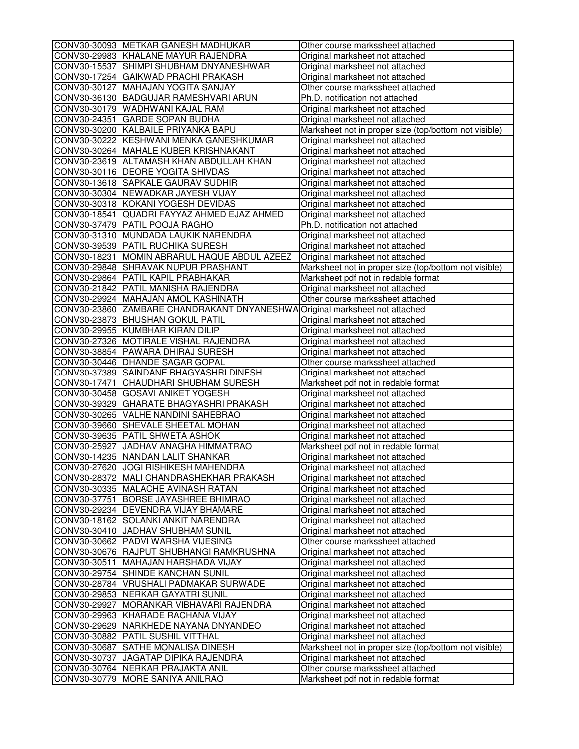| CONV30-30093 METKAR GANESH MADHUKAR                                        | Other course markssheet attached                      |
|----------------------------------------------------------------------------|-------------------------------------------------------|
| CONV30-29983 KHALANE MAYUR RAJENDRA                                        | Original marksheet not attached                       |
| CONV30-15537 SHIMPI SHUBHAM DNYANESHWAR                                    | Original marksheet not attached                       |
| CONV30-17254 GAIKWAD PRACHI PRAKASH                                        | Original marksheet not attached                       |
| CONV30-30127 MAHAJAN YOGITA SANJAY                                         | Other course markssheet attached                      |
| CONV30-36130 BADGUJAR RAMESHVARI ARUN                                      | Ph.D. notification not attached                       |
| CONV30-30179 WADHWANI KAJAL RAM                                            | Original marksheet not attached                       |
| CONV30-24351 GARDE SOPAN BUDHA                                             | Original marksheet not attached                       |
| CONV30-30200 KALBAILE PRIYANKA BAPU                                        | Marksheet not in proper size (top/bottom not visible) |
| CONV30-30222 KESHWANI MENKA GANESHKUMAR                                    | Original marksheet not attached                       |
| CONV30-30264 MAHALE KUBER KRISHNAKANT                                      | Original marksheet not attached                       |
| CONV30-23619 ALTAMASH KHAN ABDULLAH KHAN                                   | Original marksheet not attached                       |
| CONV30-30116   DEORE YOGITA SHIVDAS                                        | Original marksheet not attached                       |
| CONV30-13618 SAPKALE GAURAV SUDHIR                                         | Original marksheet not attached                       |
| CONV30-30304 NEWADKAR JAYESH VIJAY                                         | Original marksheet not attached                       |
| CONV30-30318 KOKANI YOGESH DEVIDAS                                         | Original marksheet not attached                       |
| CONV30-18541 QUADRI FAYYAZ AHMED EJAZ AHMED                                | Original marksheet not attached                       |
| CONV30-37479 PATIL POOJA RAGHO                                             | Ph.D. notification not attached                       |
| CONV30-31310 MUNDADA LAUKIK NARENDRA                                       | Original marksheet not attached                       |
| CONV30-39539 PATIL RUCHIKA SURESH                                          | Original marksheet not attached                       |
| CONV30-18231 MOMIN ABRARUL HAQUE ABDUL AZEEZ                               | Original marksheet not attached                       |
| CONV30-29848 SHRAVAK NUPUR PRASHANT                                        | Marksheet not in proper size (top/bottom not visible) |
| CONV30-29864 PATIL KAPIL PRABHAKAR                                         | Marksheet pdf not in redable format                   |
| CONV30-21842 PATIL MANISHA RAJENDRA                                        | Original marksheet not attached                       |
| CONV30-29924 MAHAJAN AMOL KASHINATH                                        | Other course markssheet attached                      |
| CONV30-23860 ZAMBARE CHANDRAKANT DNYANESHWAOriginal marksheet not attached |                                                       |
| CONV30-23873 BHUSHAN GOKUL PATIL                                           | Original marksheet not attached                       |
| CONV30-29955 KUMBHAR KIRAN DILIP                                           | Original marksheet not attached                       |
| CONV30-27326 MOTIRALE VISHAL RAJENDRA                                      | Original marksheet not attached                       |
| CONV30-38854 PAWARA DHIRAJ SURESH                                          | Original marksheet not attached                       |
| CONV30-30446 DHANDE SAGAR GOPAL                                            | Other course markssheet attached                      |
| CONV30-37389 SAINDANE BHAGYASHRI DINESH                                    | Original marksheet not attached                       |
| CONV30-17471 CHAUDHARI SHUBHAM SURESH                                      | Marksheet pdf not in redable format                   |
| CONV30-30458 GOSAVI ANIKET YOGESH                                          | Original marksheet not attached                       |
| CONV30-39329 GHARATE BHAGYASHRI PRAKASH                                    | Original marksheet not attached                       |
| CONV30-30265 VALHE NANDINI SAHEBRAO                                        | Original marksheet not attached                       |
| CONV30-39660 SHEVALE SHEETAL MOHAN                                         | Original marksheet not attached                       |
| CONV30-39635 PATIL SHWETA ASHOK                                            | Original marksheet not attached                       |
| CONV30-25927 JADHAV ANAGHA HIMMATRAO                                       | Marksheet pdf not in redable format                   |
| CONV30-14235 NANDAN LALIT SHANKAR                                          | Original marksheet not attached                       |
| CONV30-27620  JOGI RISHIKESH MAHENDRA                                      | Original marksheet not attached                       |
| CONV30-28372 MALI CHANDRASHEKHAR PRAKASH                                   | Original marksheet not attached                       |
| CONV30-30335 MALACHE AVINASH RATAN                                         | Original marksheet not attached                       |
| CONV30-37751 BORSE JAYASHREE BHIMRAO                                       | Original marksheet not attached                       |
| CONV30-29234   DEVENDRA VIJAY BHAMARE                                      | Original marksheet not attached                       |
| CONV30-18162 SOLANKI ANKIT NARENDRA                                        | Original marksheet not attached                       |
| CONV30-30410 JADHAV SHUBHAM SUNIL                                          | Original marksheet not attached                       |
| CONV30-30662 PADVI WARSHA VIJESING                                         | Other course markssheet attached                      |
| CONV30-30676   RAJPUT SHUBHANGI RAMKRUSHNA                                 | Original marksheet not attached                       |
| CONV30-30511   MAHAJAN HARSHADA VIJAY                                      | Original marksheet not attached                       |
| CONV30-29754 SHINDE KANCHAN SUNIL                                          | Original marksheet not attached                       |
| CONV30-28784 VRUSHALI PADMAKAR SURWADE                                     | Original marksheet not attached                       |
| CONV30-29853 NERKAR GAYATRI SUNIL                                          | Original marksheet not attached                       |
| CONV30-29927 MORANKAR VIBHAVARI RAJENDRA                                   | Original marksheet not attached                       |
| CONV30-29963 KHARADE RACHANA VIJAY                                         | Original marksheet not attached                       |
|                                                                            |                                                       |
| CONV30-29629 NARKHEDE NAYANA DNYANDEO                                      | Original marksheet not attached                       |
| CONV30-30882 PATIL SUSHIL VITTHAL<br>CONV30-30687 SATHE MONALISA DINESH    | Original marksheet not attached                       |
|                                                                            | Marksheet not in proper size (top/bottom not visible) |
| CONV30-30737 JJAGATAP DIPIKA RAJENDRA                                      | Original marksheet not attached                       |
| CONV30-30764 NERKAR PRAJAKTA ANIL                                          | Other course markssheet attached                      |
| CONV30-30779 MORE SANIYA ANILRAO                                           | Marksheet pdf not in redable format                   |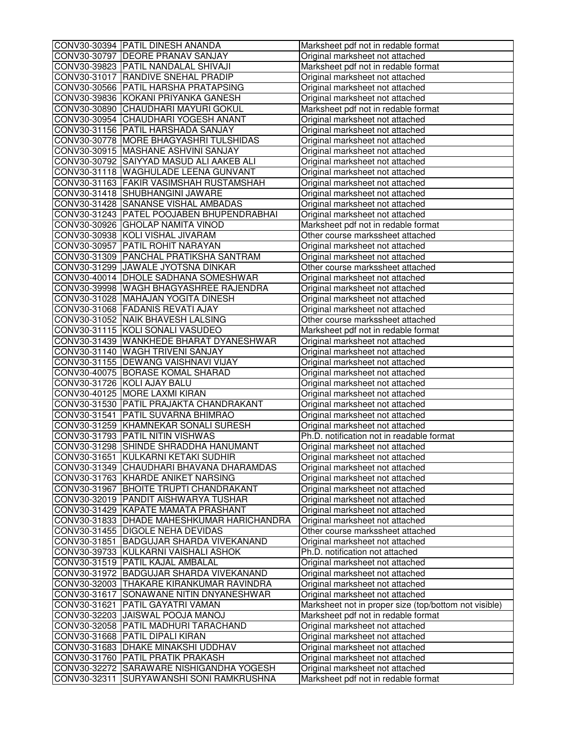|              | CONV30-30394 PATIL DINESH ANANDA           | Marksheet pdf not in redable format                   |
|--------------|--------------------------------------------|-------------------------------------------------------|
|              | CONV30-30797 DEORE PRANAV SANJAY           | Original marksheet not attached                       |
|              | CONV30-39823 PATIL NANDALAL SHIVAJI        | Marksheet pdf not in redable format                   |
|              | CONV30-31017 RANDIVE SNEHAL PRADIP         | Original marksheet not attached                       |
|              | CONV30-30566 PATIL HARSHA PRATAPSING       | Original marksheet not attached                       |
|              | CONV30-39836 KOKANI PRIYANKA GANESH        | Original marksheet not attached                       |
|              | CONV30-30890 CHAUDHARI MAYURI GOKUL        | Marksheet pdf not in redable format                   |
|              | CONV30-30954 CHAUDHARI YOGESH ANANT        | Original marksheet not attached                       |
|              | CONV30-31156 PATIL HARSHADA SANJAY         | Original marksheet not attached                       |
|              | CONV30-30778 MORE BHAGYASHRI TULSHIDAS     | Original marksheet not attached                       |
|              | CONV30-30915 MASHANE ASHVINI SANJAY        | Original marksheet not attached                       |
|              | CONV30-30792 SAIYYAD MASUD ALI AAKEB ALI   | Original marksheet not attached                       |
|              | CONV30-31118 WAGHULADE LEENA GUNVANT       | Original marksheet not attached                       |
|              | CONV30-31163 FAKIR VASIMSHAH RUSTAMSHAH    | Original marksheet not attached                       |
|              | CONV30-31418 SHUBHANGINI JAWARE            | Original marksheet not attached                       |
|              | CONV30-31428 SANANSE VISHAL AMBADAS        | Original marksheet not attached                       |
|              | CONV30-31243 PATEL POOJABEN BHUPENDRABHAI  | Original marksheet not attached                       |
|              | CONV30-30926 GHOLAP NAMITA VINOD           | Marksheet pdf not in redable format                   |
|              | CONV30-30938 KOLI VISHAL JIVARAM           | Other course markssheet attached                      |
|              | CONV30-30957 PATIL ROHIT NARAYAN           | Original marksheet not attached                       |
|              | CONV30-31309 PANCHAL PRATIKSHA SANTRAM     | Original marksheet not attached                       |
|              | CONV30-31299 JJAWALE JYOTSNA DINKAR        | Other course markssheet attached                      |
|              | CONV30-40014 DHOLE SADHANA SOMESHWAR       | Original marksheet not attached                       |
|              | CONV30-39998 WAGH BHAGYASHREE RAJENDRA     | Original marksheet not attached                       |
|              | CONV30-31028 MAHAJAN YOGITA DINESH         | Original marksheet not attached                       |
|              | CONV30-31068 FADANIS REVATI AJAY           | Original marksheet not attached                       |
|              | CONV30-31052 NAIK BHAVESH LALSING          | Other course markssheet attached                      |
|              | CONV30-31115 KOLI SONALI VASUDEO           | Marksheet pdf not in redable format                   |
|              | CONV30-31439 WANKHEDE BHARAT DYANESHWAR    | Original marksheet not attached                       |
|              | CONV30-31140 WAGH TRIVENI SANJAY           | Original marksheet not attached                       |
|              | CONV30-31155 DEWANG VAISHNAVI VIJAY        | Original marksheet not attached                       |
|              | CONV30-40075 BORASE KOMAL SHARAD           | Original marksheet not attached                       |
|              | CONV30-31726 KOLI AJAY BALU                | Original marksheet not attached                       |
|              | CONV30-40125 MORE LAXMI KIRAN              | Original marksheet not attached                       |
|              | CONV30-31530 PATIL PRAJAKTA CHANDRAKANT    | Original marksheet not attached                       |
|              | CONV30-31541 PATIL SUVARNA BHIMRAO         | Original marksheet not attached                       |
|              | CONV30-31259 KHAMNEKAR SONALI SURESH       | Original marksheet not attached                       |
|              | CONV30-31793 PATIL NITIN VISHWAS           | Ph.D. notification not in readable format             |
|              | CONV30-31298 SHINDE SHRADDHA HANUMANT      | Original marksheet not attached                       |
|              | CONV30-31651 KULKARNI KETAKI SUDHIR        | Original marksheet not attached                       |
|              | CONV30-31349  CHAUDHARI BHAVANA DHARAMDAS  | Original marksheet not attached                       |
|              | CONV30-31763 KHARDE ANIKET NARSING         | Original marksheet not attached                       |
|              | CONV30-31967 BHOITE TRUPTI CHANDRAKANT     | Original marksheet not attached                       |
|              | CONV30-32019 PANDIT AISHWARYA TUSHAR       | Original marksheet not attached                       |
|              | CONV30-31429 KAPATE MAMATA PRASHANT        | Original marksheet not attached                       |
|              | CONV30-31833 DHADE MAHESHKUMAR HARICHANDRA | Original marksheet not attached                       |
|              | CONV30-31455 DIGOLE NEHA DEVIDAS           | Other course markssheet attached                      |
|              | CONV30-31851 BADGUJAR SHARDA VIVEKANAND    | Original marksheet not attached                       |
|              | CONV30-39733 KULKARNI VAISHALI ASHOK       | Ph.D. notification not attached                       |
|              | CONV30-31519 PATIL KAJAL AMBALAL           | Original marksheet not attached                       |
|              | CONV30-31972 BADGUJAR SHARDA VIVEKANAND    |                                                       |
|              | CONV30-32003 THAKARE KIRANKUMAR RAVINDRA   | Original marksheet not attached                       |
|              | CONV30-31617 SONAWANE NITIN DNYANESHWAR    | Original marksheet not attached                       |
|              |                                            | Original marksheet not attached                       |
|              | CONV30-31621 PATIL GAYATRI VAMAN           | Marksheet not in proper size (top/bottom not visible) |
|              | CONV30-32203 JJAISWAL POOJA MANOJ          | Marksheet pdf not in redable format                   |
|              | CONV30-32058 PATIL MADHURI TARACHAND       | Original marksheet not attached                       |
|              | CONV30-31668 PATIL DIPALI KIRAN            | Original marksheet not attached                       |
|              | CONV30-31683 DHAKE MINAKSHI UDDHAV         | Original marksheet not attached                       |
|              | CONV30-31760 PATIL PRATIK PRAKASH          | Original marksheet not attached                       |
|              | CONV30-32272 SARAWARE NISHIGANDHA YOGESH   | Original marksheet not attached                       |
| CONV30-32311 | SURYAWANSHI SONI RAMKRUSHNA                | Marksheet pdf not in redable format                   |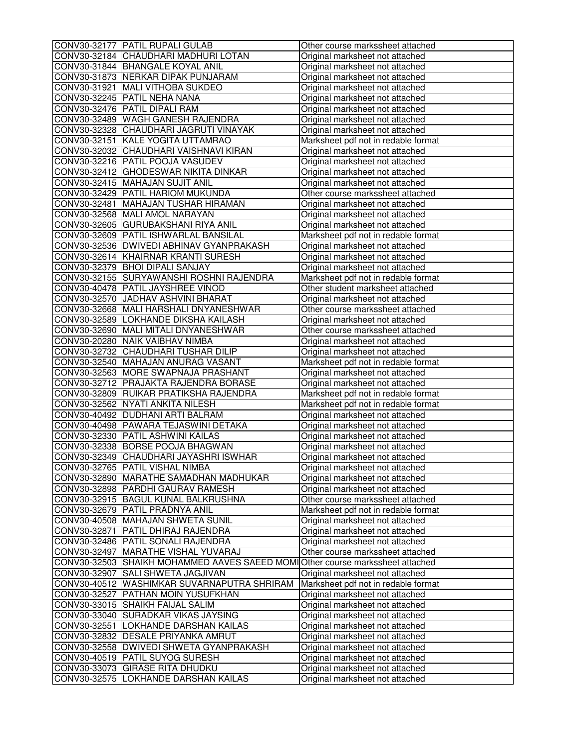| CONV30-32177 PATIL RUPALI GULAB                                                | Other course markssheet attached    |
|--------------------------------------------------------------------------------|-------------------------------------|
| CONV30-32184 CHAUDHARI MADHURI LOTAN                                           | Original marksheet not attached     |
| CONV30-31844 BHANGALE KOYAL ANIL                                               | Original marksheet not attached     |
| CONV30-31873 NERKAR DIPAK PUNJARAM                                             | Original marksheet not attached     |
| CONV30-31921   MALI VITHOBA SUKDEO                                             | Original marksheet not attached     |
| CONV30-32245 PATIL NEHA NANA                                                   | Original marksheet not attached     |
| CONV30-32476 PATIL DIPALI RAM                                                  | Original marksheet not attached     |
| CONV30-32489 WAGH GANESH RAJENDRA                                              | Original marksheet not attached     |
| CONV30-32328 CHAUDHARI JAGRUTI VINAYAK                                         | Original marksheet not attached     |
| CONV30-32151 KALE YOGITA UTTAMRAO                                              | Marksheet pdf not in redable format |
| CONV30-32032 CHAUDHARI VAISHNAVI KIRAN                                         | Original marksheet not attached     |
| CONV30-32216 PATIL POOJA VASUDEV                                               | Original marksheet not attached     |
| CONV30-32412 GHODESWAR NIKITA DINKAR                                           | Original marksheet not attached     |
| CONV30-32415 MAHAJAN SUJIT ANIL                                                | Original marksheet not attached     |
| CONV30-32429 PATIL HARIOM MUKUNDA                                              | Other course markssheet attached    |
| CONV30-32481 MAHAJAN TUSHAR HIRAMAN                                            | Original marksheet not attached     |
| CONV30-32568 MALI AMOL NARAYAN                                                 | Original marksheet not attached     |
| CONV30-32605 GURUBAKSHANI RIYA ANIL                                            | Original marksheet not attached     |
| CONV30-32609 PATIL ISHWARLAL BANSILAL                                          | Marksheet pdf not in redable format |
| CONV30-32536 DWIVEDI ABHINAV GYANPRAKASH                                       | Original marksheet not attached     |
| CONV30-32614 KHAIRNAR KRANTI SURESH                                            | Original marksheet not attached     |
| CONV30-32379 BHOI DIPALI SANJAY                                                | Original marksheet not attached     |
| CONV30-32155 SURYAWANSHI ROSHNI RAJENDRA                                       | Marksheet pdf not in redable format |
| CONV30-40478 PATIL JAYSHREE VINOD                                              | Other student marksheet attached    |
| CONV30-32570 JADHAV ASHVINI BHARAT                                             | Original marksheet not attached     |
| CONV30-32668 MALI HARSHALI DNYANESHWAR                                         | Other course markssheet attached    |
| CONV30-32589 LOKHANDE DIKSHA KAILASH                                           |                                     |
| CONV30-32690 MALI MITALI DNYANESHWAR                                           | Original marksheet not attached     |
| CONV30-20280 NAIK VAIBHAV NIMBA                                                | Other course markssheet attached    |
|                                                                                | Original marksheet not attached     |
| CONV30-32732 CHAUDHARI TUSHAR DILIP<br>CONV30-32540 MAHAJAN ANURAG VASANT      | Original marksheet not attached     |
|                                                                                | Marksheet pdf not in redable format |
| CONV30-32563 MORE SWAPNAJA PRASHANT                                            | Original marksheet not attached     |
| CONV30-32712 PRAJAKTA RAJENDRA BORASE                                          | Original marksheet not attached     |
| CONV30-32809 RUIKAR PRATIKSHA RAJENDRA                                         | Marksheet pdf not in redable format |
| CONV30-32562 NYATI ANKITA NILESH                                               | Marksheet pdf not in redable format |
| CONV30-40492   DUDHANI ARTI BALRAM                                             | Original marksheet not attached     |
| CONV30-40498 PAWARA TEJASWINI DETAKA                                           | Original marksheet not attached     |
| CONV30-32330 PATIL ASHWINI KAILAS                                              | Original marksheet not attached     |
| CONV30-32338 BORSE POOJA BHAGWAN                                               | Original marksheet not attached     |
| CONV30-32349 CHAUDHARI JAYASHRI ISWHAR                                         | Original marksheet not attached     |
| CONV30-32765  PATIL VISHAL NIMBA                                               | Original marksheet not attached     |
| CONV30-32890 MARATHE SAMADHAN MADHUKAR                                         | Original marksheet not attached     |
| CONV30-32898 PARDHI GAURAV RAMESH                                              | Original marksheet not attached     |
| CONV30-32915 BAGUL KUNAL BALKRUSHNA                                            | Other course markssheet attached    |
| CONV30-32679   PATIL PRADNYA ANIL                                              | Marksheet pdf not in redable format |
| CONV30-40508 MAHAJAN SHWETA SUNIL                                              | Original marksheet not attached     |
| CONV30-32871 PATIL DHIRAJ RAJENDRA                                             | Original marksheet not attached     |
| CONV30-32486 PATIL SONALI RAJENDRA                                             | Original marksheet not attached     |
| CONV30-32497 MARATHE VISHAL YUVARAJ                                            | Other course markssheet attached    |
| CONV30-32503 SHAIKH MOHAMMED AAVES SAEED MOMI Other course markssheet attached |                                     |
| CONV30-32907 SALI SHWETA JAGJIVAN                                              | Original marksheet not attached     |
| CONV30-40512 WASHIMKAR SUVARNAPUTRA SHRIRAM                                    | Marksheet pdf not in redable format |
| CONV30-32527 PATHAN MOIN YUSUFKHAN                                             | Original marksheet not attached     |
| CONV30-33015 SHAIKH FAIJAL SALIM                                               | Original marksheet not attached     |
| CONV30-33040 SURADKAR VIKAS JAYSING                                            | Original marksheet not attached     |
| CONV30-32551 LOKHANDE DARSHAN KAILAS                                           | Original marksheet not attached     |
| CONV30-32832 DESALE PRIYANKA AMRUT                                             | Original marksheet not attached     |
| CONV30-32558 DWIVEDI SHWETA GYANPRAKASH                                        | Original marksheet not attached     |
| CONV30-40519 PATIL SUYOG SURESH                                                | Original marksheet not attached     |
| CONV30-33073 GIRASE RITA DHUDKU                                                | Original marksheet not attached     |
| CONV30-32575 LOKHANDE DARSHAN KAILAS                                           | Original marksheet not attached     |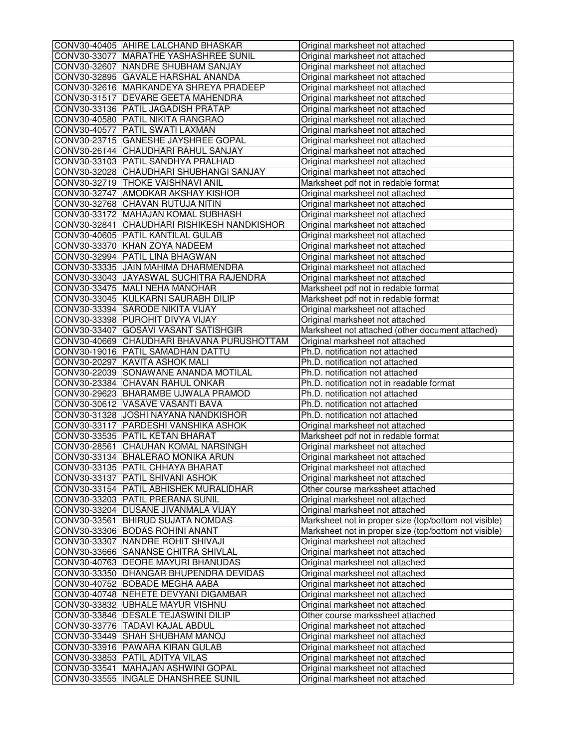| CONV30-40405 AHIRE LALCHAND BHASKAR         | Original marksheet not attached                       |
|---------------------------------------------|-------------------------------------------------------|
| CONV30-33077 MARATHE YASHASHREE SUNIL       | Original marksheet not attached                       |
| CONV30-32607 NANDRE SHUBHAM SANJAY          | Original marksheet not attached                       |
| CONV30-32895 GAVALE HARSHAL ANANDA          | Original marksheet not attached                       |
| CONV30-32616 MARKANDEYA SHREYA PRADEEP      | Original marksheet not attached                       |
| CONV30-31517   DEVARE GEETA MAHENDRA        | Original marksheet not attached                       |
| CONV30-33136 PATIL JAGADISH PRATAP          | Original marksheet not attached                       |
| CONV30-40580 PATIL NIKITA RANGRAO           | Original marksheet not attached                       |
| CONV30-40577 PATIL SWATI LAXMAN             | Original marksheet not attached                       |
| CONV30-23715 GANESHE JAYSHREE GOPAL         | Original marksheet not attached                       |
| CONV30-26144 CHAUDHARI RAHUL SANJAY         | Original marksheet not attached                       |
| CONV30-33103 PATIL SANDHYA PRALHAD          | Original marksheet not attached                       |
| CONV30-32028 CHAUDHARI SHUBHANGI SANJAY     | Original marksheet not attached                       |
| CONV30-32719 THOKE VAISHNAVI ANIL           | Marksheet pdf not in redable format                   |
| CONV30-32747 AMODKAR AKSHAY KISHOR          | Original marksheet not attached                       |
| CONV30-32768 CHAVAN RUTUJA NITIN            | Original marksheet not attached                       |
| CONV30-33172 MAHAJAN KOMAL SUBHASH          | Original marksheet not attached                       |
| CONV30-32841 CHAUDHARI RISHIKESH NANDKISHOR | Original marksheet not attached                       |
| CONV30-40605 PATIL KANTILAL GULAB           | Original marksheet not attached                       |
| CONV30-33370 KHAN ZOYA NADEEM               | Original marksheet not attached                       |
| CONV30-32994 PATIL LINA BHAGWAN             | Original marksheet not attached                       |
| CONV30-33335 JJAIN MAHIMA DHARMENDRA        | Original marksheet not attached                       |
| CONV30-33043 JAYASWAL SUCHITRA RAJENDRA     | Original marksheet not attached                       |
| CONV30-33475 MALI NEHA MANOHAR              | Marksheet pdf not in redable format                   |
| CONV30-33045 KULKARNI SAURABH DILIP         | Marksheet pdf not in redable format                   |
| CONV30-33394 SARODE NIKITA VIJAY            | Original marksheet not attached                       |
| CONV30-33398 PUROHIT DIVYA VIJAY            | Original marksheet not attached                       |
| CONV30-33407 GOSAVI VASANT SATISHGIR        | Marksheet not attached (other document attached)      |
| CONV30-40669 CHAUDHARI BHAVANA PURUSHOTTAM  | Original marksheet not attached                       |
| CONV30-19016 PATIL SAMADHAN DATTU           | Ph.D. notification not attached                       |
| CONV30-20297 KAVITA ASHOK MALI              | Ph.D. notification not attached                       |
| CONV30-22039 SONAWANE ANANDA MOTILAL        | Ph.D. notification not attached                       |
| CONV30-23384 CHAVAN RAHUL ONKAR             | Ph.D. notification not in readable format             |
| CONV30-29623 BHARAMBE UJWALA PRAMOD         | Ph.D. notification not attached                       |
| CONV30-30612 VASAVE VASANTI BAVA            | Ph.D. notification not attached                       |
| CONV30-31328 JJOSHI NAYANA NANDKISHOR       | Ph.D. notification not attached                       |
| CONV30-33117 PARDESHI VANSHIKA ASHOK        | Original marksheet not attached                       |
| CONV30-33535 PATIL KETAN BHARAT             | Marksheet pdf not in redable format                   |
| CONV30-28561 CHAUHAN KOMAL NARSINGH         | Original marksheet not attached                       |
| CONV30-33134 BHALERAO MONIKA ARUN           | Original marksheet not attached                       |
| CONV30-33135 PATIL CHHAYA BHARAT            | Original marksheet not attached                       |
| CONV30-33137 PATIL SHIVANI ASHOK            | Original marksheet not attached                       |
| CONV30-33154 PATIL ABHISHEK MURALIDHAR      | Other course markssheet attached                      |
| CONV30-33203 PATIL PRERANA SUNIL            | Original marksheet not attached                       |
| CONV30-33204 DUSANE JIVANMALA VIJAY         | Original marksheet not attached                       |
| CONV30-33561 BHIRUD SUJATA NOMDAS           | Marksheet not in proper size (top/bottom not visible) |
| CONV30-33306 BODAS ROHINI ANANT             | Marksheet not in proper size (top/bottom not visible) |
| CONV30-33307 NANDRE ROHIT SHIVAJI           | Original marksheet not attached                       |
| CONV30-33666 SANANSE CHITRA SHIVLAL         | Original marksheet not attached                       |
| CONV30-40763 DEORE MAYURI BHANUDAS          | Original marksheet not attached                       |
| CONV30-33350 DHANGAR BHUPENDRA DEVIDAS      | Original marksheet not attached                       |
| CONV30-40752 BOBADE MEGHA AABA              | Original marksheet not attached                       |
| CONV30-40748 NEHETE DEVYANI DIGAMBAR        | Original marksheet not attached                       |
| CONV30-33832 UBHALE MAYUR VISHNU            | Original marksheet not attached                       |
| CONV30-33846   DESALE TEJASWINI DILIP       | Other course markssheet attached                      |
| CONV30-33776   TADAVI KAJAL ABDUL           | Original marksheet not attached                       |
| CONV30-33449 SHAH SHUBHAM MANOJ             | Original marksheet not attached                       |
| CONV30-33916 PAWARA KIRAN GULAB             | Original marksheet not attached                       |
| CONV30-33853 PATIL ADITYA VILAS             | Original marksheet not attached                       |
| CONV30-33541 MAHAJAN ASHWINI GOPAL          | Original marksheet not attached                       |
| CONV30-33555  INGALE DHANSHREE SUNIL        | Original marksheet not attached                       |
|                                             |                                                       |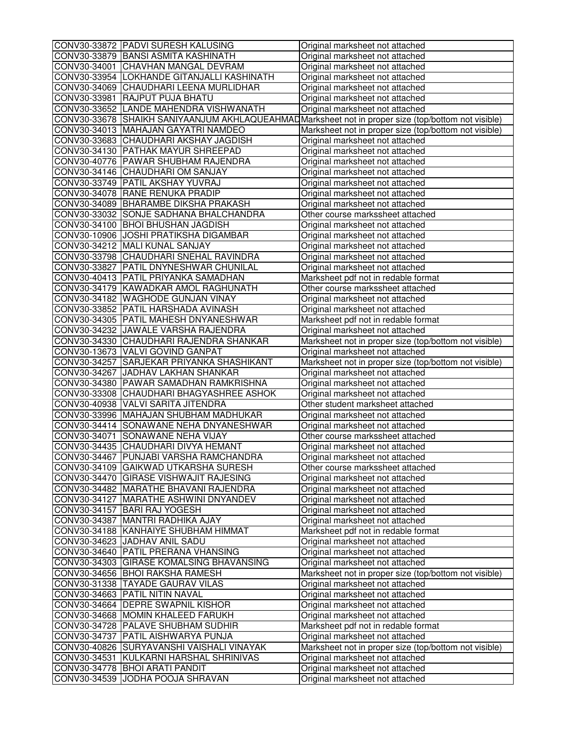| CONV30-33872 PADVI SURESH KALUSING         | Original marksheet not attached                                                                     |
|--------------------------------------------|-----------------------------------------------------------------------------------------------------|
| CONV30-33879 BANSI ASMITA KASHINATH        | Original marksheet not attached                                                                     |
| CONV30-34001 CHAVHAN MANGAL DEVRAM         | Original marksheet not attached                                                                     |
| CONV30-33954 LOKHANDE GITANJALLI KASHINATH | Original marksheet not attached                                                                     |
| CONV30-34069 CHAUDHARI LEENA MURLIDHAR     | Original marksheet not attached                                                                     |
| CONV30-33981 RAJPUT PUJA BHATU             | Original marksheet not attached                                                                     |
| CONV30-33652 LANDE MAHENDRA VISHWANATH     | Original marksheet not attached                                                                     |
|                                            | CONV30-33678 SHAIKH SANIYAANJUM AKHLAQUEAHMAD Marksheet not in proper size (top/bottom not visible) |
| CONV30-34013 MAHAJAN GAYATRI NAMDEO        | Marksheet not in proper size (top/bottom not visible)                                               |
| CONV30-33683 CHAUDHARI AKSHAY JAGDISH      | Original marksheet not attached                                                                     |
| CONV30-34130 PATHAK MAYUR SHREEPAD         | Original marksheet not attached                                                                     |
| CONV30-40776 PAWAR SHUBHAM RAJENDRA        | Original marksheet not attached                                                                     |
| CONV30-34146 CHAUDHARI OM SANJAY           | Original marksheet not attached                                                                     |
| CONV30-33749 PATIL AKSHAY YUVRAJ           | Original marksheet not attached                                                                     |
| CONV30-34078 RANE RENUKA PRADIP            | Original marksheet not attached                                                                     |
| CONV30-34089 BHARAMBE DIKSHA PRAKASH       | Original marksheet not attached                                                                     |
| CONV30-33032 SONJE SADHANA BHALCHANDRA     | Other course markssheet attached                                                                    |
| CONV30-34100 BHOI BHUSHAN JAGDISH          | Original marksheet not attached                                                                     |
| CONV30-10906 JOSHI PRATIKSHA DIGAMBAR      | Original marksheet not attached                                                                     |
| CONV30-34212 MALI KUNAL SANJAY             | Original marksheet not attached                                                                     |
| CONV30-33798 CHAUDHARI SNEHAL RAVINDRA     | Original marksheet not attached                                                                     |
| CONV30-33827 PATIL DNYNESHWAR CHUNILAL     | Original marksheet not attached                                                                     |
| CONV30-40413 PATIL PRIYANKA SAMADHAN       | Marksheet pdf not in redable format                                                                 |
| CONV30-34179 KAWADKAR AMOL RAGHUNATH       | Other course markssheet attached                                                                    |
| CONV30-34182 WAGHODE GUNJAN VINAY          | Original marksheet not attached                                                                     |
| CONV30-33852 PATIL HARSHADA AVINASH        | Original marksheet not attached                                                                     |
| CONV30-34305 PATIL MAHESH DNYANESHWAR      | Marksheet pdf not in redable format                                                                 |
| CONV30-34232 JAWALE VARSHA RAJENDRA        | Original marksheet not attached                                                                     |
| CONV30-34330 CHAUDHARI RAJENDRA SHANKAR    | Marksheet not in proper size (top/bottom not visible)                                               |
| CONV30-13673 VALVI GOVIND GANPAT           | Original marksheet not attached                                                                     |
| CONV30-34257 SARJEKAR PRIYANKA SHASHIKANT  | Marksheet not in proper size (top/bottom not visible)                                               |
| CONV30-34267 JADHAV LAKHAN SHANKAR         | Original marksheet not attached                                                                     |
| CONV30-34380 PAWAR SAMADHAN RAMKRISHNA     | Original marksheet not attached                                                                     |
| CONV30-33308 CHAUDHARI BHAGYASHREE ASHOK   | Original marksheet not attached                                                                     |
| CONV30-40938 VALVI SARITA JITENDRA         | Other student marksheet attached                                                                    |
| CONV30-33996 MAHAJAN SHUBHAM MADHUKAR      | Original marksheet not attached                                                                     |
| CONV30-34414 SONAWANE NEHA DNYANESHWAR     | Original marksheet not attached                                                                     |
| CONV30-34071 SONAWANE NEHA VIJAY           | Other course markssheet attached                                                                    |
| CONV30-34435 CHAUDHARI DIVYA HEMANT        | Original marksheet not attached                                                                     |
| CONV30-34467 PUNJABI VARSHA RAMCHANDRA     |                                                                                                     |
|                                            | Original marksheet not attached                                                                     |
| ICONV30-34109 IGAIKWAD UTKARSHA SURESH     | Other course markssheet attached                                                                    |
| CONV30-34470 GIRASE VISHWAJIT RAJESING     | Original marksheet not attached                                                                     |
| CONV30-34482 MARATHE BHAVANI RAJENDRA      | Original marksheet not attached                                                                     |
| CONV30-34127 MARATHE ASHWINI DNYANDEV      | Original marksheet not attached                                                                     |
| CONV30-34157 BARI RAJ YOGESH               | Original marksheet not attached                                                                     |
| CONV30-34387 MANTRI RADHIKA AJAY           | Original marksheet not attached                                                                     |
| CONV30-34188 KANHAIYE SHUBHAM HIMMAT       | Marksheet pdf not in redable format                                                                 |
| CONV30-34623 JADHAV ANIL SADU              | Original marksheet not attached                                                                     |
| CONV30-34640 PATIL PRERANA VHANSING        | Original marksheet not attached                                                                     |
| CONV30-34303 GIRASE KOMALSING BHAVANSING   | Original marksheet not attached                                                                     |
| CONV30-34656 BHOI RAKSHA RAMESH            | Marksheet not in proper size (top/bottom not visible)                                               |
| CONV30-31338 TAYADE GAURAV VILAS           | Original marksheet not attached                                                                     |
| CONV30-34663 PATIL NITIN NAVAL             | Original marksheet not attached                                                                     |
| CONV30-34664 DEPRE SWAPNIL KISHOR          | Original marksheet not attached                                                                     |
| CONV30-34668 MOMIN KHALEED FARUKH          | Original marksheet not attached                                                                     |
| CONV30-34728 PALAVE SHUBHAM SUDHIR         | Marksheet pdf not in redable format                                                                 |
| CONV30-34737   PATIL AISHWARYA PUNJA       | Original marksheet not attached                                                                     |
| CONV30-40826 SURYAVANSHI VAISHALI VINAYAK  | Marksheet not in proper size (top/bottom not visible)                                               |
| CONV30-34531 KULKARNI HARSHAL SHRINIVAS    | Original marksheet not attached                                                                     |
| CONV30-34778 BHOI ARATI PANDIT             | Original marksheet not attached                                                                     |
| CONV30-34539 JJODHA POOJA SHRAVAN          | Original marksheet not attached                                                                     |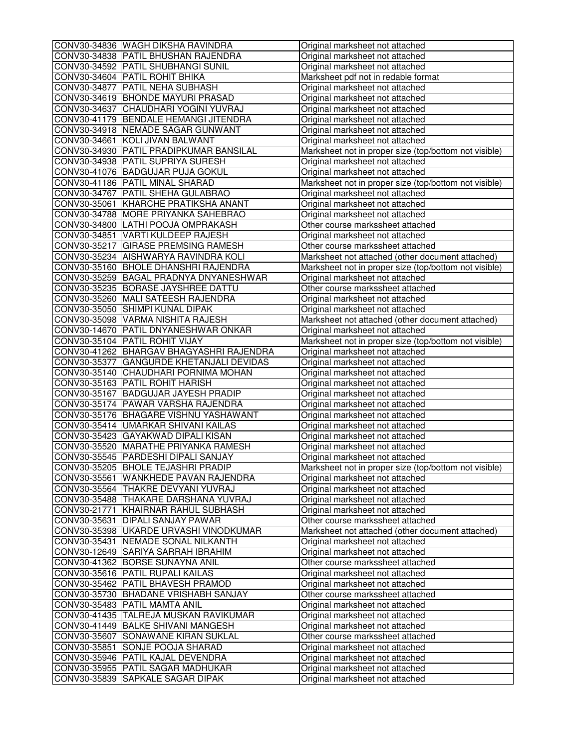| CONV30-34836 WAGH DIKSHA RAVINDRA                                     | Original marksheet not attached                                    |
|-----------------------------------------------------------------------|--------------------------------------------------------------------|
| CONV30-34838 PATIL BHUSHAN RAJENDRA                                   | Original marksheet not attached                                    |
| CONV30-34592 PATIL SHUBHANGI SUNIL                                    | Original marksheet not attached                                    |
| CONV30-34604 PATIL ROHIT BHIKA                                        | Marksheet pdf not in redable format                                |
| CONV30-34877 PATIL NEHA SUBHASH                                       | Original marksheet not attached                                    |
| CONV30-34619 BHONDE MAYURI PRASAD                                     | Original marksheet not attached                                    |
| CONV30-34637 CHAUDHARI YOGINI YUVRAJ                                  | Original marksheet not attached                                    |
| CONV30-41179 BENDALE HEMANGI JITENDRA                                 | Original marksheet not attached                                    |
| CONV30-34918 NEMADE SAGAR GUNWANT                                     | Original marksheet not attached                                    |
| CONV30-34661 KOLI JIVAN BALWANT                                       | Original marksheet not attached                                    |
| CONV30-34930 PATIL PRADIPKUMAR BANSILAL                               | Marksheet not in proper size (top/bottom not visible)              |
| CONV30-34938 PATIL SUPRIYA SURESH                                     | Original marksheet not attached                                    |
| CONV30-41076 BADGUJAR PUJA GOKUL                                      | Original marksheet not attached                                    |
| CONV30-41186 PATIL MINAL SHARAD                                       | Marksheet not in proper size (top/bottom not visible)              |
| CONV30-34767 PATIL SHEHA GULABRAO                                     | Original marksheet not attached                                    |
| CONV30-35061 KHARCHE PRATIKSHA ANANT                                  | Original marksheet not attached                                    |
| CONV30-34788 MORE PRIYANKA SAHEBRAO                                   | Original marksheet not attached                                    |
| CONV30-34800 LATHI POOJA OMPRAKASH                                    | Other course markssheet attached                                   |
| CONV30-34851 VARTI KULDEEP RAJESH                                     | Original marksheet not attached                                    |
| CONV30-35217 GIRASE PREMSING RAMESH                                   | Other course markssheet attached                                   |
| CONV30-35234 AISHWARYA RAVINDRA KOLI                                  | Marksheet not attached (other document attached)                   |
| CONV30-35160 BHOLE DHANSHRI RAJENDRA                                  | Marksheet not in proper size (top/bottom not visible)              |
| CONV30-35259 BAGAL PRADNYA DNYANESHWAR                                | Original marksheet not attached                                    |
| CONV30-35235 BORASE JAYSHREE DATTU                                    | Other course markssheet attached                                   |
| CONV30-35260 MALI SATEESH RAJENDRA                                    | Original marksheet not attached                                    |
| CONV30-35050 SHIMPI KUNAL DIPAK                                       | Original marksheet not attached                                    |
| CONV30-35098 VARMA NISHITA RAJESH                                     | Marksheet not attached (other document attached)                   |
| CONV30-14670 PATIL DNYANESHWAR ONKAR                                  | Original marksheet not attached                                    |
| CONV30-35104 PATIL ROHIT VIJAY                                        | Marksheet not in proper size (top/bottom not visible)              |
| CONV30-41262 BHARGAV BHAGYASHRI RAJENDRA                              | Original marksheet not attached                                    |
| CONV30-35377 GANGURDE KHETANJALI DEVIDAS                              | Original marksheet not attached                                    |
| CONV30-35140 CHAUDHARI PORNIMA MOHAN                                  | Original marksheet not attached                                    |
| CONV30-35163 PATIL ROHIT HARISH                                       | Original marksheet not attached                                    |
| CONV30-35167 BADGUJAR JAYESH PRADIP                                   | Original marksheet not attached                                    |
| CONV30-35174 PAWAR VARSHA RAJENDRA                                    | Original marksheet not attached                                    |
| CONV30-35176 BHAGARE VISHNU YASHAWANT                                 | Original marksheet not attached                                    |
| CONV30-35414 UMARKAR SHIVANI KAILAS                                   | Original marksheet not attached                                    |
| CONV30-35423 GAYAKWAD DIPALI KISAN                                    | Original marksheet not attached                                    |
| CONV30-35520 MARATHE PRIYANKA RAMESH                                  | Original marksheet not attached                                    |
| CONV30-35545 PARDESHI DIPALI SANJAY                                   | Original marksheet not attached                                    |
| CONV30-35205  BHOLE TEJASHRI PRADIP                                   | Marksheet not in proper size (top/bottom not visible)              |
| CONV30-35561 WANKHEDE PAVAN RAJENDRA                                  | Original marksheet not attached                                    |
| CONV30-35564 THAKRE DEVYANI YUVRAJ                                    | Original marksheet not attached                                    |
| CONV30-35488 THAKARE DARSHANA YUVRAJ                                  | Original marksheet not attached                                    |
| CONV30-21771 KHAIRNAR RAHUL SUBHASH                                   | Original marksheet not attached                                    |
| CONV30-35631 DIPALI SANJAY PAWAR                                      | Other course markssheet attached                                   |
| CONV30-35398 UKARDE URVASHI VINODKUMAR                                | Marksheet not attached (other document attached)                   |
| CONV30-35431 NEMADE SONAL NILKANTH                                    | Original marksheet not attached                                    |
| CONV30-12649 SARIYA SARRAH IBRAHIM                                    | Original marksheet not attached                                    |
| CONV30-41362 BORSE SUNAYNA ANIL                                       | Other course markssheet attached                                   |
| CONV30-35616 PATIL RUPALI KAILAS                                      | Original marksheet not attached                                    |
| CONV30-35462 PATIL BHAVESH PRAMOD                                     | Original marksheet not attached                                    |
| CONV30-35730 BHADANE VRISHABH SANJAY                                  | Other course markssheet attached                                   |
| CONV30-35483 PATIL MAMTA ANIL                                         | Original marksheet not attached                                    |
| CONV30-41435 TALREJA MUSKAN RAVIKUMAR                                 | Original marksheet not attached                                    |
| CONV30-41449 BALKE SHIVANI MANGESH                                    | Original marksheet not attached                                    |
| CONV30-35607 SONAWANE KIRAN SUKLAL                                    | Other course markssheet attached                                   |
|                                                                       |                                                                    |
|                                                                       |                                                                    |
| CONV30-35851 SONJE POOJA SHARAD                                       | Original marksheet not attached                                    |
| CONV30-35946 PATIL KAJAL DEVENDRA                                     | Original marksheet not attached                                    |
| CONV30-35955 PATIL SAGAR MADHUKAR<br>CONV30-35839 SAPKALE SAGAR DIPAK | Original marksheet not attached<br>Original marksheet not attached |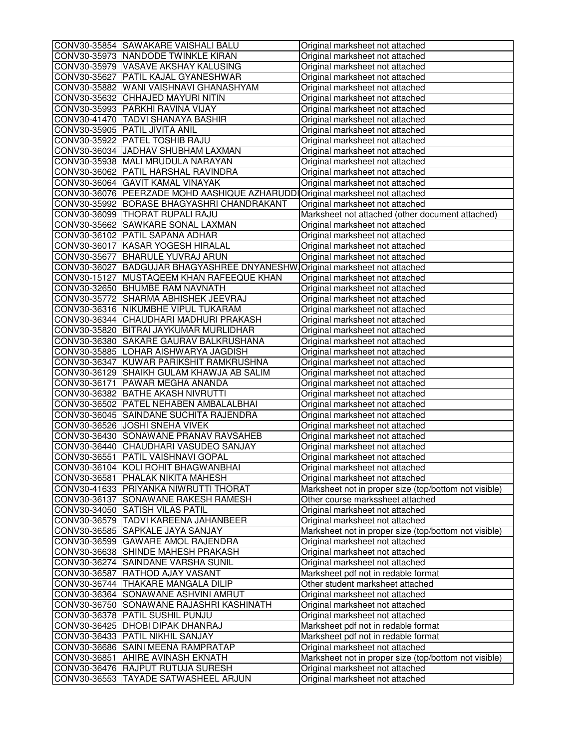| CONV30-35854 SAWAKARE VAISHALI BALU                                             | Original marksheet not attached                                    |
|---------------------------------------------------------------------------------|--------------------------------------------------------------------|
| CONV30-35973 NANDODE TWINKLE KIRAN                                              | Original marksheet not attached                                    |
| CONV30-35979 VASAVE AKSHAY KALUSING                                             | Original marksheet not attached                                    |
| CONV30-35627 PATIL KAJAL GYANESHWAR                                             | Original marksheet not attached                                    |
| CONV30-35882 WANI VAISHNAVI GHANASHYAM                                          | Original marksheet not attached                                    |
| CONV30-35632 CHHAJED MAYURI NITIN                                               | Original marksheet not attached                                    |
| CONV30-35993 PARKHI RAVINA VIJAY                                                | Original marksheet not attached                                    |
| CONV30-41470 TADVI SHANAYA BASHIR                                               | Original marksheet not attached                                    |
| CONV30-35905 PATIL JIVITA ANIL                                                  | Original marksheet not attached                                    |
| CONV30-35922 PATEL TOSHIB RAJU                                                  | Original marksheet not attached                                    |
| CONV30-36034 JADHAV SHUBHAM LAXMAN                                              | Original marksheet not attached                                    |
| CONV30-35938 MALI MRUDULA NARAYAN                                               | Original marksheet not attached                                    |
| CONV30-36062 PATIL HARSHAL RAVINDRA                                             | Original marksheet not attached                                    |
| CONV30-36064 GAVIT KAMAL VINAYAK                                                | Original marksheet not attached                                    |
| CONV30-36076   PEERZADE MOHD AASHIQUE AZHARUDD  Original marksheet not attached |                                                                    |
| CONV30-35992 BORASE BHAGYASHRI CHANDRAKANT                                      | Original marksheet not attached                                    |
| CONV30-36099 THORAT RUPALI RAJU                                                 | Marksheet not attached (other document attached)                   |
| CONV30-35662 SAWKARE SONAL LAXMAN                                               | Original marksheet not attached                                    |
| CONV30-36102 PATIL SAPANA ADHAR                                                 | Original marksheet not attached                                    |
| CONV30-36017 KASAR YOGESH HIRALAL                                               | Original marksheet not attached                                    |
| CONV30-35677 BHARULE YUVRAJ ARUN                                                | Original marksheet not attached                                    |
| CONV30-36027 BADGUJAR BHAGYASHREE DNYANESHW                                     | Original marksheet not attached                                    |
| CONV30-15127 MUSTAQEEM KHAN RAFEEQUE KHAN                                       | Original marksheet not attached                                    |
| CONV30-32650 BHUMBE RAM NAVNATH                                                 | Original marksheet not attached                                    |
| CONV30-35772 SHARMA ABHISHEK JEEVRAJ                                            | Original marksheet not attached                                    |
| CONV30-36316 NIKUMBHE VIPUL TUKARAM                                             | Original marksheet not attached                                    |
| CONV30-36344 CHAUDHARI MADHURI PRAKASH                                          | Original marksheet not attached                                    |
| CONV30-35820 BITRAI JAYKUMAR MURLIDHAR                                          | Original marksheet not attached                                    |
| CONV30-36380 SAKARE GAURAV BALKRUSHANA                                          | Original marksheet not attached                                    |
| CONV30-35885 LOHAR AISHWARYA JAGDISH                                            | Original marksheet not attached                                    |
| CONV30-36347 KUWAR PARIKSHIT RAMKRUSHNA                                         | Original marksheet not attached                                    |
| CONV30-36129 SHAIKH GULAM KHAWJA AB SALIM                                       | Original marksheet not attached                                    |
| CONV30-36171 PAWAR MEGHA ANANDA                                                 | Original marksheet not attached                                    |
| CONV30-36382 BATHE AKASH NIVRUTTI                                               | Original marksheet not attached                                    |
| CONV30-36502 PATEL NEHABEN AMBALALBHAI                                          | Original marksheet not attached                                    |
| CONV30-36045 SAINDANE SUCHITA RAJENDRA                                          |                                                                    |
| CONV30-36526 JOSHI SNEHA VIVEK                                                  | Original marksheet not attached                                    |
| CONV30-36430 SONAWANE PRANAV RAVSAHEB                                           | Original marksheet not attached<br>Original marksheet not attached |
| CONV30-36440 CHAUDHARI VASUDEO SANJAY                                           |                                                                    |
|                                                                                 | Original marksheet not attached                                    |
| CONV30-36551 PATIL VAISHNAVI GOPAL                                              | Original marksheet not attached                                    |
| CONV30-36104 KOLI ROHIT BHAGWANBHAI                                             | Original marksheet not attached                                    |
| CONV30-36581 PHALAK NIKITA MAHESH                                               | Original marksheet not attached                                    |
| CONV30-41633 PRIYANKA NIWRUTTI THORAT                                           | Marksheet not in proper size (top/bottom not visible)              |
| CONV30-36137 SONAWANE RAKESH RAMESH                                             | Other course markssheet attached                                   |
| CONV30-34050 SATISH VILAS PATIL                                                 | Original marksheet not attached                                    |
| CONV30-36579   TADVI KAREENA JAHANBEER                                          | Original marksheet not attached                                    |
| CONV30-36585 SAPKALE JAYA SANJAY                                                | Marksheet not in proper size (top/bottom not visible)              |
| CONV30-36599 GAWARE AMOL RAJENDRA                                               | Original marksheet not attached                                    |
| CONV30-36638 SHINDE MAHESH PRAKASH                                              | Original marksheet not attached                                    |
| CONV30-36274 SAINDANE VARSHA SUNIL                                              | Original marksheet not attached                                    |
| CONV30-36587 RATHOD AJAY VASANT                                                 | Marksheet pdf not in redable format                                |
| CONV30-36744 THAKARE MANGALA DILIP                                              | Other student marksheet attached                                   |
| CONV30-36364 SONAWANE ASHVINI AMRUT                                             | Original marksheet not attached                                    |
| CONV30-36750 SONAWANE RAJASHRI KASHINATH                                        | Original marksheet not attached                                    |
| CONV30-36378 PATIL SUSHIL PUNJU                                                 | Original marksheet not attached                                    |
| CONV30-36425 DHOBI DIPAK DHANRAJ                                                | Marksheet pdf not in redable format                                |
| CONV30-36433 PATIL NIKHIL SANJAY                                                | Marksheet pdf not in redable format                                |
| CONV30-36686 SAINI MEENA RAMPRATAP                                              | Original marksheet not attached                                    |
| CONV30-36851 AHIRE AVINASH EKNATH                                               | Marksheet not in proper size (top/bottom not visible)              |
| CONV30-36476 RAJPUT RUTUJA SURESH                                               | Original marksheet not attached                                    |
| CONV30-36553 TAYADE SATWASHEEL ARJUN                                            | Original marksheet not attached                                    |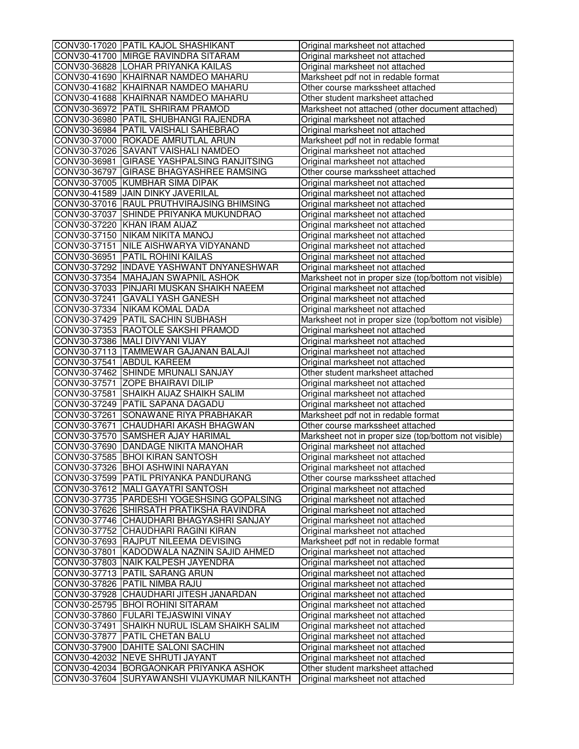| CONV30-17020 PATIL KAJOL SHASHIKANT                                 | Original marksheet not attached                                    |
|---------------------------------------------------------------------|--------------------------------------------------------------------|
| CONV30-41700 MIRGE RAVINDRA SITARAM                                 | Original marksheet not attached                                    |
| CONV30-36828 LOHAR PRIYANKA KAILAS                                  | Original marksheet not attached                                    |
| CONV30-41690 KHAIRNAR NAMDEO MAHARU                                 | Marksheet pdf not in redable format                                |
| CONV30-41682 KHAIRNAR NAMDEO MAHARU                                 | Other course markssheet attached                                   |
| CONV30-41688 KHAIRNAR NAMDEO MAHARU                                 | Other student marksheet attached                                   |
| CONV30-36972 PATIL SHRIRAM PRAMOD                                   | Marksheet not attached (other document attached)                   |
| CONV30-36980 PATIL SHUBHANGI RAJENDRA                               | Original marksheet not attached                                    |
| CONV30-36984 PATIL VAISHALI SAHEBRAO                                | Original marksheet not attached                                    |
| CONV30-37000 ROKADE AMRUTLAL ARUN                                   | Marksheet pdf not in redable format                                |
| CONV30-37026 SAVANT VAISHALI NAMDEO                                 | Original marksheet not attached                                    |
| CONV30-36981 GIRASE YASHPALSING RANJITSING                          | Original marksheet not attached                                    |
| CONV30-36797 GIRASE BHAGYASHREE RAMSING                             | Other course markssheet attached                                   |
| CONV30-37005 KUMBHAR SIMA DIPAK                                     | Original marksheet not attached                                    |
| CONV30-41589 JAIN DINKY JAVERILAL                                   | Original marksheet not attached                                    |
| CONV30-37016 RAUL PRUTHVIRAJSING BHIMSING                           | Original marksheet not attached                                    |
| CONV30-37037 SHINDE PRIYANKA MUKUNDRAO                              | Original marksheet not attached                                    |
| CONV30-37220 KHAN IRAM AIJAZ                                        | Original marksheet not attached                                    |
| CONV30-37150 NIKAM NIKITA MANOJ                                     | Original marksheet not attached                                    |
| CONV30-37151 NILE AISHWARYA VIDYANAND                               | Original marksheet not attached                                    |
| CONV30-36951 PATIL ROHINI KAILAS                                    | Original marksheet not attached                                    |
| CONV30-37292 INDAVE YASHWANT DNYANESHWAR                            | Original marksheet not attached                                    |
| CONV30-37354 MAHAJAN SWAPNIL ASHOK                                  | Marksheet not in proper size (top/bottom not visible)              |
| CONV30-37033 PINJARI MUSKAN SHAIKH NAEEM                            | Original marksheet not attached                                    |
| CONV30-37241 GAVALI YASH GANESH                                     | Original marksheet not attached                                    |
| CONV30-37334 NIKAM KOMAL DADA                                       | Original marksheet not attached                                    |
| CONV30-37429 PATIL SACHIN SUBHASH                                   | Marksheet not in proper size (top/bottom not visible)              |
| CONV30-37353 RAOTOLE SAKSHI PRAMOD                                  | Original marksheet not attached                                    |
| CONV30-37386 MALI DIVYANI VIJAY                                     | Original marksheet not attached                                    |
| CONV30-37113 TAMMEWAR GAJANAN BALAJI                                | Original marksheet not attached                                    |
| CONV30-37541 ABDUL KAREEM                                           | Original marksheet not attached                                    |
| CONV30-37462 SHINDE MRUNALI SANJAY                                  | Other student marksheet attached                                   |
| CONV30-37571 ZOPE BHAIRAVI DILIP                                    | Original marksheet not attached                                    |
| CONV30-37581 SHAIKH AIJAZ SHAIKH SALIM                              | Original marksheet not attached                                    |
| CONV30-37249   PATIL SAPANA DAGADU                                  | Original marksheet not attached                                    |
| CONV30-37261 SONAWANE RIYA PRABHAKAR                                | Marksheet pdf not in redable format                                |
| CONV30-37671 CHAUDHARI AKASH BHAGWAN                                | Other course markssheet attached                                   |
| CONV30-37570 SAMSHER AJAY HARIMAL                                   | Marksheet not in proper size (top/bottom not visible)              |
| CONV30-37690 DANDAGE NIKITA MANOHAR                                 | Original marksheet not attached                                    |
| CONV30-37585 BHOI KIRAN SANTOSH                                     | Original marksheet not attached                                    |
| CONV30-37326  BHOI ASHWINI NARAYAN                                  | Original marksheet not attached                                    |
| CONV30-37599 PATIL PRIYANKA PANDURANG                               | Other course markssheet attached                                   |
| CONV30-37612 MALI GAYATRI SANTOSH                                   | Original marksheet not attached                                    |
| CONV30-37735 PARDESHI YOGESHSING GOPALSING                          | Original marksheet not attached                                    |
| CONV30-37626 SHIRSATH PRATIKSHA RAVINDRA                            | Original marksheet not attached                                    |
| CONV30-37746 CHAUDHARI BHAGYASHRI SANJAY                            | Original marksheet not attached                                    |
| CONV30-37752 CHAUDHARI RAGINI KIRAN                                 | Original marksheet not attached                                    |
| CONV30-37693 RAJPUT NILEEMA DEVISING                                | Marksheet pdf not in redable format                                |
| CONV30-37801 KADODWALA NAZNIN SAJID AHMED                           | Original marksheet not attached                                    |
| CONV30-37803 NAIK KALPESH JAYENDRA                                  | Original marksheet not attached                                    |
| CONV30-37713 PATIL SARANG ARUN                                      | Original marksheet not attached                                    |
| CONV30-37826 PATIL NIMBA RAJU                                       | Original marksheet not attached                                    |
| CONV30-37928 CHAUDHARI JITESH JANARDAN                              | Original marksheet not attached                                    |
| CONV30-25795 BHOI ROHINI SITARAM                                    | Original marksheet not attached                                    |
| CONV30-37860 FULARI TEJASWINI VINAY                                 | Original marksheet not attached                                    |
| CONV30-37491 SHAIKH NURUL ISLAM SHAIKH SALIM                        | Original marksheet not attached                                    |
|                                                                     |                                                                    |
| CONV30-37877 PATIL CHETAN BALU<br>CONV30-37900 DAHITE SALONI SACHIN | Original marksheet not attached<br>Original marksheet not attached |
| CONV30-42032 NEVE SHRUTI JAYANT                                     |                                                                    |
| CONV30-42034 BORGAONKAR PRIYANKA ASHOK                              | Original marksheet not attached                                    |
|                                                                     | Other student marksheet attached                                   |
| CONV30-37604 SURYAWANSHI VIJAYKUMAR NILKANTH                        | Original marksheet not attached                                    |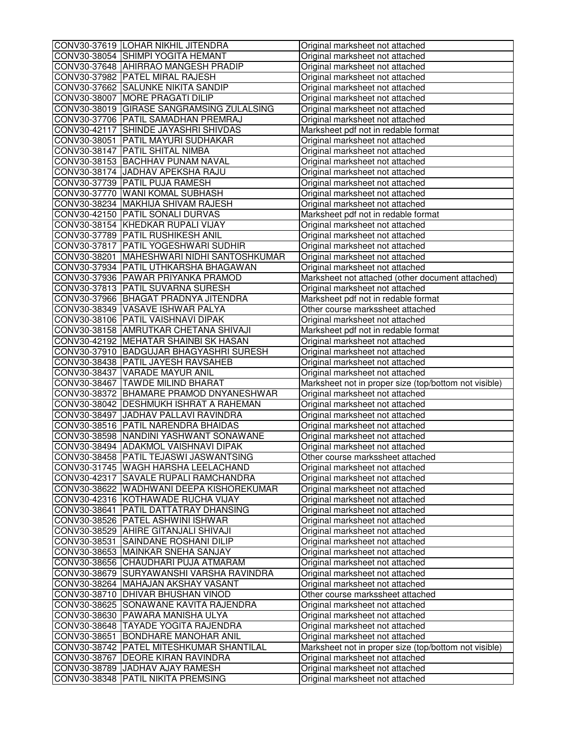| CONV30-37619 LOHAR NIKHIL JITENDRA           | Original marksheet not attached                       |
|----------------------------------------------|-------------------------------------------------------|
| CONV30-38054 SHIMPI YOGITA HEMANT            | Original marksheet not attached                       |
| CONV30-37648 AHIRRAO MANGESH PRADIP          | Original marksheet not attached                       |
| CONV30-37982 PATEL MIRAL RAJESH              | Original marksheet not attached                       |
| CONV30-37662 SALUNKE NIKITA SANDIP           | Original marksheet not attached                       |
| CONV30-38007 MORE PRAGATI DILIP              | Original marksheet not attached                       |
| CONV30-38019 GIRASE SANGRAMSING ZULALSING    | Original marksheet not attached                       |
| CONV30-37706 PATIL SAMADHAN PREMRAJ          | Original marksheet not attached                       |
| CONV30-42117 SHINDE JAYASHRI SHIVDAS         | Marksheet pdf not in redable format                   |
| CONV30-38051 PATIL MAYURI SUDHAKAR           | Original marksheet not attached                       |
| CONV30-38147 PATIL SHITAL NIMBA              | Original marksheet not attached                       |
| CONV30-38153 BACHHAV PUNAM NAVAL             | Original marksheet not attached                       |
| CONV30-38174 JJADHAV APEKSHA RAJU            | Original marksheet not attached                       |
| CONV30-37739 PATIL PUJA RAMESH               | Original marksheet not attached                       |
| CONV30-37770 WANI KOMAL SUBHASH              | Original marksheet not attached                       |
| CONV30-38234 MAKHIJA SHIVAM RAJESH           | Original marksheet not attached                       |
| CONV30-42150 PATIL SONALI DURVAS             | Marksheet pdf not in redable format                   |
| CONV30-38154 KHEDKAR RUPALI VIJAY            | Original marksheet not attached                       |
| CONV30-37789 PATIL RUSHIKESH ANIL            | Original marksheet not attached                       |
| CONV30-37817 PATIL YOGESHWARI SUDHIR         | Original marksheet not attached                       |
| CONV30-38201   MAHESHWARI NIDHI SANTOSHKUMAR | Original marksheet not attached                       |
| CONV30-37934 PATIL UTHKARSHA BHAGAWAN        | Original marksheet not attached                       |
| CONV30-37936 PAWAR PRIYANKA PRAMOD           | Marksheet not attached (other document attached)      |
| CONV30-37813 PATIL SUVARNA SURESH            | Original marksheet not attached                       |
| CONV30-37966 BHAGAT PRADNYA JITENDRA         | Marksheet pdf not in redable format                   |
| CONV30-38349 VASAVE ISHWAR PALYA             | Other course markssheet attached                      |
| CONV30-38106 PATIL VAISHNAVI DIPAK           | Original marksheet not attached                       |
| CONV30-38158 AMRUTKAR CHETANA SHIVAJI        | Marksheet pdf not in redable format                   |
| CONV30-42192 MEHATAR SHAINBI SK HASAN        | Original marksheet not attached                       |
| CONV30-37910 BADGUJAR BHAGYASHRI SURESH      | Original marksheet not attached                       |
| CONV30-38438 PATIL JAYESH RAVSAHEB           | Original marksheet not attached                       |
| CONV30-38437 VARADE MAYUR ANIL               | Original marksheet not attached                       |
| CONV30-38467 TAWDE MILIND BHARAT             | Marksheet not in proper size (top/bottom not visible) |
| CONV30-38372 BHAMARE PRAMOD DNYANESHWAR      | Original marksheet not attached                       |
| CONV30-38042 DESHMUKH ISHRAT A RAHEMAN       | Original marksheet not attached                       |
| CONV30-38497 JJADHAV PALLAVI RAVINDRA        | Original marksheet not attached                       |
| CONV30-38516 PATIL NARENDRA BHAIDAS          | Original marksheet not attached                       |
| CONV30-38598 NANDINI YASHWANT SONAWANE       | Original marksheet not attached                       |
| CONV30-38494 ADAKMOL VAISHNAVI DIPAK         | Original marksheet not attached                       |
| CONV30-38458 PATIL TEJASWI JASWANTSING       | Other course markssheet attached                      |
| CONV30-31745  WAGH HARSHA LEELACHAND         | Original marksheet not attached                       |
| CONV30-42317 SAVALE RUPALI RAMCHANDRA        | Original marksheet not attached                       |
| CONV30-38622 WADHWANI DEEPA KISHOREKUMAR     | Original marksheet not attached                       |
| CONV30-42316 KOTHAWADE RUCHA VIJAY           | Original marksheet not attached                       |
| CONV30-38641 PATIL DATTATRAY DHANSING        | Original marksheet not attached                       |
| CONV30-38526 PATEL ASHWINI ISHWAR            | Original marksheet not attached                       |
| CONV30-38529 AHIRE GITANJALI SHIVAJI         | Original marksheet not attached                       |
| CONV30-38531 SAINDANE ROSHANI DILIP          | Original marksheet not attached                       |
| CONV30-38653 MAINKAR SNEHA SANJAY            | Original marksheet not attached                       |
| CONV30-38656 CHAUDHARI PUJA ATMARAM          | Original marksheet not attached                       |
| CONV30-38679 SURYAWANSHI VARSHA RAVINDRA     | Original marksheet not attached                       |
| CONV30-38264 MAHAJAN AKSHAY VASANT           | Original marksheet not attached                       |
| CONV30-38710 DHIVAR BHUSHAN VINOD            | Other course markssheet attached                      |
| CONV30-38625 SONAWANE KAVITA RAJENDRA        | Original marksheet not attached                       |
| CONV30-38630 PAWARA MANISHA ULYA             | Original marksheet not attached                       |
| CONV30-38648 TAYADE YOGITA RAJENDRA          | Original marksheet not attached                       |
| CONV30-38651 BONDHARE MANOHAR ANIL           | Original marksheet not attached                       |
| CONV30-38742   PATEL MITESHKUMAR SHANTILAL   | Marksheet not in proper size (top/bottom not visible) |
| CONV30-38767 DEORE KIRAN RAVINDRA            | Original marksheet not attached                       |
| CONV30-38789 JJADHAV AJAY RAMESH             | Original marksheet not attached                       |
| CONV30-38348 PATIL NIKITA PREMSING           | Original marksheet not attached                       |
|                                              |                                                       |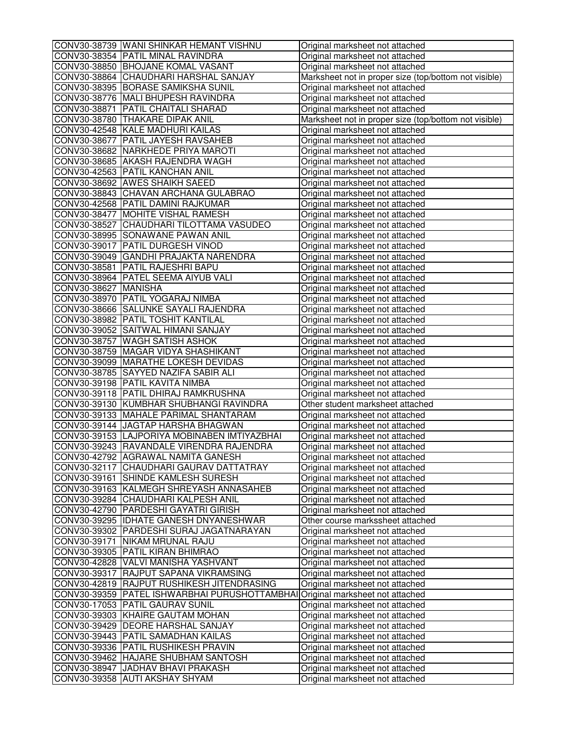|                      | CONV30-38739 WANI SHINKAR HEMANT VISHNU       | Original marksheet not attached                       |
|----------------------|-----------------------------------------------|-------------------------------------------------------|
|                      | CONV30-38354 PATIL MINAL RAVINDRA             | Original marksheet not attached                       |
|                      | CONV30-38850 BHOJANE KOMAL VASANT             | Original marksheet not attached                       |
|                      | CONV30-38864 CHAUDHARI HARSHAL SANJAY         | Marksheet not in proper size (top/bottom not visible) |
|                      | CONV30-38395 BORASE SAMIKSHA SUNIL            | Original marksheet not attached                       |
|                      | CONV30-38776 MALI BHUPESH RAVINDRA            | Original marksheet not attached                       |
|                      | CONV30-38871 PATIL CHAITALI SHARAD            | Original marksheet not attached                       |
|                      | CONV30-38780 THAKARE DIPAK ANIL               | Marksheet not in proper size (top/bottom not visible) |
|                      | CONV30-42548 KALE MADHURI KAILAS              | Original marksheet not attached                       |
|                      | CONV30-38677 PATIL JAYESH RAVSAHEB            | Original marksheet not attached                       |
|                      | CONV30-38682 NARKHEDE PRIYA MAROTI            | Original marksheet not attached                       |
|                      | CONV30-38685 AKASH RAJENDRA WAGH              | Original marksheet not attached                       |
|                      | CONV30-42563 PATIL KANCHAN ANIL               | Original marksheet not attached                       |
|                      | CONV30-38692 AWES SHAIKH SAEED                | Original marksheet not attached                       |
|                      | CONV30-38843 CHAVAN ARCHANA GULABRAO          | Original marksheet not attached                       |
|                      | CONV30-42568 PATIL DAMINI RAJKUMAR            | Original marksheet not attached                       |
|                      | CONV30-38477 MOHITE VISHAL RAMESH             | Original marksheet not attached                       |
|                      | CONV30-38527 CHAUDHARI TILOTTAMA VASUDEO      | Original marksheet not attached                       |
|                      | CONV30-38995 SONAWANE PAWAN ANIL              | Original marksheet not attached                       |
|                      | CONV30-39017 PATIL DURGESH VINOD              | Original marksheet not attached                       |
|                      | CONV30-39049 GANDHI PRAJAKTA NARENDRA         | Original marksheet not attached                       |
|                      | CONV30-38581 PATIL RAJESHRI BAPU              | Original marksheet not attached                       |
|                      | CONV30-38964 PATEL SEEMA AIYUB VALI           | Original marksheet not attached                       |
| CONV30-38627 MANISHA |                                               | Original marksheet not attached                       |
|                      | CONV30-38970 PATIL YOGARAJ NIMBA              | Original marksheet not attached                       |
|                      | CONV30-38666 SALUNKE SAYALI RAJENDRA          | Original marksheet not attached                       |
|                      | CONV30-38982 PATIL TOSHIT KANTILAL            |                                                       |
|                      | CONV30-39052 SAITWAL HIMANI SANJAY            | Original marksheet not attached                       |
|                      | CONV30-38757 WAGH SATISH ASHOK                | Original marksheet not attached                       |
|                      | CONV30-38759 MAGAR VIDYA SHASHIKANT           | Original marksheet not attached                       |
|                      | CONV30-39099 MARATHE LOKESH DEVIDAS           | Original marksheet not attached                       |
|                      |                                               | Original marksheet not attached                       |
|                      | CONV30-38785 SAYYED NAZIFA SABIR ALI          | Original marksheet not attached                       |
|                      | CONV30-39198 PATIL KAVITA NIMBA               | Original marksheet not attached                       |
|                      | CONV30-39118 PATIL DHIRAJ RAMKRUSHNA          | Original marksheet not attached                       |
|                      | CONV30-39130 KUMBHAR SHUBHANGI RAVINDRA       | Other student marksheet attached                      |
|                      | CONV30-39133 MAHALE PARIMAL SHANTARAM         | Original marksheet not attached                       |
|                      | CONV30-39144 JJAGTAP HARSHA BHAGWAN           | Original marksheet not attached                       |
|                      | CONV30-39153 LAJPORIYA MOBINABEN IMTIYAZBHAI  | Original marksheet not attached                       |
|                      | CONV30-39243 RAVANDALE VIRENDRA RAJENDRA      | Original marksheet not attached                       |
|                      | CONV30-42792 AGRAWAL NAMITA GANESH            | Original marksheet not attached                       |
|                      | CONV30-32117  CHAUDHARI GAURAV DATTATRAY      | Original marksheet not attached                       |
|                      | CONV30-39161 SHINDE KAMLESH SURESH            | Original marksheet not attached                       |
|                      | CONV30-39163 KALMEGH SHREYASH ANNASAHEB       | Original marksheet not attached                       |
|                      | CONV30-39284 CHAUDHARI KALPESH ANIL           | Original marksheet not attached                       |
|                      | CONV30-42790 PARDESHI GAYATRI GIRISH          | Original marksheet not attached                       |
|                      | CONV30-39295 IDHATE GANESH DNYANESHWAR        | Other course markssheet attached                      |
|                      | CONV30-39302 PARDESHI SURAJ JAGATNARAYAN      | Original marksheet not attached                       |
|                      | CONV30-39171 NIKAM MRUNAL RAJU                | Original marksheet not attached                       |
|                      | CONV30-39305 PATIL KIRAN BHIMRAO              | Original marksheet not attached                       |
|                      | CONV30-42828  VALVI MANISHA YASHVANT          | Original marksheet not attached                       |
|                      | CONV30-39317 RAJPUT SAPANA VIKRAMSING         | Original marksheet not attached                       |
|                      | CONV30-42819 RAJPUT RUSHIKESH JITENDRASING    | Original marksheet not attached                       |
|                      | CONV30-39359 PATEL ISHWARBHAI PURUSHOTTAMBHAI | Original marksheet not attached                       |
|                      | CONV30-17053 PATIL GAURAV SUNIL               | Original marksheet not attached                       |
|                      | CONV30-39303 KHAIRE GAUTAM MOHAN              | Original marksheet not attached                       |
|                      | CONV30-39429 DEORE HARSHAL SANJAY             | Original marksheet not attached                       |
|                      | CONV30-39443   PATIL SAMADHAN KAILAS          | Original marksheet not attached                       |
|                      | CONV30-39336 PATIL RUSHIKESH PRAVIN           | Original marksheet not attached                       |
|                      | CONV30-39462 HAJARE SHUBHAM SANTOSH           | Original marksheet not attached                       |
|                      | CONV30-38947 JADHAV BHAVI PRAKASH             | Original marksheet not attached                       |
|                      | CONV30-39358 AUTI AKSHAY SHYAM                | Original marksheet not attached                       |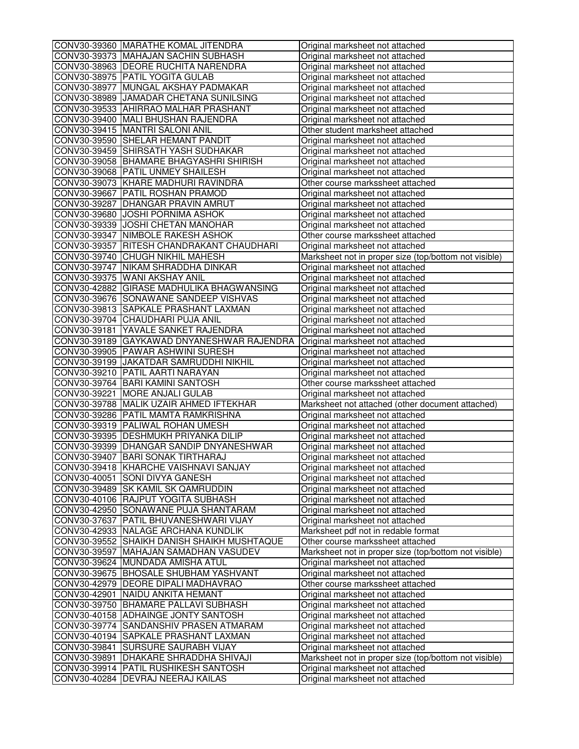| CONV30-39360 MARATHE KOMAL JITENDRA                                          | Original marksheet not attached                                                     |
|------------------------------------------------------------------------------|-------------------------------------------------------------------------------------|
| CONV30-39373 MAHAJAN SACHIN SUBHASH                                          | Original marksheet not attached                                                     |
| CONV30-38963 DEORE RUCHITA NARENDRA                                          | Original marksheet not attached                                                     |
| CONV30-38975 PATIL YOGITA GULAB                                              | Original marksheet not attached                                                     |
| CONV30-38977 MUNGAL AKSHAY PADMAKAR                                          | Original marksheet not attached                                                     |
| CONV30-38989 JJAMADAR CHETANA SUNILSING                                      | Original marksheet not attached                                                     |
| CONV30-39533 AHIRRAO MALHAR PRASHANT                                         | Original marksheet not attached                                                     |
| CONV30-39400 MALI BHUSHAN RAJENDRA                                           | Original marksheet not attached                                                     |
| CONV30-39415 MANTRI SALONI ANIL                                              | Other student marksheet attached                                                    |
| CONV30-39590 SHELAR HEMANT PANDIT                                            | Original marksheet not attached                                                     |
| CONV30-39459 SHIRSATH YASH SUDHAKAR                                          | Original marksheet not attached                                                     |
| CONV30-39058 BHAMARE BHAGYASHRI SHIRISH                                      | Original marksheet not attached                                                     |
| CONV30-39068 PATIL UNMEY SHAILESH                                            | Original marksheet not attached                                                     |
| CONV30-39073 KHARE MADHURI RAVINDRA                                          | Other course markssheet attached                                                    |
| CONV30-39667 PATIL ROSHAN PRAMOD                                             | Original marksheet not attached                                                     |
| CONV30-39287 DHANGAR PRAVIN AMRUT                                            | Original marksheet not attached                                                     |
| CONV30-39680 JOSHI PORNIMA ASHOK                                             | Original marksheet not attached                                                     |
| CONV30-39339 JJOSHI CHETAN MANOHAR                                           | Original marksheet not attached                                                     |
| CONV30-39347 NIMBOLE RAKESH ASHOK                                            | Other course markssheet attached                                                    |
| CONV30-39357   RITESH CHANDRAKANT CHAUDHARI                                  | Original marksheet not attached                                                     |
| CONV30-39740 CHUGH NIKHIL MAHESH                                             | Marksheet not in proper size (top/bottom not visible)                               |
| CONV30-39747 NIKAM SHRADDHA DINKAR                                           | Original marksheet not attached                                                     |
| CONV30-39375 WANI AKSHAY ANIL                                                | Original marksheet not attached                                                     |
| CONV30-42882 GIRASE MADHULIKA BHAGWANSING                                    | Original marksheet not attached                                                     |
| CONV30-39676 SONAWANE SANDEEP VISHVAS                                        | Original marksheet not attached                                                     |
| CONV30-39813 SAPKALE PRASHANT LAXMAN                                         | Original marksheet not attached                                                     |
| CONV30-39704 CHAUDHARI PUJA ANIL                                             | Original marksheet not attached                                                     |
| CONV30-39181 YAVALE SANKET RAJENDRA                                          | Original marksheet not attached                                                     |
| CONV30-39189 GAYKAWAD DNYANESHWAR RAJENDRA                                   | Original marksheet not attached                                                     |
| CONV30-39905 PAWAR ASHWINI SURESH                                            | Original marksheet not attached                                                     |
| CONV30-39199 JJAKATDAR SAMRUDDHI NIKHIL                                      | Original marksheet not attached                                                     |
| CONV30-39210 PATIL AARTI NARAYAN                                             | Original marksheet not attached                                                     |
| CONV30-39764 BARI KAMINI SANTOSH                                             | Other course markssheet attached                                                    |
| CONV30-39221 MORE ANJALI GULAB                                               | Original marksheet not attached                                                     |
| CONV30-39788 MALIK UZAIR AHMED IFTEKHAR                                      |                                                                                     |
| CONV30-39286 PATIL MAMTA RAMKRISHNA                                          | Marksheet not attached (other document attached)<br>Original marksheet not attached |
| CONV30-39319 PALIWAL ROHAN UMESH                                             | Original marksheet not attached                                                     |
| CONV30-39395 DESHMUKH PRIYANKA DILIP                                         |                                                                                     |
|                                                                              | Original marksheet not attached                                                     |
| CONV30-39399 DHANGAR SANDIP DNYANESHWAR<br>CONV30-39407 BARI SONAK TIRTHARAJ | Original marksheet not attached                                                     |
|                                                                              | Original marksheet not attached                                                     |
| CONV30-39418  KHARCHE VAISHNAVI SANJAY                                       | Original marksheet not attached                                                     |
| CONV30-40051 SONI DIVYA GANESH                                               | Original marksheet not attached                                                     |
| CONV30-39489 SK KAMIL SK QAMRUDDIN                                           | Original marksheet not attached                                                     |
| CONV30-40106 RAJPUT YOGITA SUBHASH                                           | Original marksheet not attached                                                     |
| CONV30-42950 SONAWANE PUJA SHANTARAM                                         | Original marksheet not attached                                                     |
| CONV30-37637 PATIL BHUVANESHWARI VIJAY                                       | Original marksheet not attached                                                     |
| CONV30-42933 NALAGE ARCHANA KUNDLIK                                          | Marksheet pdf not in redable format                                                 |
| CONV30-39552 SHAIKH DANISH SHAIKH MUSHTAQUE                                  | Other course markssheet attached                                                    |
| CONV30-39597 MAHAJAN SAMADHAN VASUDEV                                        | Marksheet not in proper size (top/bottom not visible)                               |
| CONV30-39624 MUNDADA AMISHA ATUL                                             | Original marksheet not attached                                                     |
| CONV30-39675 BHOSALE SHUBHAM YASHVANT                                        | Original marksheet not attached                                                     |
| CONV30-42979 DEORE DIPALI MADHAVRAO                                          | Other course markssheet attached                                                    |
| CONV30-42901 NAIDU ANKITA HEMANT                                             | Original marksheet not attached                                                     |
| CONV30-39750 BHAMARE PALLAVI SUBHASH                                         | Original marksheet not attached                                                     |
| CONV30-40158 ADHAINGE JONTY SANTOSH                                          | Original marksheet not attached                                                     |
| CONV30-39774 SANDANSHIV PRASEN ATMARAM                                       | Original marksheet not attached                                                     |
| CONV30-40194 SAPKALE PRASHANT LAXMAN                                         | Original marksheet not attached                                                     |
| CONV30-39841 SURSURE SAURABH VIJAY                                           | Original marksheet not attached                                                     |
| CONV30-39891 DHAKARE SHRADDHA SHIVAJI                                        | Marksheet not in proper size (top/bottom not visible)                               |
| CONV30-39914   PATIL RUSHIKESH SANTOSH                                       | Original marksheet not attached                                                     |
| CONV30-40284 DEVRAJ NEERAJ KAILAS                                            | Original marksheet not attached                                                     |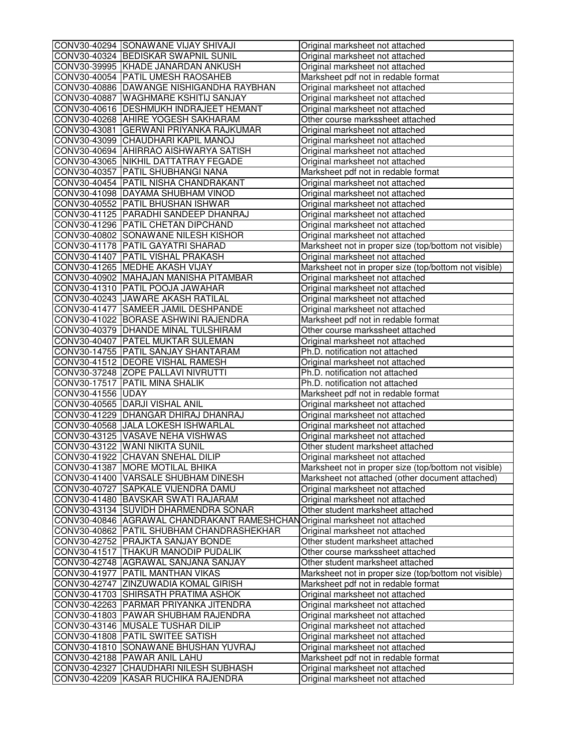|                   | CONV30-40294 SONAWANE VIJAY SHIVAJI         | Original marksheet not attached                       |
|-------------------|---------------------------------------------|-------------------------------------------------------|
|                   | CONV30-40324 BEDISKAR SWAPNIL SUNIL         | Original marksheet not attached                       |
|                   | CONV30-39995 KHADE JANARDAN ANKUSH          | Original marksheet not attached                       |
|                   | CONV30-40054 PATIL UMESH RAOSAHEB           | Marksheet pdf not in redable format                   |
|                   | CONV30-40886 DAWANGE NISHIGANDHA RAYBHAN    | Original marksheet not attached                       |
|                   | CONV30-40887 WAGHMARE KSHITIJ SANJAY        | Original marksheet not attached                       |
|                   | CONV30-40616   DESHMUKH INDRAJEET HEMANT    | Original marksheet not attached                       |
|                   | CONV30-40268 AHIRE YOGESH SAKHARAM          | Other course markssheet attached                      |
|                   | CONV30-43081 GERWANI PRIYANKA RAJKUMAR      | Original marksheet not attached                       |
|                   | CONV30-43099 CHAUDHARI KAPIL MANOJ          | Original marksheet not attached                       |
|                   | CONV30-40694 AHIRRAO AISHWARYA SATISH       | Original marksheet not attached                       |
|                   | CONV30-43065 NIKHIL DATTATRAY FEGADE        | Original marksheet not attached                       |
|                   | CONV30-40357 PATIL SHUBHANGI NANA           | Marksheet pdf not in redable format                   |
|                   | CONV30-40454 PATIL NISHA CHANDRAKANT        | Original marksheet not attached                       |
|                   | CONV30-41098 DAYAMA SHUBHAM VINOD           | Original marksheet not attached                       |
|                   | CONV30-40552 PATIL BHUSHAN ISHWAR           | Original marksheet not attached                       |
|                   | CONV30-41125 PARADHI SANDEEP DHANRAJ        | Original marksheet not attached                       |
|                   | CONV30-41296 PATIL CHETAN DIPCHAND          | Original marksheet not attached                       |
|                   | CONV30-40802 SONAWANE NILESH KISHOR         | Original marksheet not attached                       |
|                   | CONV30-41178 PATIL GAYATRI SHARAD           | Marksheet not in proper size (top/bottom not visible) |
|                   | CONV30-41407 PATIL VISHAL PRAKASH           | Original marksheet not attached                       |
|                   | CONV30-41265 MEDHE AKASH VIJAY              | Marksheet not in proper size (top/bottom not visible) |
|                   | CONV30-40902 MAHAJAN MANISHA PITAMBAR       | Original marksheet not attached                       |
|                   | CONV30-41310 PATIL POOJA JAWAHAR            | Original marksheet not attached                       |
|                   | CONV30-40243 JAWARE AKASH RATILAL           | Original marksheet not attached                       |
|                   | CONV30-41477 SAMEER JAMIL DESHPANDE         | Original marksheet not attached                       |
|                   | CONV30-41022 BORASE ASHWINI RAJENDRA        | Marksheet pdf not in redable format                   |
|                   | CONV30-40379   DHANDE MINAL TULSHIRAM       | Other course markssheet attached                      |
|                   | CONV30-40407 PATEL MUKTAR SULEMAN           | Original marksheet not attached                       |
|                   | CONV30-14755 PATIL SANJAY SHANTARAM         | Ph.D. notification not attached                       |
|                   | CONV30-41512 DEORE VISHAL RAMESH            | Original marksheet not attached                       |
|                   | CONV30-37248 ZOPE PALLAVI NIVRUTTI          | Ph.D. notification not attached                       |
|                   | CONV30-17517 PATIL MINA SHALIK              | Ph.D. notification not attached                       |
| CONV30-41556 UDAY |                                             | Marksheet pdf not in redable format                   |
|                   | CONV30-40565 DARJI VISHAL ANIL              | Original marksheet not attached                       |
|                   | CONV30-41229 DHANGAR DHIRAJ DHANRAJ         | Original marksheet not attached                       |
|                   | CONV30-40568 JALA LOKESH ISHWARLAL          | Original marksheet not attached                       |
|                   | CONV30-43125 VASAVE NEHA VISHWAS            | Original marksheet not attached                       |
|                   | CONV30-43122 WANI NIKITA SUNIL              | Other student marksheet attached                      |
|                   | CONV30-41922 CHAVAN SNEHAL DILIP            |                                                       |
|                   |                                             | Original marksheet not attached                       |
|                   | CONV30-41387  MORE MOTILAL BHIKA            | Marksheet not in proper size (top/bottom not visible) |
|                   | CONV30-41400 VARSALE SHUBHAM DINESH         | Marksheet not attached (other document attached)      |
|                   | CONV30-40727 SAPKALE VIJENDRA DAMU          | Original marksheet not attached                       |
|                   | CONV30-41480 BAVSKAR SWATI RAJARAM          | Original marksheet not attached                       |
|                   | CONV30-43134 SUVIDH DHARMENDRA SONAR        | Other student marksheet attached                      |
|                   | CONV30-40846 AGRAWAL CHANDRAKANT RAMESHCHAN | Original marksheet not attached                       |
|                   | CONV30-40862 PATIL SHUBHAM CHANDRASHEKHAR   | Original marksheet not attached                       |
|                   | CONV30-42752 PRAJKTA SANJAY BONDE           | Other student marksheet attached                      |
|                   | CONV30-41517 THAKUR MANODIP PUDALIK         | Other course markssheet attached                      |
|                   | CONV30-42748 AGRAWAL SANJANA SANJAY         | Other student marksheet attached                      |
|                   | CONV30-41977 PATIL MANTHAN VIKAS            | Marksheet not in proper size (top/bottom not visible) |
|                   | CONV30-42747 ZINZUWADIA KOMAL GIRISH        | Marksheet pdf not in redable format                   |
|                   | CONV30-41703 SHIRSATH PRATIMA ASHOK         | Original marksheet not attached                       |
|                   | CONV30-42263  PARMAR PRIYANKA JITENDRA      | Original marksheet not attached                       |
|                   | CONV30-41803 PAWAR SHUBHAM RAJENDRA         | Original marksheet not attached                       |
|                   | CONV30-43146 MUSALE TUSHAR DILIP            | Original marksheet not attached                       |
|                   | CONV30-41808 PATIL SWITEE SATISH            | Original marksheet not attached                       |
|                   | CONV30-41810 SONAWANE BHUSHAN YUVRAJ        | Original marksheet not attached                       |
|                   | CONV30-42188 PAWAR ANIL LAHU                | Marksheet pdf not in redable format                   |
|                   | CONV30-42327 CHAUDHARI NILESH SUBHASH       | Original marksheet not attached                       |
|                   | CONV30-42209 KASAR RUCHIKA RAJENDRA         | Original marksheet not attached                       |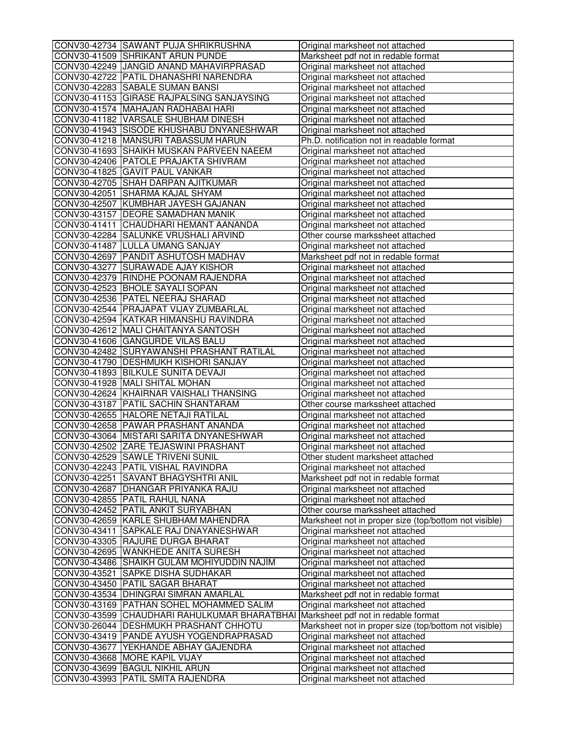| CONV30-42734 SAWANT PUJA SHRIKRUSHNA         | Original marksheet not attached                       |
|----------------------------------------------|-------------------------------------------------------|
| CONV30-41509 SHRIKANT ARUN PUNDE             | Marksheet pdf not in redable format                   |
| CONV30-42249 JANGID ANAND MAHAVIRPRASAD      | Original marksheet not attached                       |
| CONV30-42722 PATIL DHANASHRI NARENDRA        | Original marksheet not attached                       |
| CONV30-42283 SABALE SUMAN BANSI              | Original marksheet not attached                       |
| CONV30-41153 GIRASE RAJPALSING SANJAYSING    | Original marksheet not attached                       |
| CONV30-41574 MAHAJAN RADHABAI HARI           | Original marksheet not attached                       |
| CONV30-41182 VARSALE SHUBHAM DINESH          | Original marksheet not attached                       |
| CONV30-41943 SISODE KHUSHABU DNYANESHWAR     | Original marksheet not attached                       |
| CONV30-41218 MANSURI TABASSUM HARUN          | Ph.D. notification not in readable format             |
| CONV30-41693 SHAIKH MUSKAN PARVEEN NAEEM     | Original marksheet not attached                       |
| CONV30-42406 PATOLE PRAJAKTA SHIVRAM         | Original marksheet not attached                       |
| CONV30-41825 GAVIT PAUL VANKAR               | Original marksheet not attached                       |
| CONV30-42705 SHAH DARPAN AJITKUMAR           | Original marksheet not attached                       |
| CONV30-42051 SHARMA KAJAL SHYAM              | Original marksheet not attached                       |
| CONV30-42507 KUMBHAR JAYESH GAJANAN          | Original marksheet not attached                       |
| CONV30-43157 DEORE SAMADHAN MANIK            | Original marksheet not attached                       |
| CONV30-41411 CHAUDHARI HEMANT AANANDA        | Original marksheet not attached                       |
| CONV30-42284 SALUNKE VRUSHALI ARVIND         | Other course markssheet attached                      |
| CONV30-41487 LULLA UMANG SANJAY              | Original marksheet not attached                       |
| CONV30-42697 PANDIT ASHUTOSH MADHAV          | Marksheet pdf not in redable format                   |
| CONV30-43277 SURAWADE AJAY KISHOR            | Original marksheet not attached                       |
| CONV30-42379 RINDHE POONAM RAJENDRA          | Original marksheet not attached                       |
| CONV30-42523 BHOLE SAYALI SOPAN              | Original marksheet not attached                       |
| CONV30-42536   PATEL NEERAJ SHARAD           | Original marksheet not attached                       |
| CONV30-42544 PRAJAPAT VIJAY ZUMBARLAL        | Original marksheet not attached                       |
| CONV30-42594 KATKAR HIMANSHU RAVINDRA        | Original marksheet not attached                       |
| CONV30-42612 MALI CHAITANYA SANTOSH          | Original marksheet not attached                       |
| CONV30-41606 GANGURDE VILAS BALU             | Original marksheet not attached                       |
| CONV30-42482 SURYAWANSHI PRASHANT RATILAL    | Original marksheet not attached                       |
| CONV30-41790 DESHMUKH KISHORI SANJAY         | Original marksheet not attached                       |
| CONV30-41893 BILKULE SUNITA DEVAJI           | Original marksheet not attached                       |
| CONV30-41928   MALI SHITAL MOHAN             | Original marksheet not attached                       |
| CONV30-42624 KHAIRNAR VAISHALI THANSING      | Original marksheet not attached                       |
| CONV30-43187 PATIL SACHIN SHANTARAM          | Other course markssheet attached                      |
| CONV30-42655 HALORE NETAJI RATILAL           | Original marksheet not attached                       |
| CONV30-42658 PAWAR PRASHANT ANANDA           | Original marksheet not attached                       |
| CONV30-43064 MISTARI SARITA DNYANESHWAR      | Original marksheet not attached                       |
| CONV30-42502 ZARE TEJASWINI PRASHANT         | Original marksheet not attached                       |
| CONV30-42529 SAWLE TRIVENI SUNIL             | Other student marksheet attached                      |
| CONV30-42243  PATIL VISHAL RAVINDRA          | Original marksheet not attached                       |
| CONV30-42251 SAVANT BHAGYSHTRI ANIL          | Marksheet pdf not in redable format                   |
| CONV30-42687 DHANGAR PRIYANKA RAJU           | Original marksheet not attached                       |
| CONV30-42855 PATIL RAHUL NANA                | Original marksheet not attached                       |
| CONV30-42452 PATIL ANKIT SURYABHAN           | Other course markssheet attached                      |
| CONV30-42659 KARLE SHUBHAM MAHENDRA          | Marksheet not in proper size (top/bottom not visible) |
| CONV30-43411 SAPKALE RAJ DNAYANESHWAR        | Original marksheet not attached                       |
| CONV30-43305 RAJURE DURGA BHARAT             | Original marksheet not attached                       |
| CONV30-42695 WANKHEDE ANITA SURESH           | Original marksheet not attached                       |
| CONV30-43486 SHAIKH GULAM MOHIYUDDIN NAJIM   | Original marksheet not attached                       |
| CONV30-43521 SAPKE DISHA SUDHAKAR            | Original marksheet not attached                       |
| CONV30-43450 PATIL SAGAR BHARAT              | Original marksheet not attached                       |
| CONV30-43534   DHINGRAI SIMRAN AMARLAL       | Marksheet pdf not in redable format                   |
| CONV30-43169   PATHAN SOHEL MOHAMMED SALIM   | Original marksheet not attached                       |
| CONV30-43599 CHAUDHARI RAHULKUMAR BHARATBHAI | Marksheet pdf not in redable format                   |
| CONV30-26044   DESHMUKH PRASHANT CHHOTU      | Marksheet not in proper size (top/bottom not visible) |
| CONV30-43419  PANDE AYUSH YOGENDRAPRASAD     | Original marksheet not attached                       |
| CONV30-43677 YEKHANDE ABHAY GAJENDRA         | Original marksheet not attached                       |
| CONV30-43668 MORE KAPIL VIJAY                | Original marksheet not attached                       |
| CONV30-43699 BAGUL NIKHIL ARUN               | Original marksheet not attached                       |
| CONV30-43993 PATIL SMITA RAJENDRA            | Original marksheet not attached                       |
|                                              |                                                       |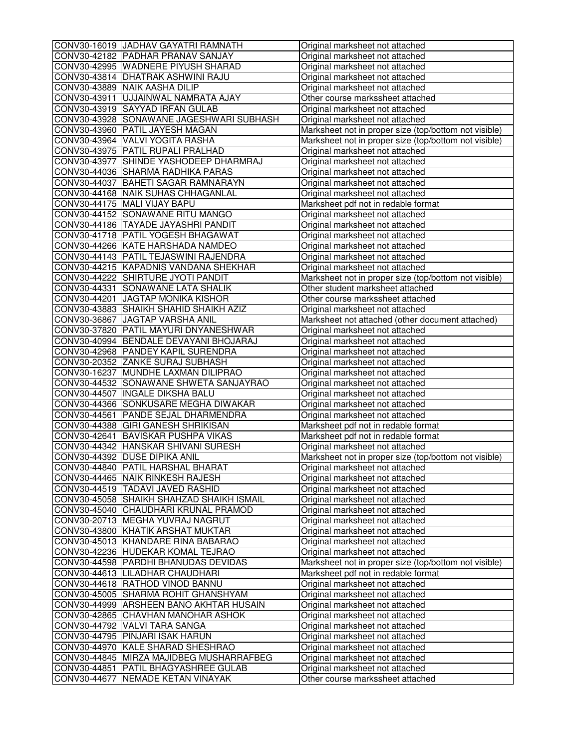| CONV30-16019 JJADHAV GAYATRI RAMNATH      | Original marksheet not attached                       |
|-------------------------------------------|-------------------------------------------------------|
| CONV30-42182 PADHAR PRANAV SANJAY         | Original marksheet not attached                       |
| CONV30-42995 WADNERE PIYUSH SHARAD        | Original marksheet not attached                       |
| CONV30-43814 DHATRAK ASHWINI RAJU         | Original marksheet not attached                       |
| CONV30-43889 NAIK AASHA DILIP             | Original marksheet not attached                       |
| CONV30-43911  UJJAINWAL NAMRATA AJAY      | Other course markssheet attached                      |
| CONV30-43919 SAYYAD IRFAN GULAB           | Original marksheet not attached                       |
| CONV30-43928 SONAWANE JAGESHWARI SUBHASH  | Original marksheet not attached                       |
| CONV30-43960 PATIL JAYESH MAGAN           | Marksheet not in proper size (top/bottom not visible) |
| CONV30-43964 VALVI YOGITA RASHA           | Marksheet not in proper size (top/bottom not visible) |
| CONV30-43975 PATIL RUPALI PRALHAD         | Original marksheet not attached                       |
| CONV30-43977 SHINDE YASHODEEP DHARMRAJ    | Original marksheet not attached                       |
| CONV30-44036 SHARMA RADHIKA PARAS         | Original marksheet not attached                       |
| CONV30-44037 BAHETI SAGAR RAMNARAYN       | Original marksheet not attached                       |
| CONV30-44168 NAIK SUHAS CHHAGANLAL        | Original marksheet not attached                       |
| CONV30-44175 MALI VIJAY BAPU              | Marksheet pdf not in redable format                   |
| CONV30-44152 SONAWANE RITU MANGO          | Original marksheet not attached                       |
| CONV30-44186 TAYADE JAYASHRI PANDIT       | Original marksheet not attached                       |
| CONV30-41718 PATIL YOGESH BHAGAWAT        | Original marksheet not attached                       |
| CONV30-44266 KATE HARSHADA NAMDEO         | Original marksheet not attached                       |
| CONV30-44143 PATIL TEJASWINI RAJENDRA     | Original marksheet not attached                       |
| CONV30-44215 KAPADNIS VANDANA SHEKHAR     | Original marksheet not attached                       |
| CONV30-44222 SHIRTURE JYOTI PANDIT        | Marksheet not in proper size (top/bottom not visible) |
| CONV30-44331 SONAWANE LATA SHALIK         | Other student marksheet attached                      |
| CONV30-44201 JAGTAP MONIKA KISHOR         | Other course markssheet attached                      |
| CONV30-43883 SHAIKH SHAHID SHAIKH AZIZ    | Original marksheet not attached                       |
| CONV30-36867 JAGTAP VARSHA ANIL           | Marksheet not attached (other document attached)      |
| CONV30-37820 PATIL MAYURI DNYANESHWAR     | Original marksheet not attached                       |
| CONV30-40994 BENDALE DEVAYANI BHOJARAJ    | Original marksheet not attached                       |
| CONV30-42968 PANDEY KAPIL SURENDRA        | Original marksheet not attached                       |
| CONV30-20352 ZANKE SURAJ SUBHASH          | Original marksheet not attached                       |
| CONV30-16237 MUNDHE LAXMAN DILIPRAO       | Original marksheet not attached                       |
| CONV30-44532 SONAWANE SHWETA SANJAYRAO    | Original marksheet not attached                       |
| CONV30-44507  INGALE DIKSHA BALU          | Original marksheet not attached                       |
| CONV30-44366 SONKUSARE MEGHA DIWAKAR      | Original marksheet not attached                       |
| CONV30-44561 PANDE SEJAL DHARMENDRA       | Original marksheet not attached                       |
| CONV30-44388 GIRI GANESH SHRIKISAN        | Marksheet pdf not in redable format                   |
| CONV30-42641 BAVISKAR PUSHPA VIKAS        | Marksheet pdf not in redable format                   |
| CONV30-44342 HANSKAR SHIVANI SURESH       | Original marksheet not attached                       |
| CONV30-44392 DUSE DIPIKA ANIL             | Marksheet not in proper size (top/bottom not visible) |
| CONV30-44840  PATIL HARSHAL BHARAT        | Original marksheet not attached                       |
| CONV30-44465 NAIK RINKESH RAJESH          | Original marksheet not attached                       |
| CONV30-44519 TADAVI JAVED RASHID          | Original marksheet not attached                       |
| CONV30-45058 SHAIKH SHAHZAD SHAIKH ISMAIL | Original marksheet not attached                       |
| CONV30-45040 CHAUDHARI KRUNAL PRAMOD      | Original marksheet not attached                       |
| CONV30-20713 MEGHA YUVRAJ NAGRUT          | Original marksheet not attached                       |
| CONV30-43800 KHATIK ARSHAT MUKTAR         | Original marksheet not attached                       |
| CONV30-45013 KHANDARE RINA BABARAO        | Original marksheet not attached                       |
| CONV30-42236 HUDEKAR KOMAL TEJRAO         | Original marksheet not attached                       |
| CONV30-44598   PARDHI BHANUDAS DEVIDAS    | Marksheet not in proper size (top/bottom not visible) |
| CONV30-44613 LILADHAR CHAUDHARI           | Marksheet pdf not in redable format                   |
| CONV30-44618 RATHOD VINOD BANNU           | Original marksheet not attached                       |
| CONV30-45005 SHARMA ROHIT GHANSHYAM       | Original marksheet not attached                       |
| CONV30-44999 ARSHEEN BANO AKHTAR HUSAIN   | Original marksheet not attached                       |
| CONV30-42865 CHAVHAN MANOHAR ASHOK        | Original marksheet not attached                       |
| CONV30-44792 VALVI TARA SANGA             | Original marksheet not attached                       |
| CONV30-44795 PINJARI ISAK HARUN           | Original marksheet not attached                       |
| CONV30-44970 KALE SHARAD SHESHRAO         | Original marksheet not attached                       |
| CONV30-44845 MIRZA MAJIDBEG MUSHARRAFBEG  | Original marksheet not attached                       |
| CONV30-44851 PATIL BHAGYASHREE GULAB      | Original marksheet not attached                       |
| CONV30-44677 NEMADE KETAN VINAYAK         | Other course markssheet attached                      |
|                                           |                                                       |